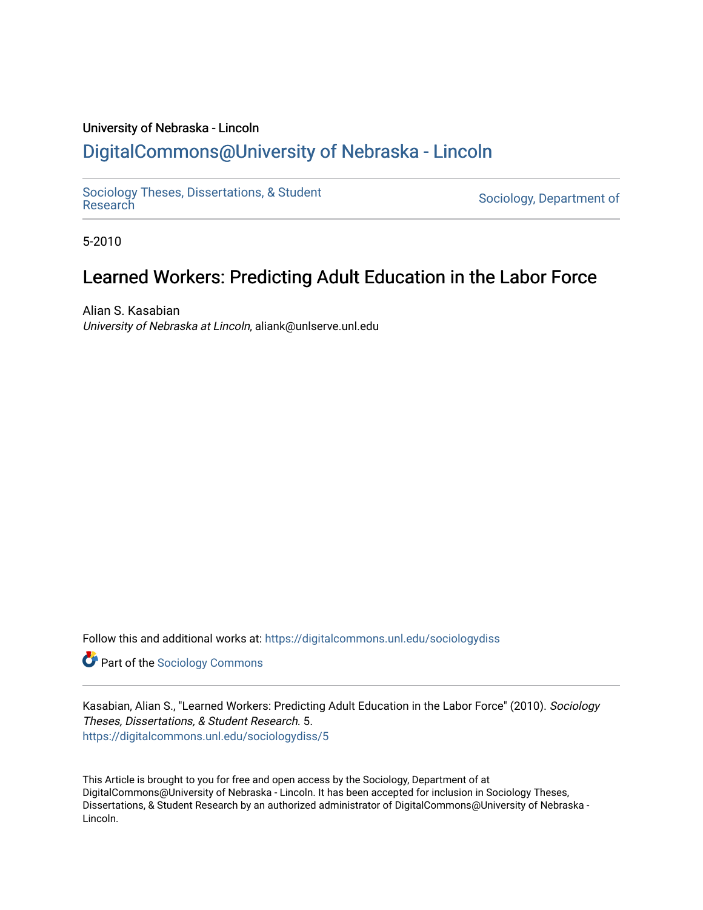## University of Nebraska - Lincoln [DigitalCommons@University of Nebraska - Lincoln](https://digitalcommons.unl.edu/)

[Sociology Theses, Dissertations, & Student](https://digitalcommons.unl.edu/sociologydiss)

Sociology, Department of

5-2010

# Learned Workers: Predicting Adult Education in the Labor Force

Alian S. Kasabian University of Nebraska at Lincoln, aliank@unlserve.unl.edu

Follow this and additional works at: [https://digitalcommons.unl.edu/sociologydiss](https://digitalcommons.unl.edu/sociologydiss?utm_source=digitalcommons.unl.edu%2Fsociologydiss%2F5&utm_medium=PDF&utm_campaign=PDFCoverPages) 

**Part of the [Sociology Commons](http://network.bepress.com/hgg/discipline/416?utm_source=digitalcommons.unl.edu%2Fsociologydiss%2F5&utm_medium=PDF&utm_campaign=PDFCoverPages)** 

Kasabian, Alian S., "Learned Workers: Predicting Adult Education in the Labor Force" (2010). Sociology Theses, Dissertations, & Student Research. 5. [https://digitalcommons.unl.edu/sociologydiss/5](https://digitalcommons.unl.edu/sociologydiss/5?utm_source=digitalcommons.unl.edu%2Fsociologydiss%2F5&utm_medium=PDF&utm_campaign=PDFCoverPages)

This Article is brought to you for free and open access by the Sociology, Department of at DigitalCommons@University of Nebraska - Lincoln. It has been accepted for inclusion in Sociology Theses, Dissertations, & Student Research by an authorized administrator of DigitalCommons@University of Nebraska -Lincoln.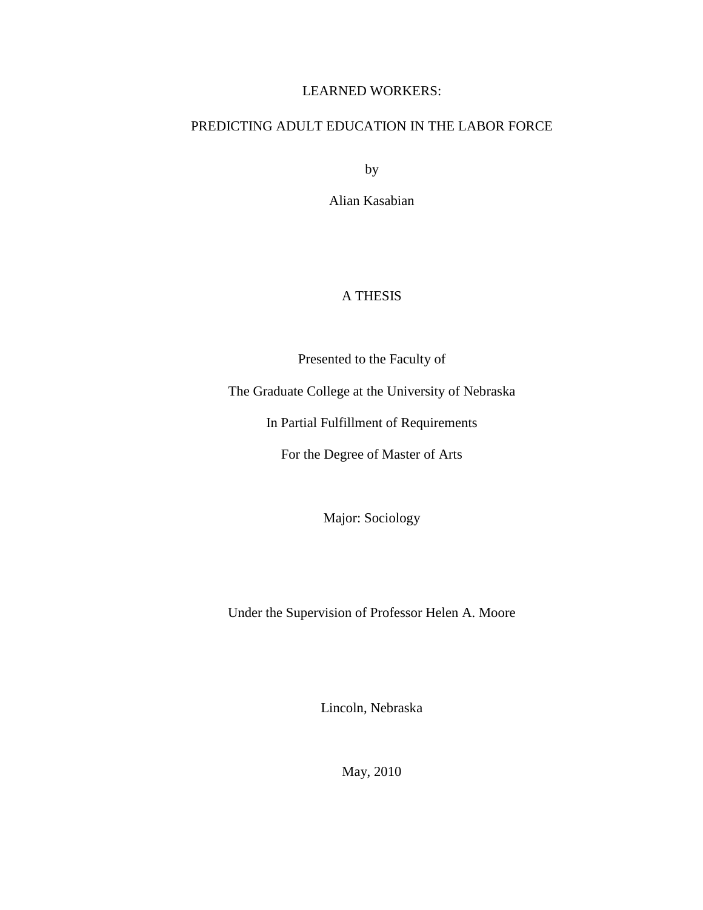### LEARNED WORKERS:

### PREDICTING ADULT EDUCATION IN THE LABOR FORCE

by

Alian Kasabian

## A THESIS

Presented to the Faculty of

The Graduate College at the University of Nebraska

In Partial Fulfillment of Requirements

For the Degree of Master of Arts

Major: Sociology

Under the Supervision of Professor Helen A. Moore

Lincoln, Nebraska

May, 2010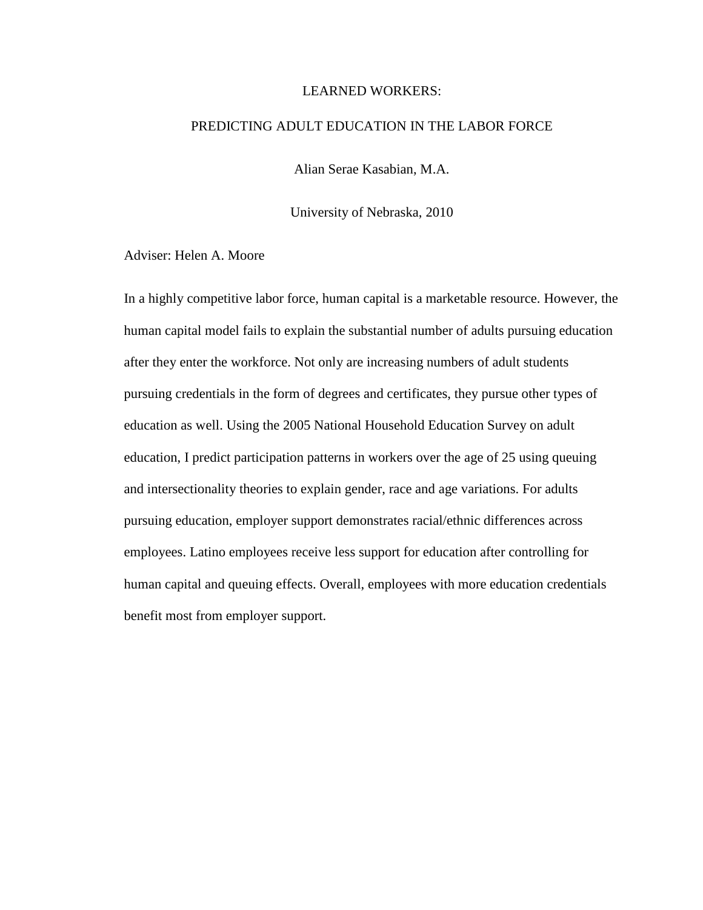#### LEARNED WORKERS:

### PREDICTING ADULT EDUCATION IN THE LABOR FORCE

Alian Serae Kasabian, M.A.

University of Nebraska, 2010

Adviser: Helen A. Moore

In a highly competitive labor force, human capital is a marketable resource. However, the human capital model fails to explain the substantial number of adults pursuing education after they enter the workforce. Not only are increasing numbers of adult students pursuing credentials in the form of degrees and certificates, they pursue other types of education as well. Using the 2005 National Household Education Survey on adult education, I predict participation patterns in workers over the age of 25 using queuing and intersectionality theories to explain gender, race and age variations. For adults pursuing education, employer support demonstrates racial/ethnic differences across employees. Latino employees receive less support for education after controlling for human capital and queuing effects. Overall, employees with more education credentials benefit most from employer support.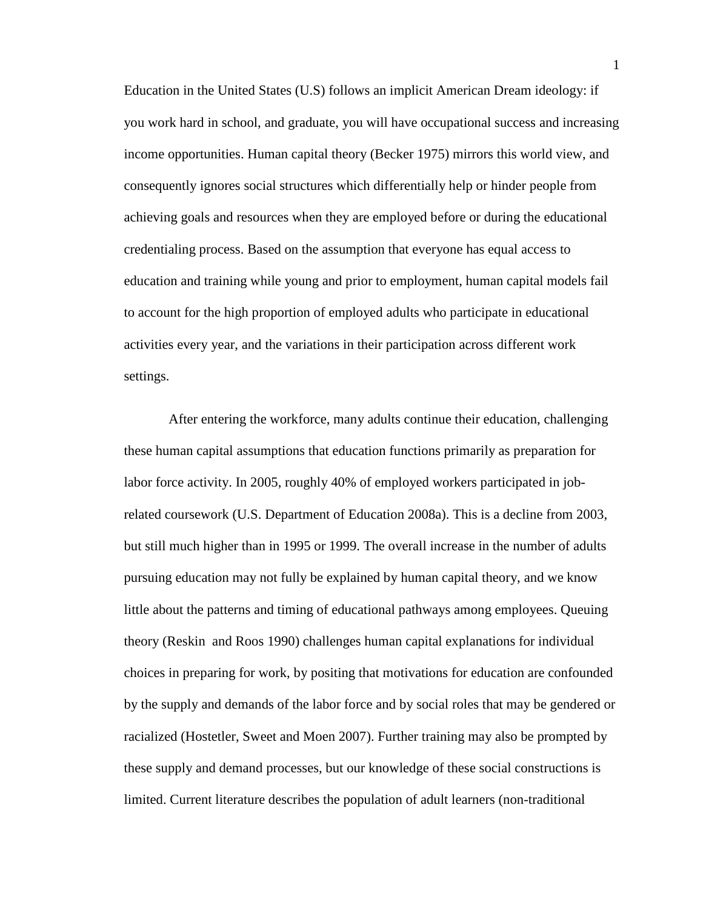Education in the United States (U.S) follows an implicit American Dream ideology: if you work hard in school, and graduate, you will have occupational success and increasing income opportunities. Human capital theory (Becker 1975) mirrors this world view, and consequently ignores social structures which differentially help or hinder people from achieving goals and resources when they are employed before or during the educational credentialing process. Based on the assumption that everyone has equal access to education and training while young and prior to employment, human capital models fail to account for the high proportion of employed adults who participate in educational activities every year, and the variations in their participation across different work settings.

 After entering the workforce, many adults continue their education, challenging these human capital assumptions that education functions primarily as preparation for labor force activity. In 2005, roughly 40% of employed workers participated in jobrelated coursework (U.S. Department of Education 2008a). This is a decline from 2003, but still much higher than in 1995 or 1999. The overall increase in the number of adults pursuing education may not fully be explained by human capital theory, and we know little about the patterns and timing of educational pathways among employees. Queuing theory (Reskin and Roos 1990) challenges human capital explanations for individual choices in preparing for work, by positing that motivations for education are confounded by the supply and demands of the labor force and by social roles that may be gendered or racialized (Hostetler, Sweet and Moen 2007). Further training may also be prompted by these supply and demand processes, but our knowledge of these social constructions is limited. Current literature describes the population of adult learners (non-traditional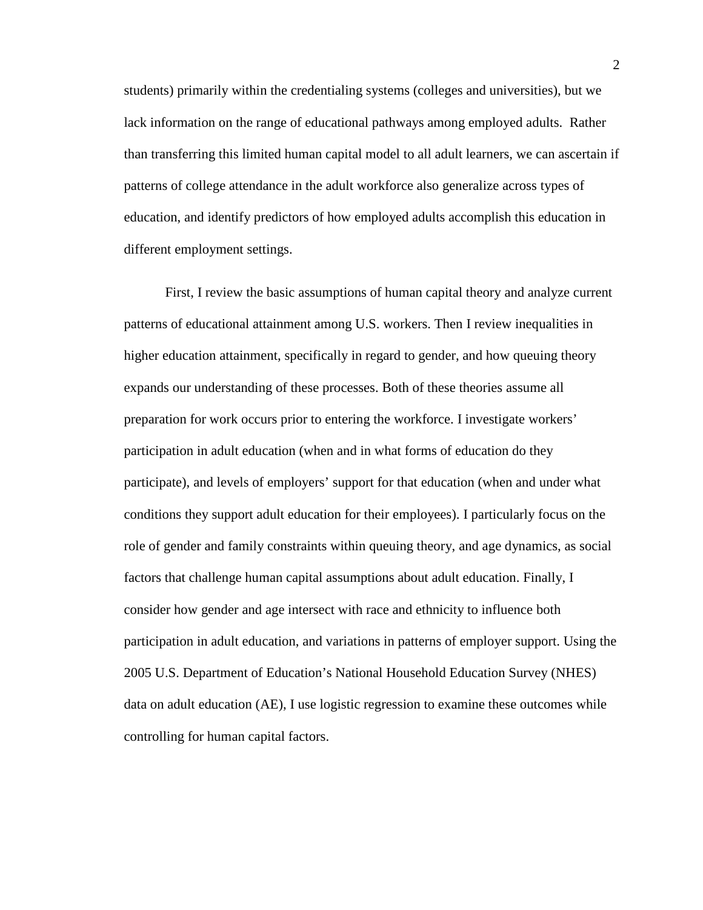students) primarily within the credentialing systems (colleges and universities), but we lack information on the range of educational pathways among employed adults. Rather than transferring this limited human capital model to all adult learners, we can ascertain if patterns of college attendance in the adult workforce also generalize across types of education, and identify predictors of how employed adults accomplish this education in different employment settings.

First, I review the basic assumptions of human capital theory and analyze current patterns of educational attainment among U.S. workers. Then I review inequalities in higher education attainment, specifically in regard to gender, and how queuing theory expands our understanding of these processes. Both of these theories assume all preparation for work occurs prior to entering the workforce. I investigate workers' participation in adult education (when and in what forms of education do they participate), and levels of employers' support for that education (when and under what conditions they support adult education for their employees). I particularly focus on the role of gender and family constraints within queuing theory, and age dynamics, as social factors that challenge human capital assumptions about adult education. Finally, I consider how gender and age intersect with race and ethnicity to influence both participation in adult education, and variations in patterns of employer support. Using the 2005 U.S. Department of Education's National Household Education Survey (NHES) data on adult education (AE), I use logistic regression to examine these outcomes while controlling for human capital factors.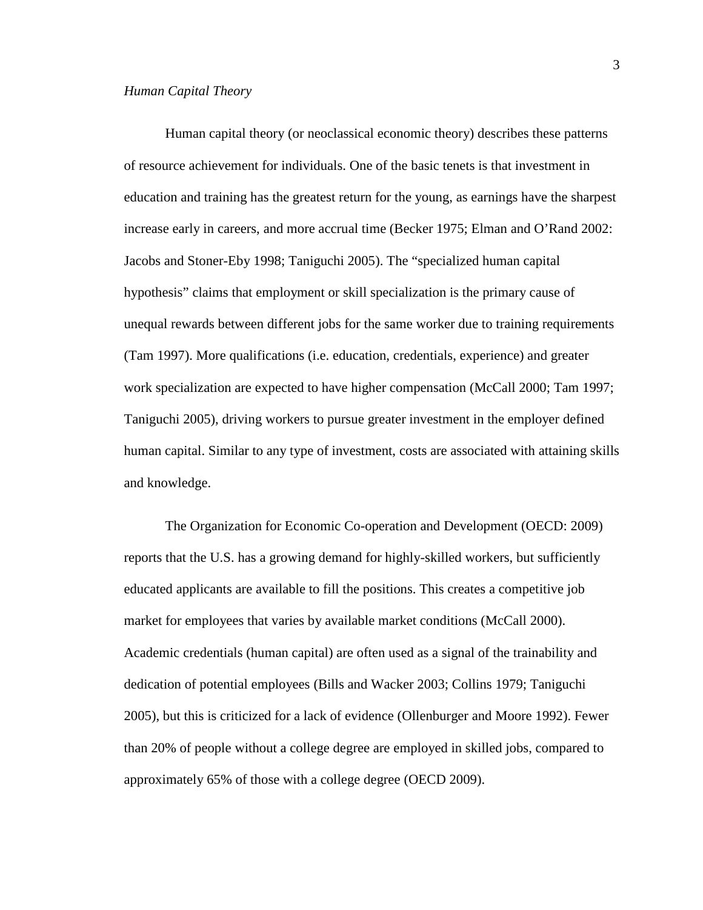Human capital theory (or neoclassical economic theory) describes these patterns of resource achievement for individuals. One of the basic tenets is that investment in education and training has the greatest return for the young, as earnings have the sharpest increase early in careers, and more accrual time (Becker 1975; Elman and O'Rand 2002: Jacobs and Stoner-Eby 1998; Taniguchi 2005). The "specialized human capital hypothesis" claims that employment or skill specialization is the primary cause of unequal rewards between different jobs for the same worker due to training requirements (Tam 1997). More qualifications (i.e. education, credentials, experience) and greater work specialization are expected to have higher compensation (McCall 2000; Tam 1997; Taniguchi 2005), driving workers to pursue greater investment in the employer defined human capital. Similar to any type of investment, costs are associated with attaining skills and knowledge.

The Organization for Economic Co-operation and Development (OECD: 2009) reports that the U.S. has a growing demand for highly-skilled workers, but sufficiently educated applicants are available to fill the positions. This creates a competitive job market for employees that varies by available market conditions (McCall 2000). Academic credentials (human capital) are often used as a signal of the trainability and dedication of potential employees (Bills and Wacker 2003; Collins 1979; Taniguchi 2005), but this is criticized for a lack of evidence (Ollenburger and Moore 1992). Fewer than 20% of people without a college degree are employed in skilled jobs, compared to approximately 65% of those with a college degree (OECD 2009).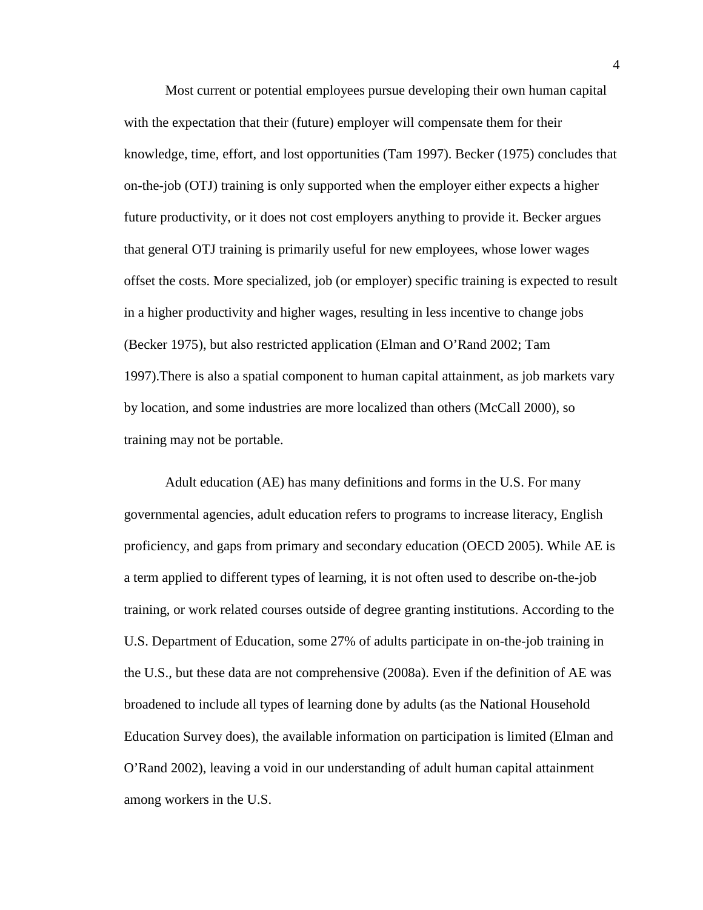Most current or potential employees pursue developing their own human capital with the expectation that their (future) employer will compensate them for their knowledge, time, effort, and lost opportunities (Tam 1997). Becker (1975) concludes that on-the-job (OTJ) training is only supported when the employer either expects a higher future productivity, or it does not cost employers anything to provide it. Becker argues that general OTJ training is primarily useful for new employees, whose lower wages offset the costs. More specialized, job (or employer) specific training is expected to result in a higher productivity and higher wages, resulting in less incentive to change jobs (Becker 1975), but also restricted application (Elman and O'Rand 2002; Tam 1997).There is also a spatial component to human capital attainment, as job markets vary by location, and some industries are more localized than others (McCall 2000), so training may not be portable.

Adult education (AE) has many definitions and forms in the U.S. For many governmental agencies, adult education refers to programs to increase literacy, English proficiency, and gaps from primary and secondary education (OECD 2005). While AE is a term applied to different types of learning, it is not often used to describe on-the-job training, or work related courses outside of degree granting institutions. According to the U.S. Department of Education, some 27% of adults participate in on-the-job training in the U.S., but these data are not comprehensive (2008a). Even if the definition of AE was broadened to include all types of learning done by adults (as the National Household Education Survey does), the available information on participation is limited (Elman and O'Rand 2002), leaving a void in our understanding of adult human capital attainment among workers in the U.S.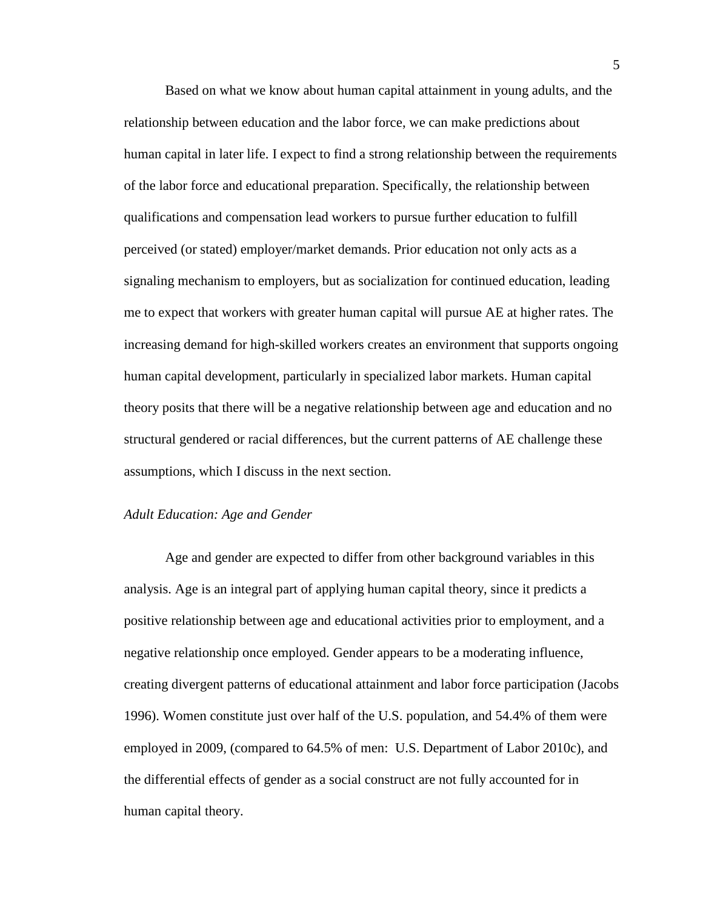Based on what we know about human capital attainment in young adults, and the relationship between education and the labor force, we can make predictions about human capital in later life. I expect to find a strong relationship between the requirements of the labor force and educational preparation. Specifically, the relationship between qualifications and compensation lead workers to pursue further education to fulfill perceived (or stated) employer/market demands. Prior education not only acts as a signaling mechanism to employers, but as socialization for continued education, leading me to expect that workers with greater human capital will pursue AE at higher rates. The increasing demand for high-skilled workers creates an environment that supports ongoing human capital development, particularly in specialized labor markets. Human capital theory posits that there will be a negative relationship between age and education and no structural gendered or racial differences, but the current patterns of AE challenge these assumptions, which I discuss in the next section.

### *Adult Education: Age and Gender*

Age and gender are expected to differ from other background variables in this analysis. Age is an integral part of applying human capital theory, since it predicts a positive relationship between age and educational activities prior to employment, and a negative relationship once employed. Gender appears to be a moderating influence, creating divergent patterns of educational attainment and labor force participation (Jacobs 1996). Women constitute just over half of the U.S. population, and 54.4% of them were employed in 2009, (compared to 64.5% of men: U.S. Department of Labor 2010c), and the differential effects of gender as a social construct are not fully accounted for in human capital theory.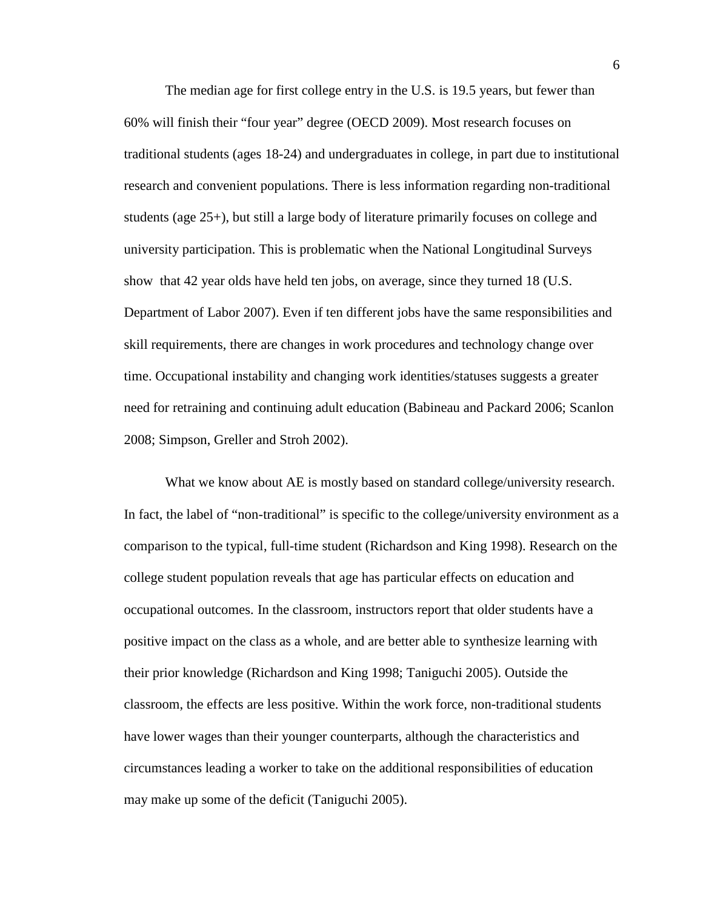The median age for first college entry in the U.S. is 19.5 years, but fewer than 60% will finish their "four year" degree (OECD 2009). Most research focuses on traditional students (ages 18-24) and undergraduates in college, in part due to institutional research and convenient populations. There is less information regarding non-traditional students (age 25+), but still a large body of literature primarily focuses on college and university participation. This is problematic when the National Longitudinal Surveys show that 42 year olds have held ten jobs, on average, since they turned 18 (U.S. Department of Labor 2007). Even if ten different jobs have the same responsibilities and skill requirements, there are changes in work procedures and technology change over time. Occupational instability and changing work identities/statuses suggests a greater need for retraining and continuing adult education (Babineau and Packard 2006; Scanlon 2008; Simpson, Greller and Stroh 2002).

What we know about AE is mostly based on standard college/university research. In fact, the label of "non-traditional" is specific to the college/university environment as a comparison to the typical, full-time student (Richardson and King 1998). Research on the college student population reveals that age has particular effects on education and occupational outcomes. In the classroom, instructors report that older students have a positive impact on the class as a whole, and are better able to synthesize learning with their prior knowledge (Richardson and King 1998; Taniguchi 2005). Outside the classroom, the effects are less positive. Within the work force, non-traditional students have lower wages than their younger counterparts, although the characteristics and circumstances leading a worker to take on the additional responsibilities of education may make up some of the deficit (Taniguchi 2005).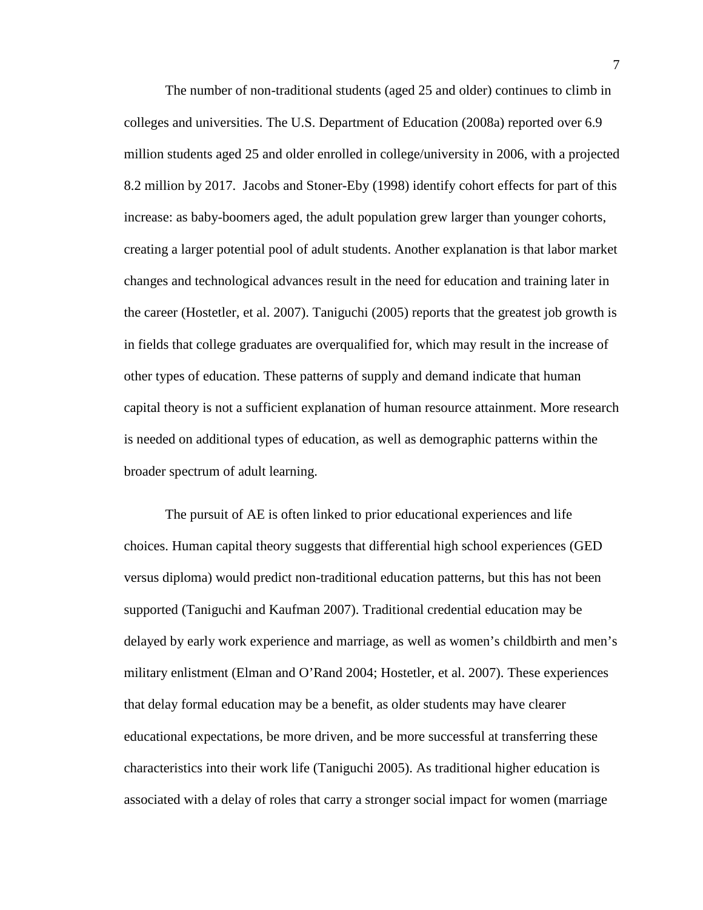The number of non-traditional students (aged 25 and older) continues to climb in colleges and universities. The U.S. Department of Education (2008a) reported over 6.9 million students aged 25 and older enrolled in college/university in 2006, with a projected 8.2 million by 2017. Jacobs and Stoner-Eby (1998) identify cohort effects for part of this increase: as baby-boomers aged, the adult population grew larger than younger cohorts, creating a larger potential pool of adult students. Another explanation is that labor market changes and technological advances result in the need for education and training later in the career (Hostetler, et al. 2007). Taniguchi (2005) reports that the greatest job growth is in fields that college graduates are overqualified for, which may result in the increase of other types of education. These patterns of supply and demand indicate that human capital theory is not a sufficient explanation of human resource attainment. More research is needed on additional types of education, as well as demographic patterns within the broader spectrum of adult learning.

The pursuit of AE is often linked to prior educational experiences and life choices. Human capital theory suggests that differential high school experiences (GED versus diploma) would predict non-traditional education patterns, but this has not been supported (Taniguchi and Kaufman 2007). Traditional credential education may be delayed by early work experience and marriage, as well as women's childbirth and men's military enlistment (Elman and O'Rand 2004; Hostetler, et al. 2007). These experiences that delay formal education may be a benefit, as older students may have clearer educational expectations, be more driven, and be more successful at transferring these characteristics into their work life (Taniguchi 2005). As traditional higher education is associated with a delay of roles that carry a stronger social impact for women (marriage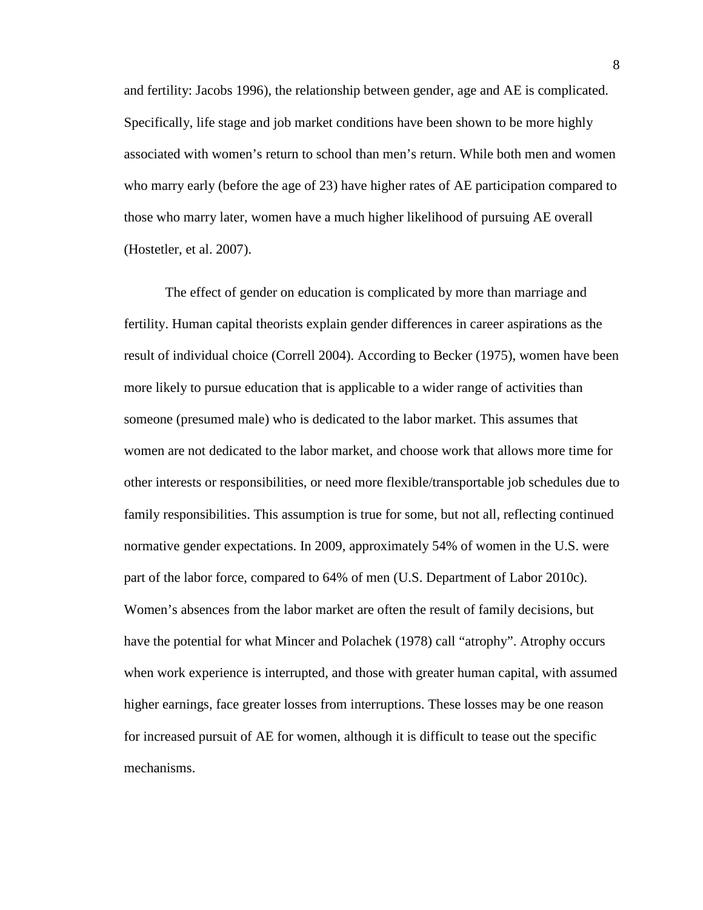and fertility: Jacobs 1996), the relationship between gender, age and AE is complicated. Specifically, life stage and job market conditions have been shown to be more highly associated with women's return to school than men's return. While both men and women who marry early (before the age of 23) have higher rates of AE participation compared to those who marry later, women have a much higher likelihood of pursuing AE overall (Hostetler, et al. 2007).

The effect of gender on education is complicated by more than marriage and fertility. Human capital theorists explain gender differences in career aspirations as the result of individual choice (Correll 2004). According to Becker (1975), women have been more likely to pursue education that is applicable to a wider range of activities than someone (presumed male) who is dedicated to the labor market. This assumes that women are not dedicated to the labor market, and choose work that allows more time for other interests or responsibilities, or need more flexible/transportable job schedules due to family responsibilities. This assumption is true for some, but not all, reflecting continued normative gender expectations. In 2009, approximately 54% of women in the U.S. were part of the labor force, compared to 64% of men (U.S. Department of Labor 2010c). Women's absences from the labor market are often the result of family decisions, but have the potential for what Mincer and Polachek (1978) call "atrophy". Atrophy occurs when work experience is interrupted, and those with greater human capital, with assumed higher earnings, face greater losses from interruptions. These losses may be one reason for increased pursuit of AE for women, although it is difficult to tease out the specific mechanisms.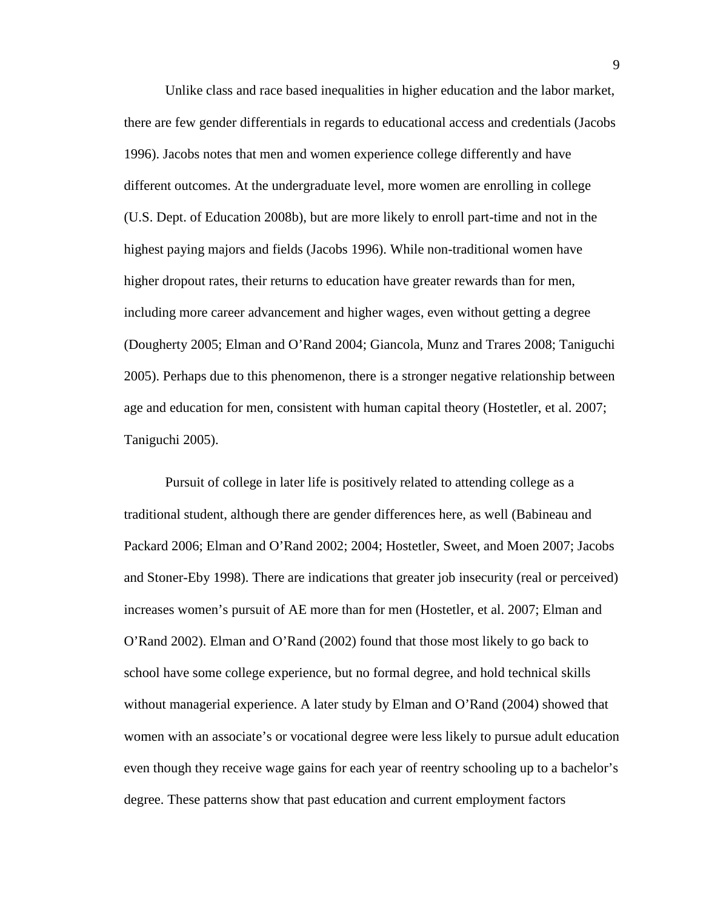Unlike class and race based inequalities in higher education and the labor market, there are few gender differentials in regards to educational access and credentials (Jacobs 1996). Jacobs notes that men and women experience college differently and have different outcomes. At the undergraduate level, more women are enrolling in college (U.S. Dept. of Education 2008b), but are more likely to enroll part-time and not in the highest paying majors and fields (Jacobs 1996). While non-traditional women have higher dropout rates, their returns to education have greater rewards than for men, including more career advancement and higher wages, even without getting a degree (Dougherty 2005; Elman and O'Rand 2004; Giancola, Munz and Trares 2008; Taniguchi 2005). Perhaps due to this phenomenon, there is a stronger negative relationship between age and education for men, consistent with human capital theory (Hostetler, et al. 2007; Taniguchi 2005).

Pursuit of college in later life is positively related to attending college as a traditional student, although there are gender differences here, as well (Babineau and Packard 2006; Elman and O'Rand 2002; 2004; Hostetler, Sweet, and Moen 2007; Jacobs and Stoner-Eby 1998). There are indications that greater job insecurity (real or perceived) increases women's pursuit of AE more than for men (Hostetler, et al. 2007; Elman and O'Rand 2002). Elman and O'Rand (2002) found that those most likely to go back to school have some college experience, but no formal degree, and hold technical skills without managerial experience. A later study by Elman and O'Rand (2004) showed that women with an associate's or vocational degree were less likely to pursue adult education even though they receive wage gains for each year of reentry schooling up to a bachelor's degree. These patterns show that past education and current employment factors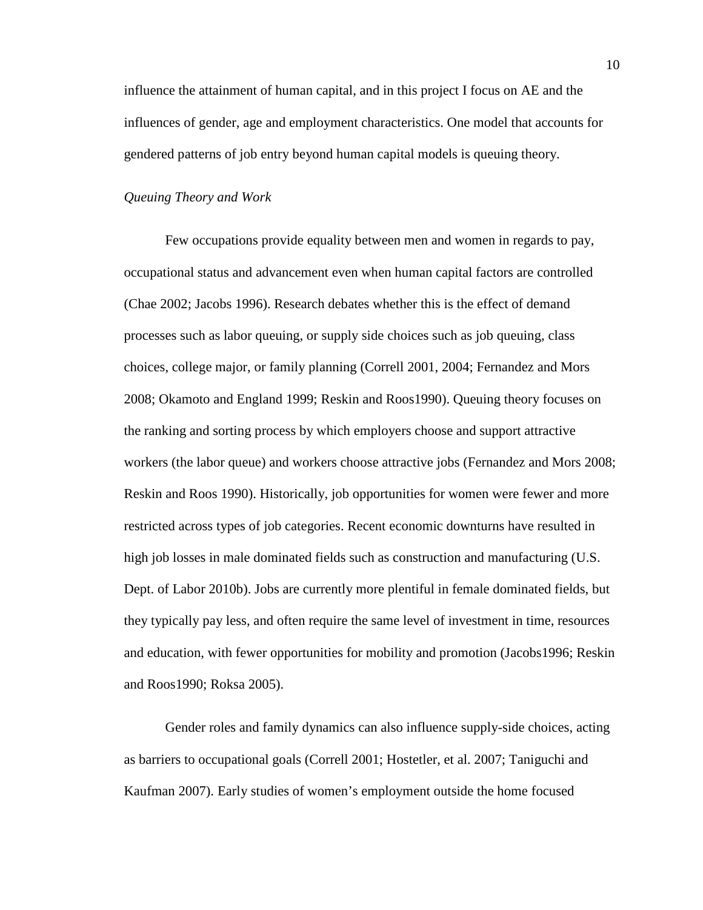influence the attainment of human capital, and in this project I focus on AE and the influences of gender, age and employment characteristics. One model that accounts for gendered patterns of job entry beyond human capital models is queuing theory.

#### *Queuing Theory and Work*

Few occupations provide equality between men and women in regards to pay, occupational status and advancement even when human capital factors are controlled (Chae 2002; Jacobs 1996). Research debates whether this is the effect of demand processes such as labor queuing, or supply side choices such as job queuing, class choices, college major, or family planning (Correll 2001, 2004; Fernandez and Mors 2008; Okamoto and England 1999; Reskin and Roos1990). Queuing theory focuses on the ranking and sorting process by which employers choose and support attractive workers (the labor queue) and workers choose attractive jobs (Fernandez and Mors 2008; Reskin and Roos 1990). Historically, job opportunities for women were fewer and more restricted across types of job categories. Recent economic downturns have resulted in high job losses in male dominated fields such as construction and manufacturing (U.S. Dept. of Labor 2010b). Jobs are currently more plentiful in female dominated fields, but they typically pay less, and often require the same level of investment in time, resources and education, with fewer opportunities for mobility and promotion (Jacobs1996; Reskin and Roos1990; Roksa 2005).

Gender roles and family dynamics can also influence supply-side choices, acting as barriers to occupational goals (Correll 2001; Hostetler, et al. 2007; Taniguchi and Kaufman 2007). Early studies of women's employment outside the home focused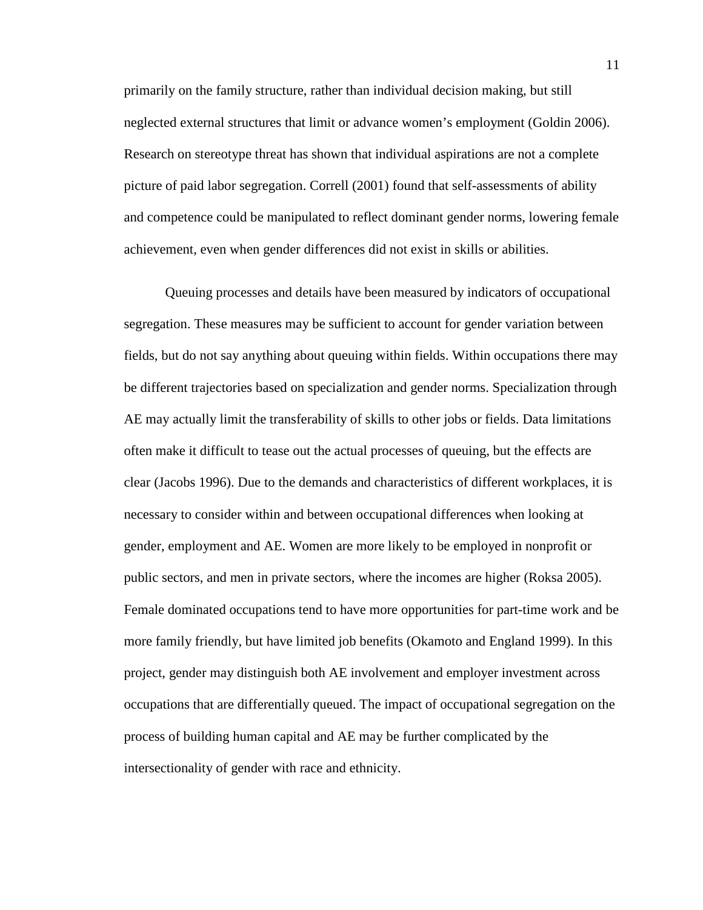primarily on the family structure, rather than individual decision making, but still neglected external structures that limit or advance women's employment (Goldin 2006). Research on stereotype threat has shown that individual aspirations are not a complete picture of paid labor segregation. Correll (2001) found that self-assessments of ability and competence could be manipulated to reflect dominant gender norms, lowering female achievement, even when gender differences did not exist in skills or abilities.

Queuing processes and details have been measured by indicators of occupational segregation. These measures may be sufficient to account for gender variation between fields, but do not say anything about queuing within fields. Within occupations there may be different trajectories based on specialization and gender norms. Specialization through AE may actually limit the transferability of skills to other jobs or fields. Data limitations often make it difficult to tease out the actual processes of queuing, but the effects are clear (Jacobs 1996). Due to the demands and characteristics of different workplaces, it is necessary to consider within and between occupational differences when looking at gender, employment and AE. Women are more likely to be employed in nonprofit or public sectors, and men in private sectors, where the incomes are higher (Roksa 2005). Female dominated occupations tend to have more opportunities for part-time work and be more family friendly, but have limited job benefits (Okamoto and England 1999). In this project, gender may distinguish both AE involvement and employer investment across occupations that are differentially queued. The impact of occupational segregation on the process of building human capital and AE may be further complicated by the intersectionality of gender with race and ethnicity.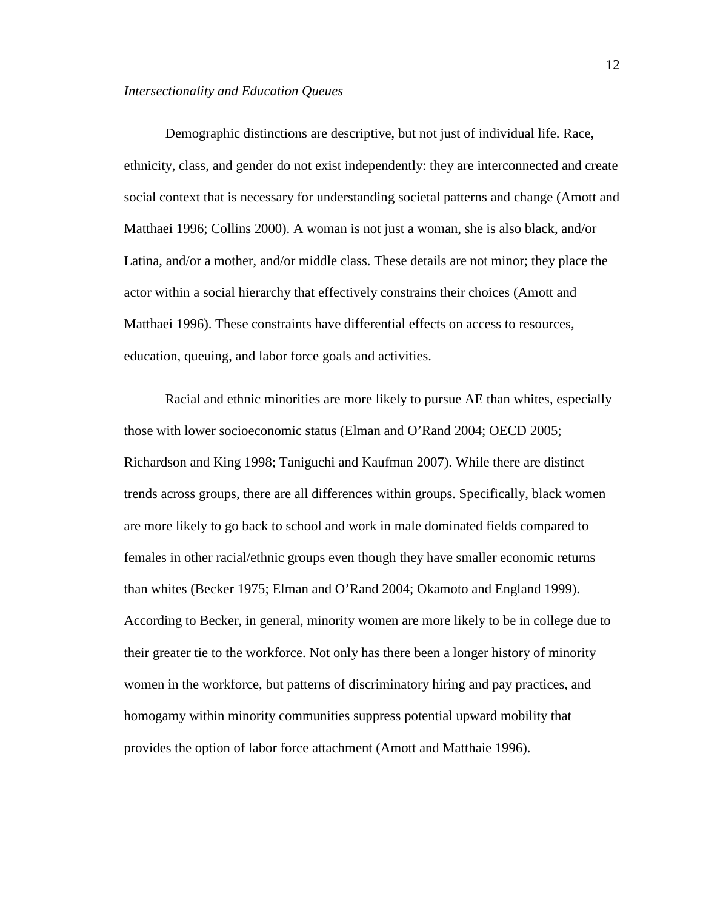#### *Intersectionality and Education Queues*

Demographic distinctions are descriptive, but not just of individual life. Race, ethnicity, class, and gender do not exist independently: they are interconnected and create social context that is necessary for understanding societal patterns and change (Amott and Matthaei 1996; Collins 2000). A woman is not just a woman, she is also black, and/or Latina, and/or a mother, and/or middle class. These details are not minor; they place the actor within a social hierarchy that effectively constrains their choices (Amott and Matthaei 1996). These constraints have differential effects on access to resources, education, queuing, and labor force goals and activities.

Racial and ethnic minorities are more likely to pursue AE than whites, especially those with lower socioeconomic status (Elman and O'Rand 2004; OECD 2005; Richardson and King 1998; Taniguchi and Kaufman 2007). While there are distinct trends across groups, there are all differences within groups. Specifically, black women are more likely to go back to school and work in male dominated fields compared to females in other racial/ethnic groups even though they have smaller economic returns than whites (Becker 1975; Elman and O'Rand 2004; Okamoto and England 1999). According to Becker, in general, minority women are more likely to be in college due to their greater tie to the workforce. Not only has there been a longer history of minority women in the workforce, but patterns of discriminatory hiring and pay practices, and homogamy within minority communities suppress potential upward mobility that provides the option of labor force attachment (Amott and Matthaie 1996).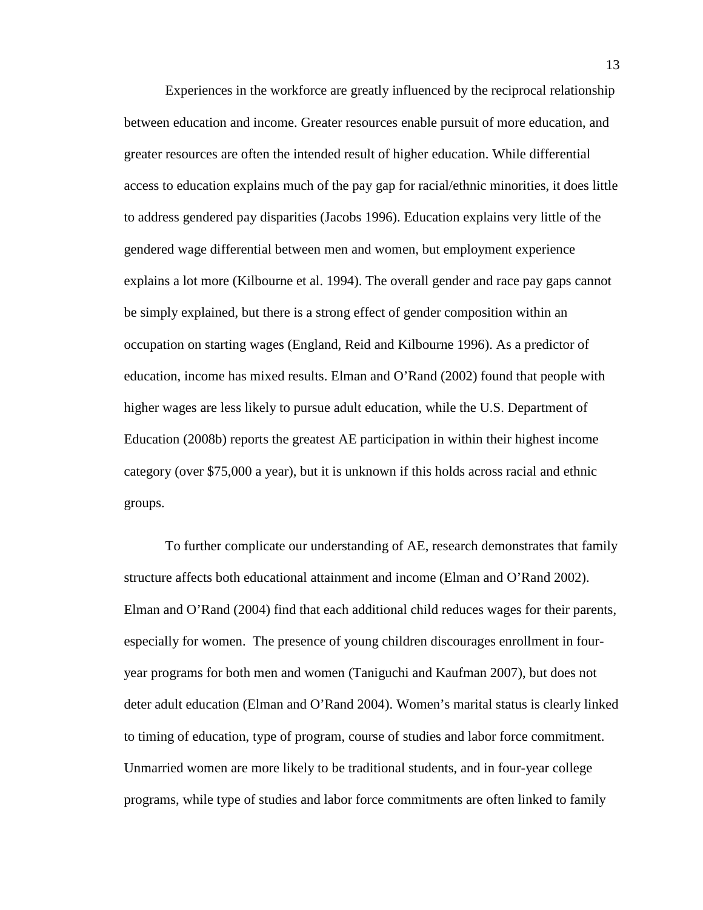Experiences in the workforce are greatly influenced by the reciprocal relationship between education and income. Greater resources enable pursuit of more education, and greater resources are often the intended result of higher education. While differential access to education explains much of the pay gap for racial/ethnic minorities, it does little to address gendered pay disparities (Jacobs 1996). Education explains very little of the gendered wage differential between men and women, but employment experience explains a lot more (Kilbourne et al. 1994). The overall gender and race pay gaps cannot be simply explained, but there is a strong effect of gender composition within an occupation on starting wages (England, Reid and Kilbourne 1996). As a predictor of education, income has mixed results. Elman and O'Rand (2002) found that people with higher wages are less likely to pursue adult education, while the U.S. Department of Education (2008b) reports the greatest AE participation in within their highest income category (over \$75,000 a year), but it is unknown if this holds across racial and ethnic groups.

To further complicate our understanding of AE, research demonstrates that family structure affects both educational attainment and income (Elman and O'Rand 2002). Elman and O'Rand (2004) find that each additional child reduces wages for their parents, especially for women. The presence of young children discourages enrollment in fouryear programs for both men and women (Taniguchi and Kaufman 2007), but does not deter adult education (Elman and O'Rand 2004). Women's marital status is clearly linked to timing of education, type of program, course of studies and labor force commitment. Unmarried women are more likely to be traditional students, and in four-year college programs, while type of studies and labor force commitments are often linked to family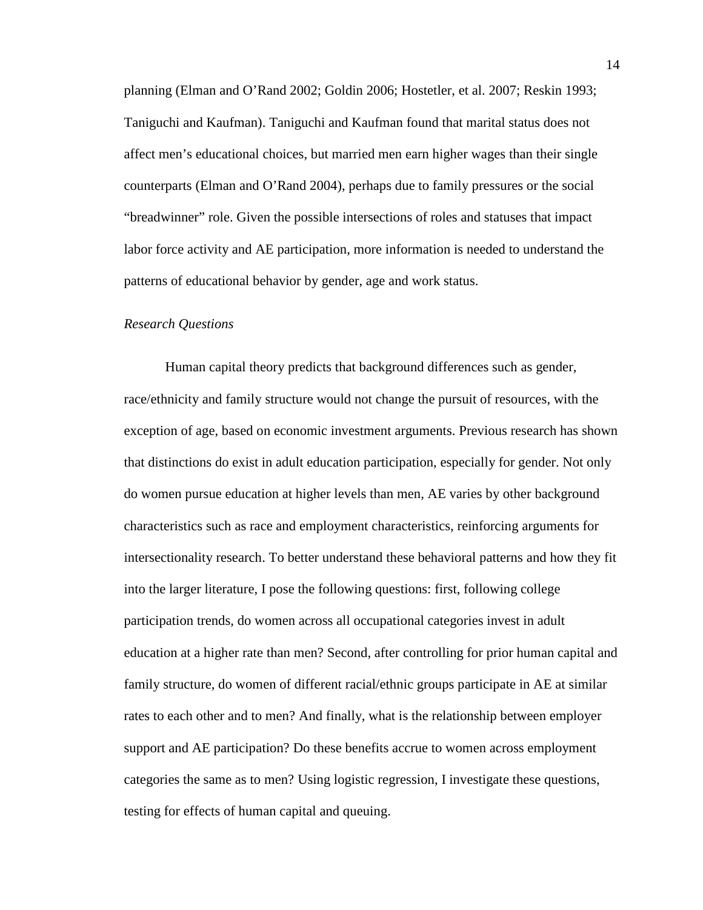planning (Elman and O'Rand 2002; Goldin 2006; Hostetler, et al. 2007; Reskin 1993; Taniguchi and Kaufman). Taniguchi and Kaufman found that marital status does not affect men's educational choices, but married men earn higher wages than their single counterparts (Elman and O'Rand 2004), perhaps due to family pressures or the social "breadwinner" role. Given the possible intersections of roles and statuses that impact labor force activity and AE participation, more information is needed to understand the patterns of educational behavior by gender, age and work status.

#### *Research Questions*

Human capital theory predicts that background differences such as gender, race/ethnicity and family structure would not change the pursuit of resources, with the exception of age, based on economic investment arguments. Previous research has shown that distinctions do exist in adult education participation, especially for gender. Not only do women pursue education at higher levels than men, AE varies by other background characteristics such as race and employment characteristics, reinforcing arguments for intersectionality research. To better understand these behavioral patterns and how they fit into the larger literature, I pose the following questions: first, following college participation trends, do women across all occupational categories invest in adult education at a higher rate than men? Second, after controlling for prior human capital and family structure, do women of different racial/ethnic groups participate in AE at similar rates to each other and to men? And finally, what is the relationship between employer support and AE participation? Do these benefits accrue to women across employment categories the same as to men? Using logistic regression, I investigate these questions, testing for effects of human capital and queuing.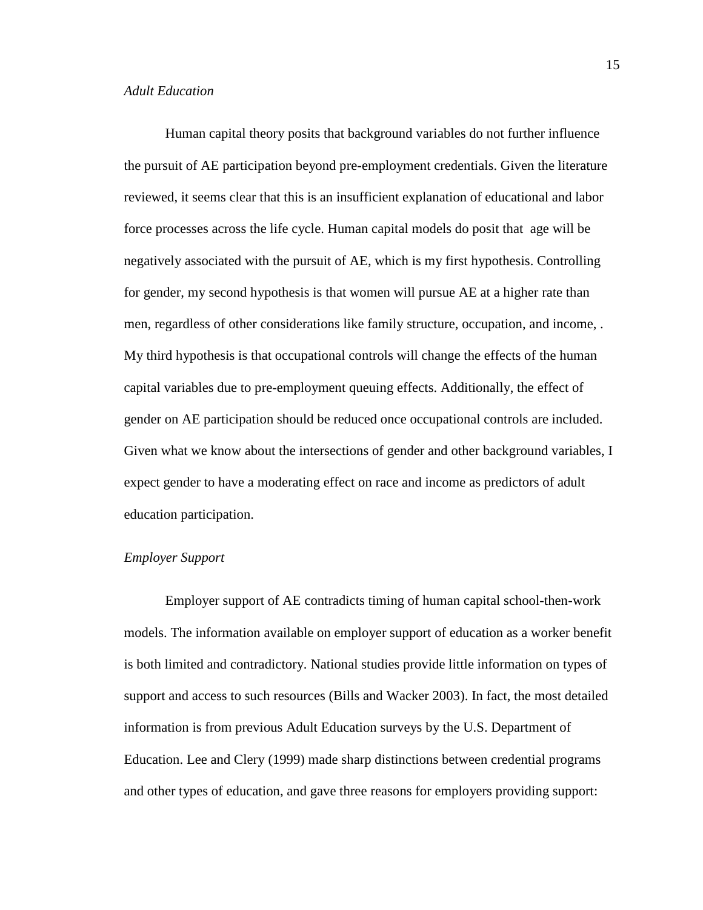Human capital theory posits that background variables do not further influence the pursuit of AE participation beyond pre-employment credentials. Given the literature reviewed, it seems clear that this is an insufficient explanation of educational and labor force processes across the life cycle. Human capital models do posit that age will be negatively associated with the pursuit of AE, which is my first hypothesis. Controlling for gender, my second hypothesis is that women will pursue AE at a higher rate than men, regardless of other considerations like family structure, occupation, and income, . My third hypothesis is that occupational controls will change the effects of the human capital variables due to pre-employment queuing effects. Additionally, the effect of gender on AE participation should be reduced once occupational controls are included. Given what we know about the intersections of gender and other background variables, I expect gender to have a moderating effect on race and income as predictors of adult education participation.

#### *Employer Support*

Employer support of AE contradicts timing of human capital school-then-work models. The information available on employer support of education as a worker benefit is both limited and contradictory. National studies provide little information on types of support and access to such resources (Bills and Wacker 2003). In fact, the most detailed information is from previous Adult Education surveys by the U.S. Department of Education. Lee and Clery (1999) made sharp distinctions between credential programs and other types of education, and gave three reasons for employers providing support: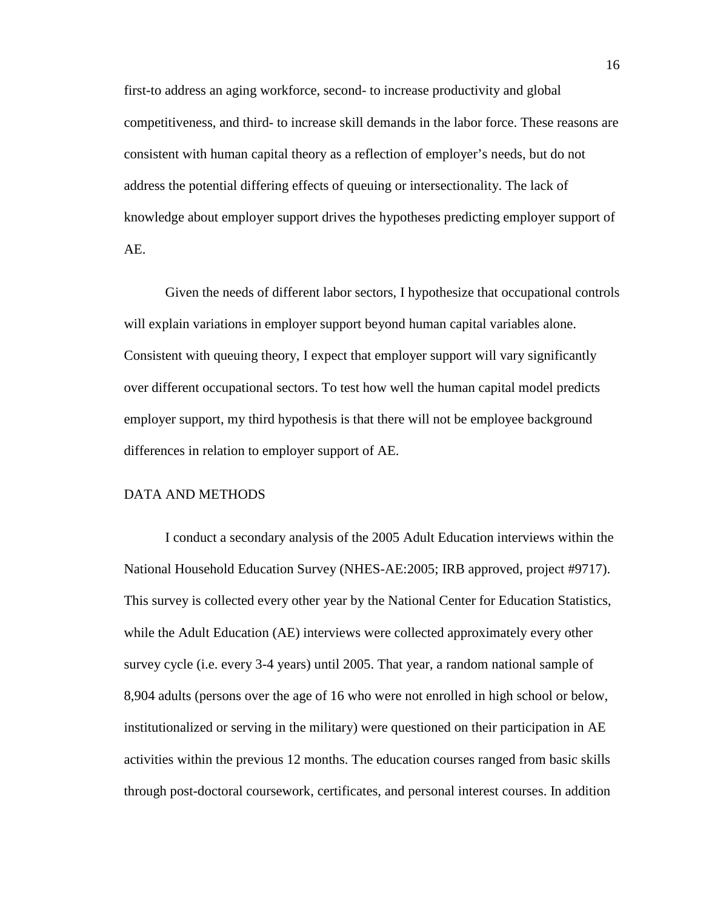first-to address an aging workforce, second- to increase productivity and global competitiveness, and third- to increase skill demands in the labor force. These reasons are consistent with human capital theory as a reflection of employer's needs, but do not address the potential differing effects of queuing or intersectionality. The lack of knowledge about employer support drives the hypotheses predicting employer support of AE.

Given the needs of different labor sectors, I hypothesize that occupational controls will explain variations in employer support beyond human capital variables alone. Consistent with queuing theory, I expect that employer support will vary significantly over different occupational sectors. To test how well the human capital model predicts employer support, my third hypothesis is that there will not be employee background differences in relation to employer support of AE.

#### DATA AND METHODS

I conduct a secondary analysis of the 2005 Adult Education interviews within the National Household Education Survey (NHES-AE:2005; IRB approved, project #9717). This survey is collected every other year by the National Center for Education Statistics, while the Adult Education (AE) interviews were collected approximately every other survey cycle (i.e. every 3-4 years) until 2005. That year, a random national sample of 8,904 adults (persons over the age of 16 who were not enrolled in high school or below, institutionalized or serving in the military) were questioned on their participation in AE activities within the previous 12 months. The education courses ranged from basic skills through post-doctoral coursework, certificates, and personal interest courses. In addition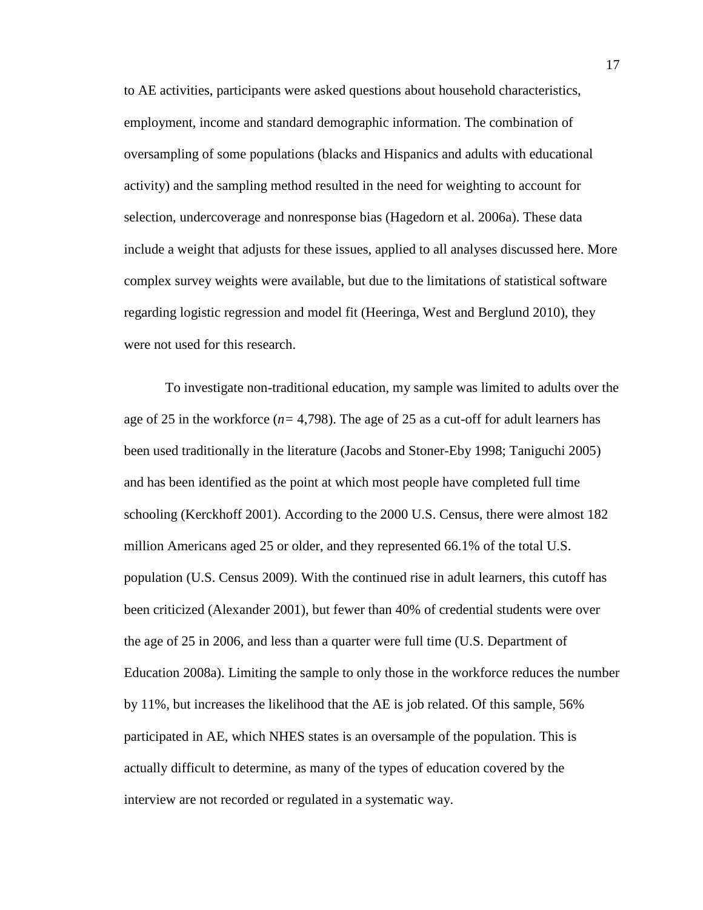to AE activities, participants were asked questions about household characteristics, employment, income and standard demographic information. The combination of oversampling of some populations (blacks and Hispanics and adults with educational activity) and the sampling method resulted in the need for weighting to account for selection, undercoverage and nonresponse bias (Hagedorn et al. 2006a). These data include a weight that adjusts for these issues, applied to all analyses discussed here. More complex survey weights were available, but due to the limitations of statistical software regarding logistic regression and model fit (Heeringa, West and Berglund 2010), they were not used for this research.

To investigate non-traditional education, my sample was limited to adults over the age of 25 in the workforce  $(n=4,798)$ . The age of 25 as a cut-off for adult learners has been used traditionally in the literature (Jacobs and Stoner-Eby 1998; Taniguchi 2005) and has been identified as the point at which most people have completed full time schooling (Kerckhoff 2001). According to the 2000 U.S. Census, there were almost 182 million Americans aged 25 or older, and they represented 66.1% of the total U.S. population (U.S. Census 2009). With the continued rise in adult learners, this cutoff has been criticized (Alexander 2001), but fewer than 40% of credential students were over the age of 25 in 2006, and less than a quarter were full time (U.S. Department of Education 2008a). Limiting the sample to only those in the workforce reduces the number by 11%, but increases the likelihood that the AE is job related. Of this sample, 56% participated in AE, which NHES states is an oversample of the population. This is actually difficult to determine, as many of the types of education covered by the interview are not recorded or regulated in a systematic way.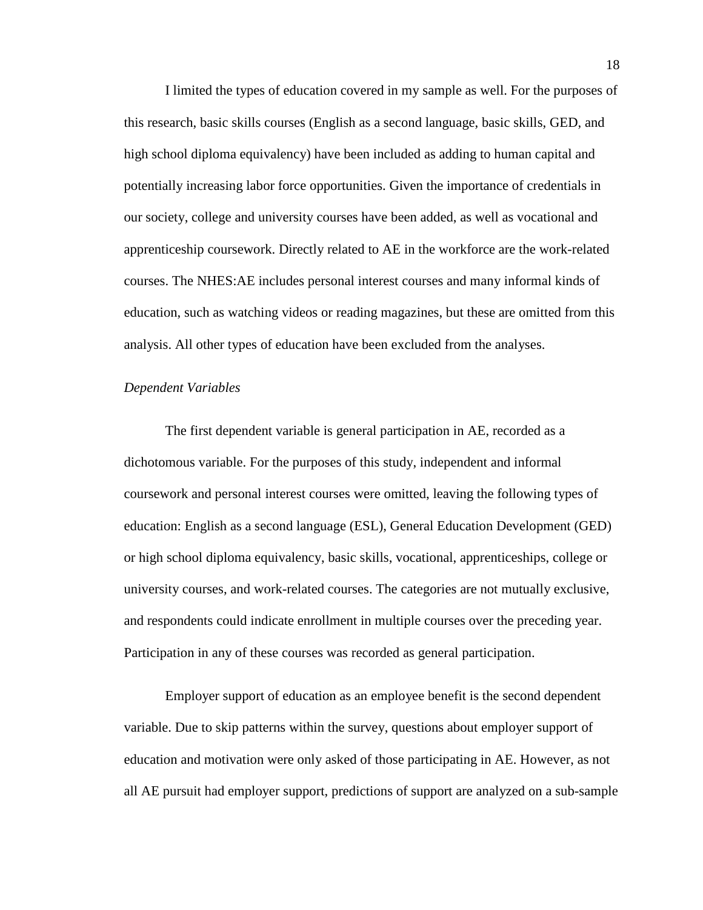I limited the types of education covered in my sample as well. For the purposes of this research, basic skills courses (English as a second language, basic skills, GED, and high school diploma equivalency) have been included as adding to human capital and potentially increasing labor force opportunities. Given the importance of credentials in our society, college and university courses have been added, as well as vocational and apprenticeship coursework. Directly related to AE in the workforce are the work-related courses. The NHES:AE includes personal interest courses and many informal kinds of education, such as watching videos or reading magazines, but these are omitted from this analysis. All other types of education have been excluded from the analyses.

#### *Dependent Variables*

The first dependent variable is general participation in AE, recorded as a dichotomous variable. For the purposes of this study, independent and informal coursework and personal interest courses were omitted, leaving the following types of education: English as a second language (ESL), General Education Development (GED) or high school diploma equivalency, basic skills, vocational, apprenticeships, college or university courses, and work-related courses. The categories are not mutually exclusive, and respondents could indicate enrollment in multiple courses over the preceding year. Participation in any of these courses was recorded as general participation.

Employer support of education as an employee benefit is the second dependent variable. Due to skip patterns within the survey, questions about employer support of education and motivation were only asked of those participating in AE. However, as not all AE pursuit had employer support, predictions of support are analyzed on a sub-sample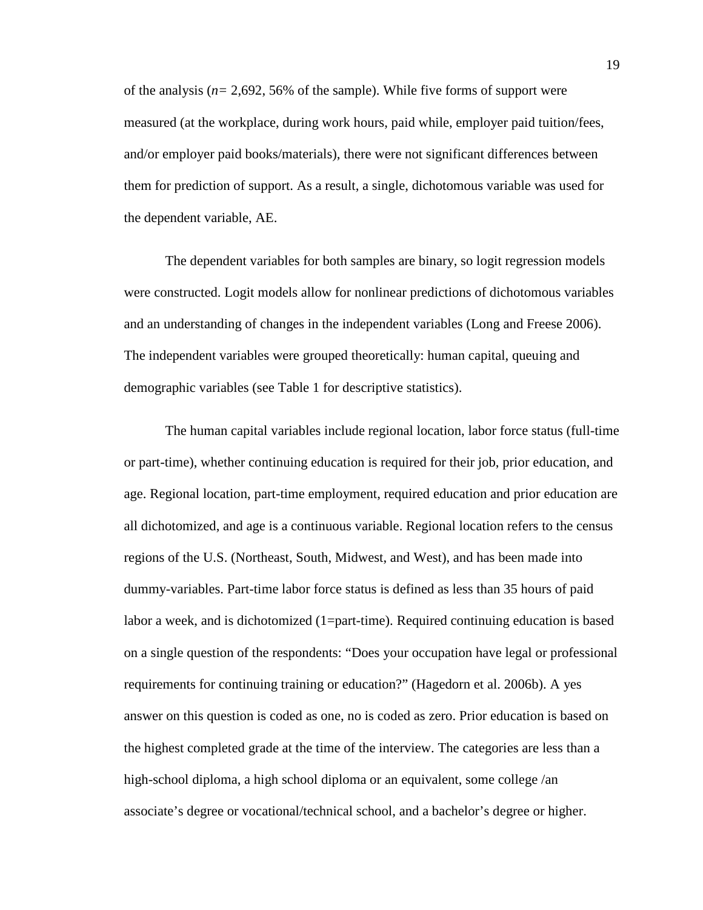of the analysis (*n=* 2,692, 56% of the sample). While five forms of support were measured (at the workplace, during work hours, paid while, employer paid tuition/fees, and/or employer paid books/materials), there were not significant differences between them for prediction of support. As a result, a single, dichotomous variable was used for the dependent variable, AE.

The dependent variables for both samples are binary, so logit regression models were constructed. Logit models allow for nonlinear predictions of dichotomous variables and an understanding of changes in the independent variables (Long and Freese 2006). The independent variables were grouped theoretically: human capital, queuing and demographic variables (see Table 1 for descriptive statistics).

The human capital variables include regional location, labor force status (full-time or part-time), whether continuing education is required for their job, prior education, and age. Regional location, part-time employment, required education and prior education are all dichotomized, and age is a continuous variable. Regional location refers to the census regions of the U.S. (Northeast, South, Midwest, and West), and has been made into dummy-variables. Part-time labor force status is defined as less than 35 hours of paid labor a week, and is dichotomized (1=part-time). Required continuing education is based on a single question of the respondents: "Does your occupation have legal or professional requirements for continuing training or education?" (Hagedorn et al. 2006b). A yes answer on this question is coded as one, no is coded as zero. Prior education is based on the highest completed grade at the time of the interview. The categories are less than a high-school diploma, a high school diploma or an equivalent, some college /an associate's degree or vocational/technical school, and a bachelor's degree or higher.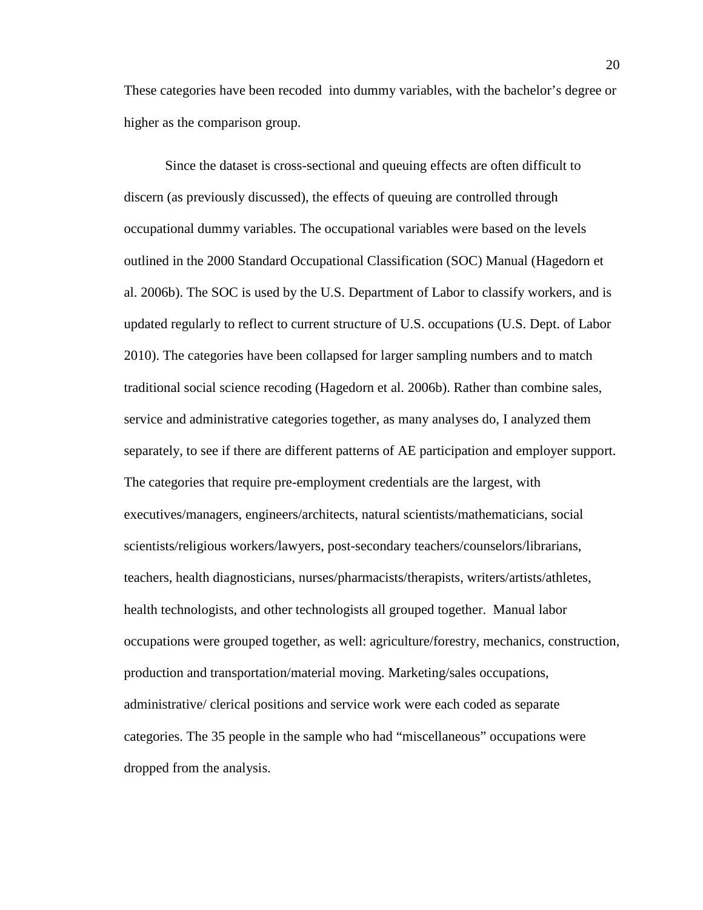These categories have been recoded into dummy variables, with the bachelor's degree or higher as the comparison group.

Since the dataset is cross-sectional and queuing effects are often difficult to discern (as previously discussed), the effects of queuing are controlled through occupational dummy variables. The occupational variables were based on the levels outlined in the 2000 Standard Occupational Classification (SOC) Manual (Hagedorn et al. 2006b). The SOC is used by the U.S. Department of Labor to classify workers, and is updated regularly to reflect to current structure of U.S. occupations (U.S. Dept. of Labor 2010). The categories have been collapsed for larger sampling numbers and to match traditional social science recoding (Hagedorn et al. 2006b). Rather than combine sales, service and administrative categories together, as many analyses do, I analyzed them separately, to see if there are different patterns of AE participation and employer support. The categories that require pre-employment credentials are the largest, with executives/managers, engineers/architects, natural scientists/mathematicians, social scientists/religious workers/lawyers, post-secondary teachers/counselors/librarians, teachers, health diagnosticians, nurses/pharmacists/therapists, writers/artists/athletes, health technologists, and other technologists all grouped together. Manual labor occupations were grouped together, as well: agriculture/forestry, mechanics, construction, production and transportation/material moving. Marketing/sales occupations, administrative/ clerical positions and service work were each coded as separate categories. The 35 people in the sample who had "miscellaneous" occupations were dropped from the analysis.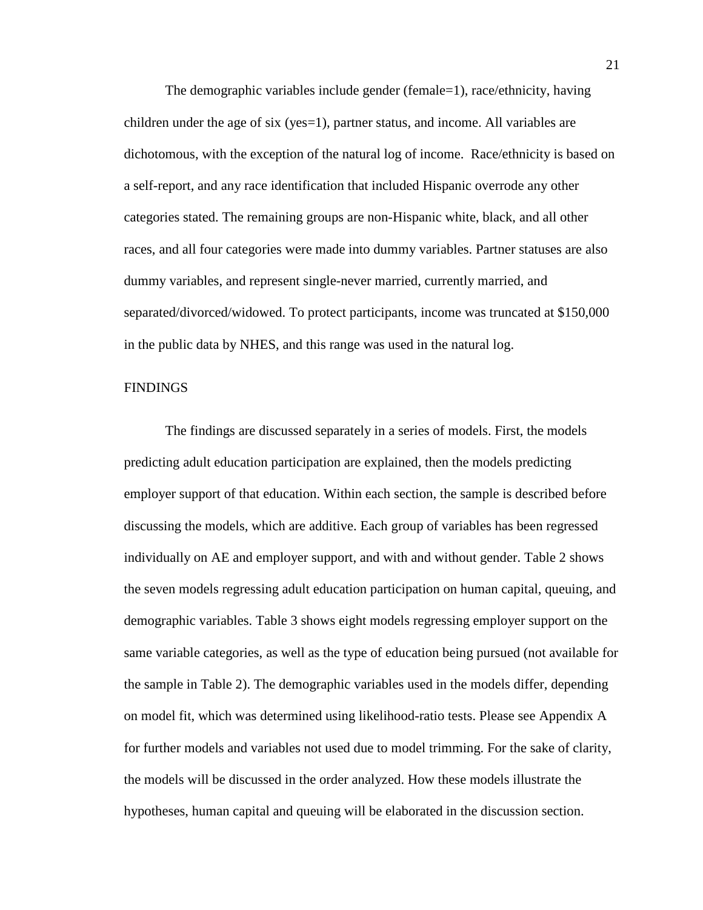The demographic variables include gender (female=1), race/ethnicity, having children under the age of six (yes=1), partner status, and income. All variables are dichotomous, with the exception of the natural log of income. Race/ethnicity is based on a self-report, and any race identification that included Hispanic overrode any other categories stated. The remaining groups are non-Hispanic white, black, and all other races, and all four categories were made into dummy variables. Partner statuses are also dummy variables, and represent single-never married, currently married, and separated/divorced/widowed. To protect participants, income was truncated at \$150,000 in the public data by NHES, and this range was used in the natural log.

#### **FINDINGS**

The findings are discussed separately in a series of models. First, the models predicting adult education participation are explained, then the models predicting employer support of that education. Within each section, the sample is described before discussing the models, which are additive. Each group of variables has been regressed individually on AE and employer support, and with and without gender. Table 2 shows the seven models regressing adult education participation on human capital, queuing, and demographic variables. Table 3 shows eight models regressing employer support on the same variable categories, as well as the type of education being pursued (not available for the sample in Table 2). The demographic variables used in the models differ, depending on model fit, which was determined using likelihood-ratio tests. Please see Appendix A for further models and variables not used due to model trimming. For the sake of clarity, the models will be discussed in the order analyzed. How these models illustrate the hypotheses, human capital and queuing will be elaborated in the discussion section.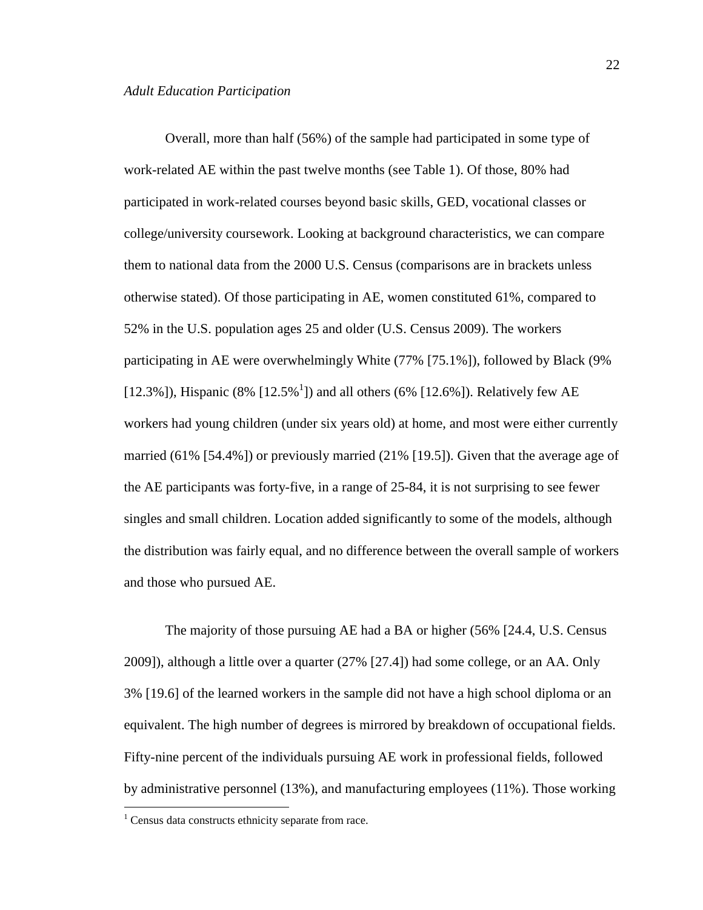Overall, more than half (56%) of the sample had participated in some type of work-related AE within the past twelve months (see Table 1). Of those, 80% had participated in work-related courses beyond basic skills, GED, vocational classes or college/university coursework. Looking at background characteristics, we can compare them to national data from the 2000 U.S. Census (comparisons are in brackets unless otherwise stated). Of those participating in AE, women constituted 61%, compared to 52% in the U.S. population ages 25 and older (U.S. Census 2009). The workers participating in AE were overwhelmingly White (77% [75.1%]), followed by Black (9% [12.3%]), Hispanic (8% [12.5%<sup>1</sup>]) and all others (6% [12.6%]). Relatively few AE workers had young children (under six years old) at home, and most were either currently married (61% [54.4%]) or previously married (21% [19.5]). Given that the average age of the AE participants was forty-five, in a range of 25-84, it is not surprising to see fewer singles and small children. Location added significantly to some of the models, although the distribution was fairly equal, and no difference between the overall sample of workers and those who pursued AE.

The majority of those pursuing AE had a BA or higher (56% [24.4, U.S. Census 2009]), although a little over a quarter (27% [27.4]) had some college, or an AA. Only 3% [19.6] of the learned workers in the sample did not have a high school diploma or an equivalent. The high number of degrees is mirrored by breakdown of occupational fields. Fifty-nine percent of the individuals pursuing AE work in professional fields, followed by administrative personnel (13%), and manufacturing employees (11%). Those working

<u>.</u>

<sup>&</sup>lt;sup>1</sup> Census data constructs ethnicity separate from race.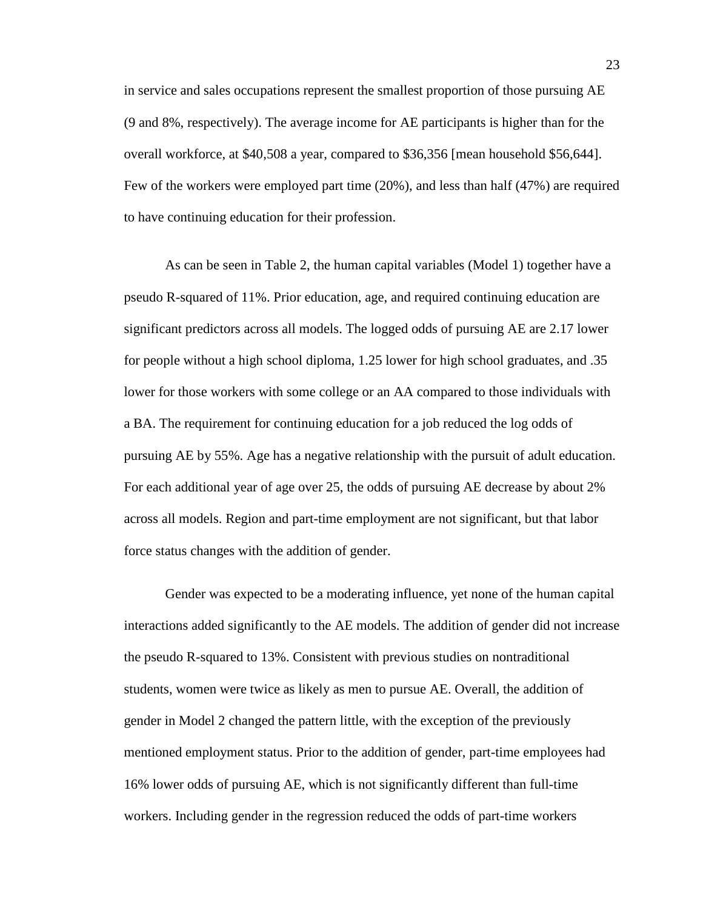in service and sales occupations represent the smallest proportion of those pursuing AE (9 and 8%, respectively). The average income for AE participants is higher than for the overall workforce, at \$40,508 a year, compared to \$36,356 [mean household \$56,644]. Few of the workers were employed part time (20%), and less than half (47%) are required to have continuing education for their profession.

As can be seen in Table 2, the human capital variables (Model 1) together have a pseudo R-squared of 11%. Prior education, age, and required continuing education are significant predictors across all models. The logged odds of pursuing AE are 2.17 lower for people without a high school diploma, 1.25 lower for high school graduates, and .35 lower for those workers with some college or an AA compared to those individuals with a BA. The requirement for continuing education for a job reduced the log odds of pursuing AE by 55%. Age has a negative relationship with the pursuit of adult education. For each additional year of age over 25, the odds of pursuing AE decrease by about 2% across all models. Region and part-time employment are not significant, but that labor force status changes with the addition of gender.

Gender was expected to be a moderating influence, yet none of the human capital interactions added significantly to the AE models. The addition of gender did not increase the pseudo R-squared to 13%. Consistent with previous studies on nontraditional students, women were twice as likely as men to pursue AE. Overall, the addition of gender in Model 2 changed the pattern little, with the exception of the previously mentioned employment status. Prior to the addition of gender, part-time employees had 16% lower odds of pursuing AE, which is not significantly different than full-time workers. Including gender in the regression reduced the odds of part-time workers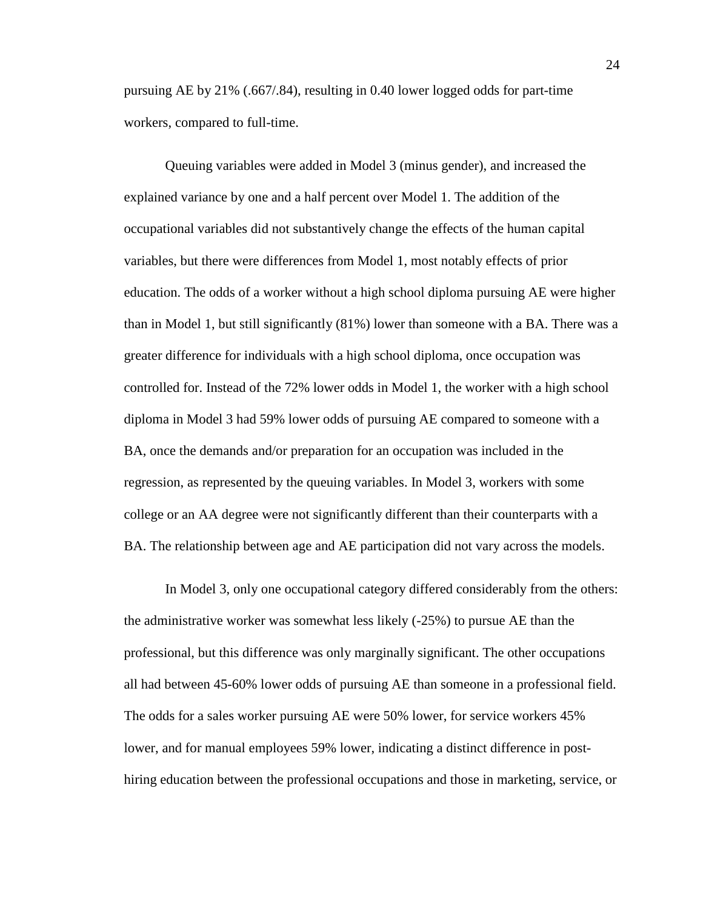pursuing AE by 21% (.667/.84), resulting in 0.40 lower logged odds for part-time workers, compared to full-time.

Queuing variables were added in Model 3 (minus gender), and increased the explained variance by one and a half percent over Model 1. The addition of the occupational variables did not substantively change the effects of the human capital variables, but there were differences from Model 1, most notably effects of prior education. The odds of a worker without a high school diploma pursuing AE were higher than in Model 1, but still significantly (81%) lower than someone with a BA. There was a greater difference for individuals with a high school diploma, once occupation was controlled for. Instead of the 72% lower odds in Model 1, the worker with a high school diploma in Model 3 had 59% lower odds of pursuing AE compared to someone with a BA, once the demands and/or preparation for an occupation was included in the regression, as represented by the queuing variables. In Model 3, workers with some college or an AA degree were not significantly different than their counterparts with a BA. The relationship between age and AE participation did not vary across the models.

In Model 3, only one occupational category differed considerably from the others: the administrative worker was somewhat less likely (-25%) to pursue AE than the professional, but this difference was only marginally significant. The other occupations all had between 45-60% lower odds of pursuing AE than someone in a professional field. The odds for a sales worker pursuing AE were 50% lower, for service workers 45% lower, and for manual employees 59% lower, indicating a distinct difference in posthiring education between the professional occupations and those in marketing, service, or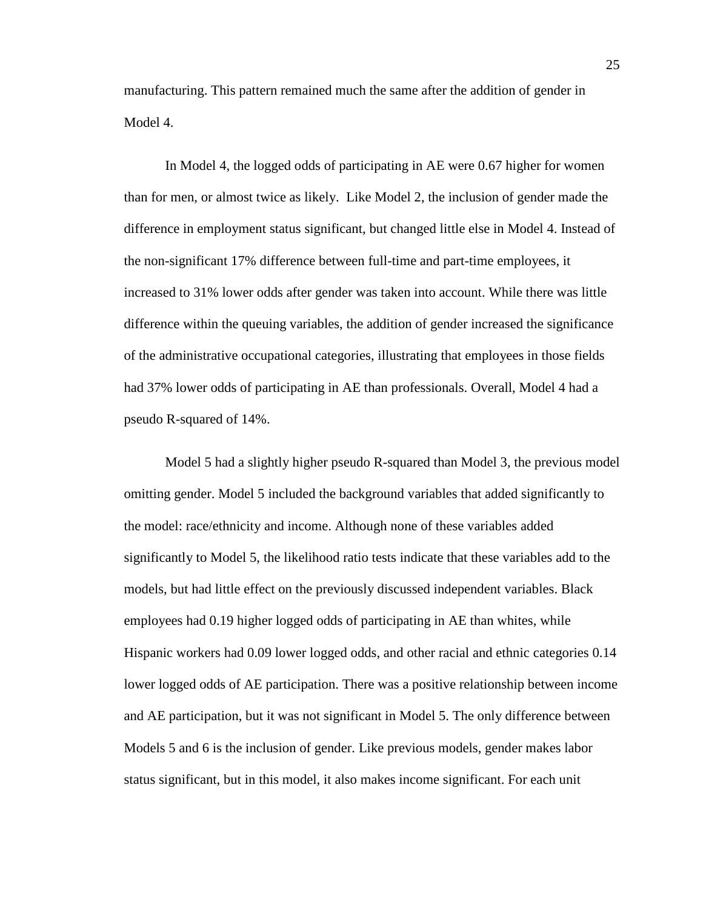manufacturing. This pattern remained much the same after the addition of gender in Model 4.

In Model 4, the logged odds of participating in AE were 0.67 higher for women than for men, or almost twice as likely. Like Model 2, the inclusion of gender made the difference in employment status significant, but changed little else in Model 4. Instead of the non-significant 17% difference between full-time and part-time employees, it increased to 31% lower odds after gender was taken into account. While there was little difference within the queuing variables, the addition of gender increased the significance of the administrative occupational categories, illustrating that employees in those fields had 37% lower odds of participating in AE than professionals. Overall, Model 4 had a pseudo R-squared of 14%.

Model 5 had a slightly higher pseudo R-squared than Model 3, the previous model omitting gender. Model 5 included the background variables that added significantly to the model: race/ethnicity and income. Although none of these variables added significantly to Model 5, the likelihood ratio tests indicate that these variables add to the models, but had little effect on the previously discussed independent variables. Black employees had 0.19 higher logged odds of participating in AE than whites, while Hispanic workers had 0.09 lower logged odds, and other racial and ethnic categories 0.14 lower logged odds of AE participation. There was a positive relationship between income and AE participation, but it was not significant in Model 5. The only difference between Models 5 and 6 is the inclusion of gender. Like previous models, gender makes labor status significant, but in this model, it also makes income significant. For each unit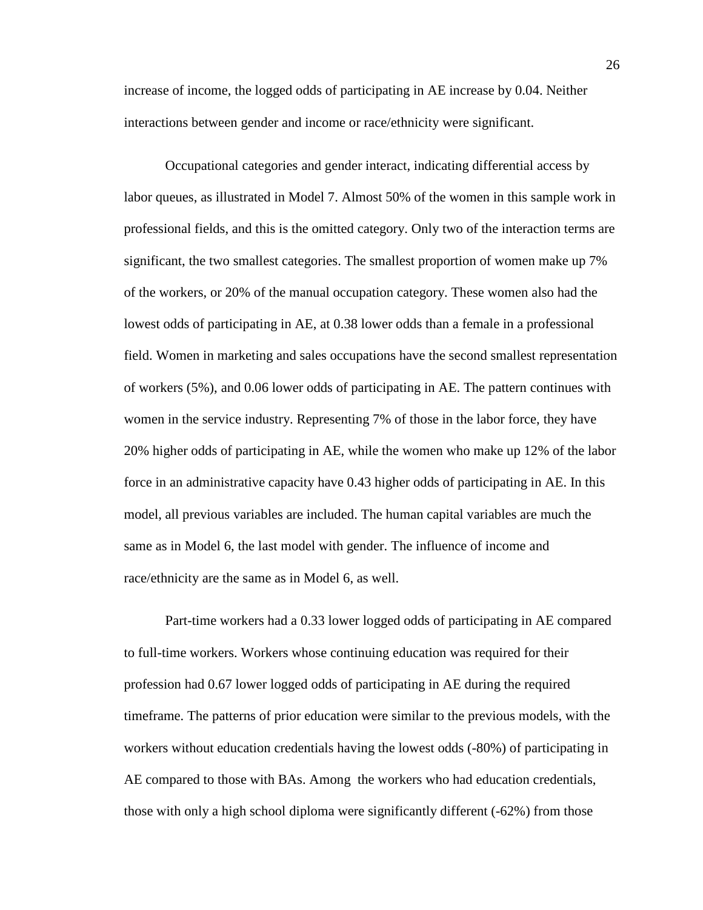increase of income, the logged odds of participating in AE increase by 0.04. Neither interactions between gender and income or race/ethnicity were significant.

Occupational categories and gender interact, indicating differential access by labor queues, as illustrated in Model 7. Almost 50% of the women in this sample work in professional fields, and this is the omitted category. Only two of the interaction terms are significant, the two smallest categories. The smallest proportion of women make up 7% of the workers, or 20% of the manual occupation category. These women also had the lowest odds of participating in AE, at 0.38 lower odds than a female in a professional field. Women in marketing and sales occupations have the second smallest representation of workers (5%), and 0.06 lower odds of participating in AE. The pattern continues with women in the service industry. Representing 7% of those in the labor force, they have 20% higher odds of participating in AE, while the women who make up 12% of the labor force in an administrative capacity have 0.43 higher odds of participating in AE. In this model, all previous variables are included. The human capital variables are much the same as in Model 6, the last model with gender. The influence of income and race/ethnicity are the same as in Model 6, as well.

Part-time workers had a 0.33 lower logged odds of participating in AE compared to full-time workers. Workers whose continuing education was required for their profession had 0.67 lower logged odds of participating in AE during the required timeframe. The patterns of prior education were similar to the previous models, with the workers without education credentials having the lowest odds (-80%) of participating in AE compared to those with BAs. Among the workers who had education credentials, those with only a high school diploma were significantly different (-62%) from those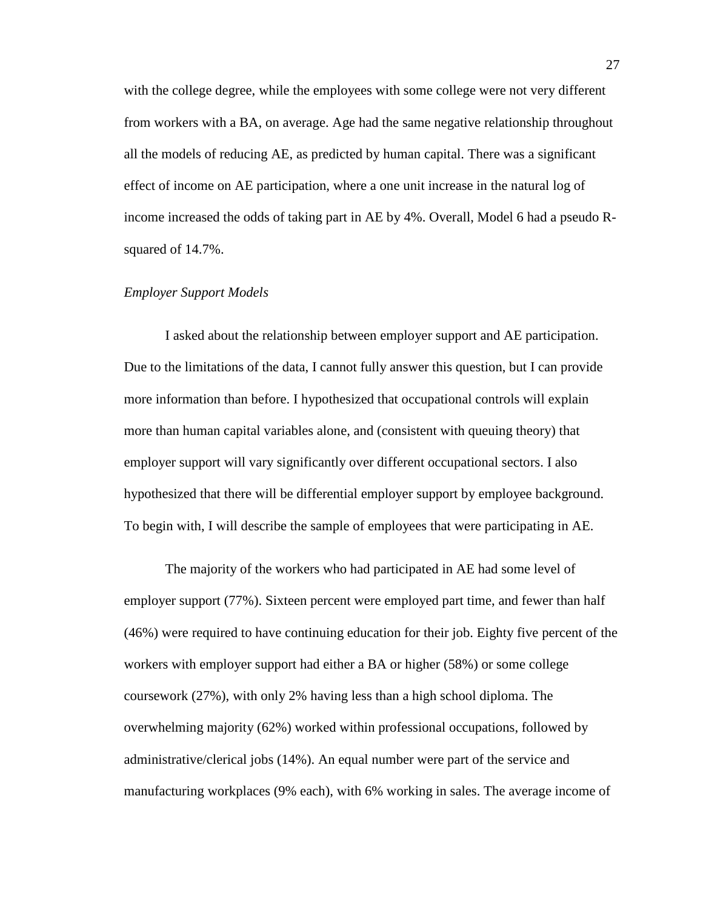with the college degree, while the employees with some college were not very different from workers with a BA, on average. Age had the same negative relationship throughout all the models of reducing AE, as predicted by human capital. There was a significant effect of income on AE participation, where a one unit increase in the natural log of income increased the odds of taking part in AE by 4%. Overall, Model 6 had a pseudo Rsquared of 14.7%.

### *Employer Support Models*

I asked about the relationship between employer support and AE participation. Due to the limitations of the data, I cannot fully answer this question, but I can provide more information than before. I hypothesized that occupational controls will explain more than human capital variables alone, and (consistent with queuing theory) that employer support will vary significantly over different occupational sectors. I also hypothesized that there will be differential employer support by employee background. To begin with, I will describe the sample of employees that were participating in AE.

The majority of the workers who had participated in AE had some level of employer support (77%). Sixteen percent were employed part time, and fewer than half (46%) were required to have continuing education for their job. Eighty five percent of the workers with employer support had either a BA or higher (58%) or some college coursework (27%), with only 2% having less than a high school diploma. The overwhelming majority (62%) worked within professional occupations, followed by administrative/clerical jobs (14%). An equal number were part of the service and manufacturing workplaces (9% each), with 6% working in sales. The average income of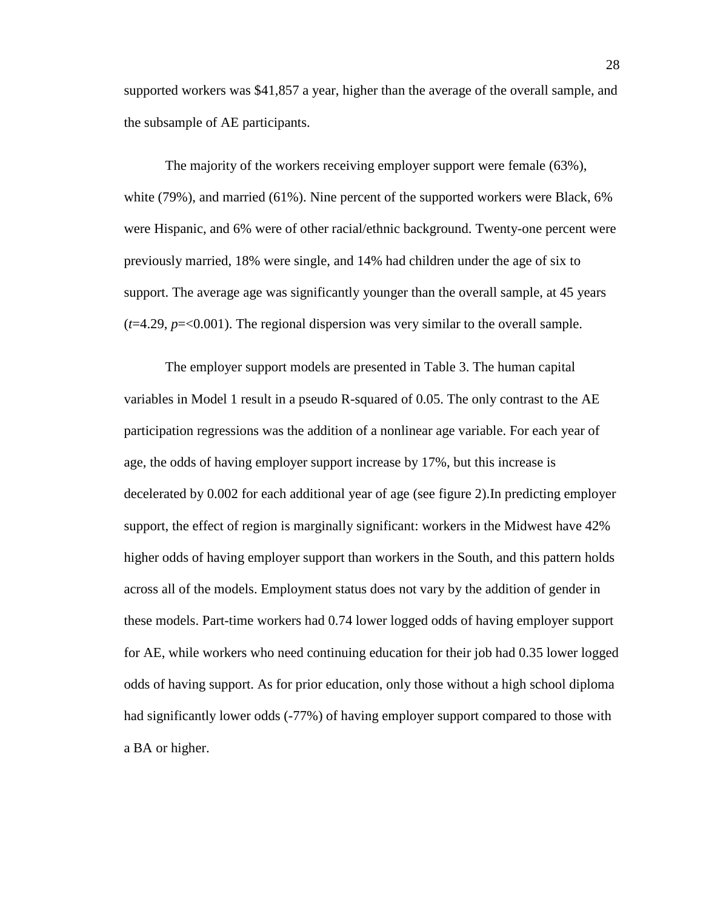supported workers was \$41,857 a year, higher than the average of the overall sample, and the subsample of AE participants.

The majority of the workers receiving employer support were female (63%), white (79%), and married (61%). Nine percent of the supported workers were Black, 6% were Hispanic, and 6% were of other racial/ethnic background. Twenty-one percent were previously married, 18% were single, and 14% had children under the age of six to support. The average age was significantly younger than the overall sample, at 45 years  $(t=4.29, p=<0.001)$ . The regional dispersion was very similar to the overall sample.

The employer support models are presented in Table 3. The human capital variables in Model 1 result in a pseudo R-squared of 0.05. The only contrast to the AE participation regressions was the addition of a nonlinear age variable. For each year of age, the odds of having employer support increase by 17%, but this increase is decelerated by 0.002 for each additional year of age (see figure 2).In predicting employer support, the effect of region is marginally significant: workers in the Midwest have 42% higher odds of having employer support than workers in the South, and this pattern holds across all of the models. Employment status does not vary by the addition of gender in these models. Part-time workers had 0.74 lower logged odds of having employer support for AE, while workers who need continuing education for their job had 0.35 lower logged odds of having support. As for prior education, only those without a high school diploma had significantly lower odds (-77%) of having employer support compared to those with a BA or higher.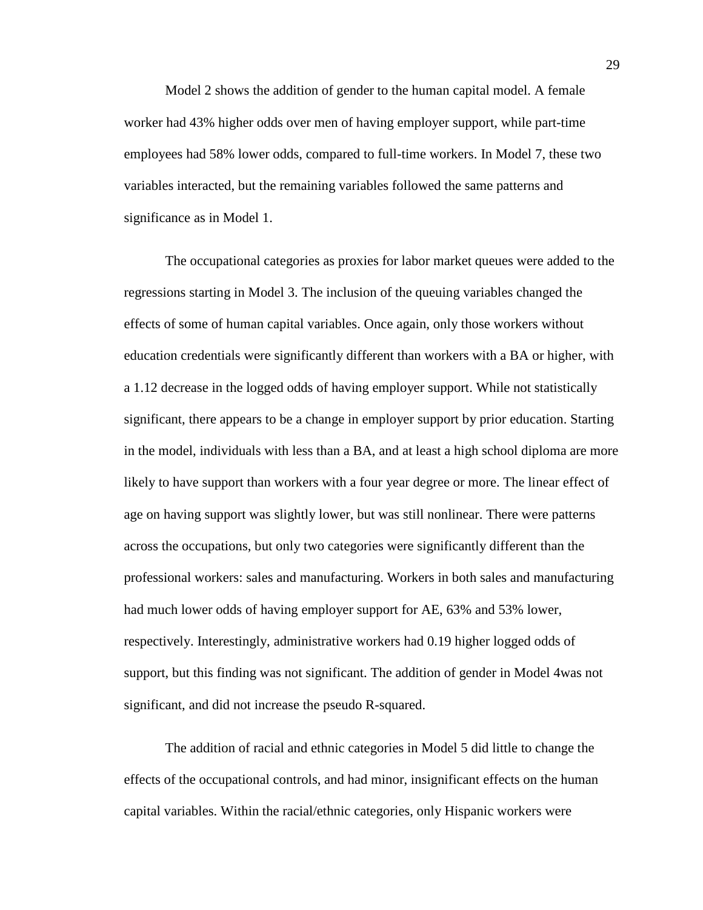Model 2 shows the addition of gender to the human capital model. A female worker had 43% higher odds over men of having employer support, while part-time employees had 58% lower odds, compared to full-time workers. In Model 7, these two variables interacted, but the remaining variables followed the same patterns and significance as in Model 1.

The occupational categories as proxies for labor market queues were added to the regressions starting in Model 3. The inclusion of the queuing variables changed the effects of some of human capital variables. Once again, only those workers without education credentials were significantly different than workers with a BA or higher, with a 1.12 decrease in the logged odds of having employer support. While not statistically significant, there appears to be a change in employer support by prior education. Starting in the model, individuals with less than a BA, and at least a high school diploma are more likely to have support than workers with a four year degree or more. The linear effect of age on having support was slightly lower, but was still nonlinear. There were patterns across the occupations, but only two categories were significantly different than the professional workers: sales and manufacturing. Workers in both sales and manufacturing had much lower odds of having employer support for AE, 63% and 53% lower, respectively. Interestingly, administrative workers had 0.19 higher logged odds of support, but this finding was not significant. The addition of gender in Model 4was not significant, and did not increase the pseudo R-squared.

The addition of racial and ethnic categories in Model 5 did little to change the effects of the occupational controls, and had minor, insignificant effects on the human capital variables. Within the racial/ethnic categories, only Hispanic workers were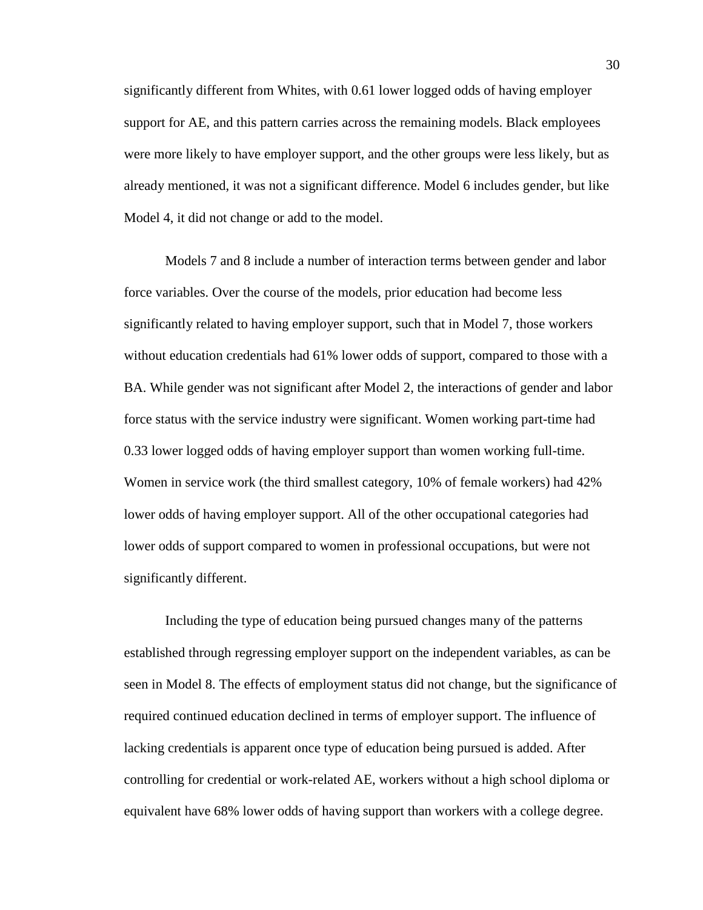significantly different from Whites, with 0.61 lower logged odds of having employer support for AE, and this pattern carries across the remaining models. Black employees were more likely to have employer support, and the other groups were less likely, but as already mentioned, it was not a significant difference. Model 6 includes gender, but like Model 4, it did not change or add to the model.

Models 7 and 8 include a number of interaction terms between gender and labor force variables. Over the course of the models, prior education had become less significantly related to having employer support, such that in Model 7, those workers without education credentials had 61% lower odds of support, compared to those with a BA. While gender was not significant after Model 2, the interactions of gender and labor force status with the service industry were significant. Women working part-time had 0.33 lower logged odds of having employer support than women working full-time. Women in service work (the third smallest category, 10% of female workers) had 42% lower odds of having employer support. All of the other occupational categories had lower odds of support compared to women in professional occupations, but were not significantly different.

Including the type of education being pursued changes many of the patterns established through regressing employer support on the independent variables, as can be seen in Model 8. The effects of employment status did not change, but the significance of required continued education declined in terms of employer support. The influence of lacking credentials is apparent once type of education being pursued is added. After controlling for credential or work-related AE, workers without a high school diploma or equivalent have 68% lower odds of having support than workers with a college degree.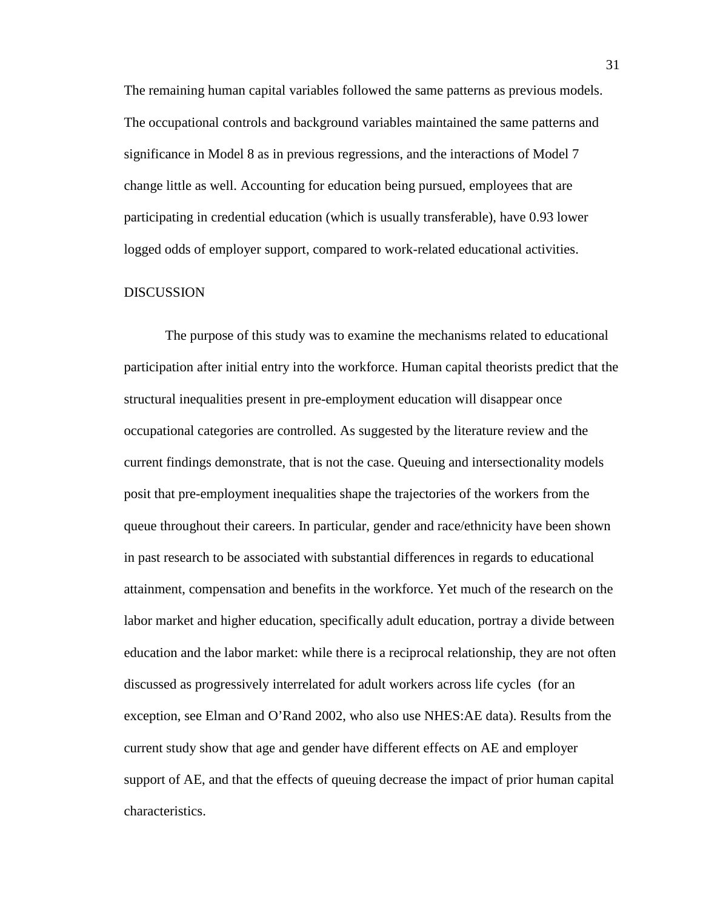The remaining human capital variables followed the same patterns as previous models. The occupational controls and background variables maintained the same patterns and significance in Model 8 as in previous regressions, and the interactions of Model 7 change little as well. Accounting for education being pursued, employees that are participating in credential education (which is usually transferable), have 0.93 lower logged odds of employer support, compared to work-related educational activities.

### DISCUSSION

The purpose of this study was to examine the mechanisms related to educational participation after initial entry into the workforce. Human capital theorists predict that the structural inequalities present in pre-employment education will disappear once occupational categories are controlled. As suggested by the literature review and the current findings demonstrate, that is not the case. Queuing and intersectionality models posit that pre-employment inequalities shape the trajectories of the workers from the queue throughout their careers. In particular, gender and race/ethnicity have been shown in past research to be associated with substantial differences in regards to educational attainment, compensation and benefits in the workforce. Yet much of the research on the labor market and higher education, specifically adult education, portray a divide between education and the labor market: while there is a reciprocal relationship, they are not often discussed as progressively interrelated for adult workers across life cycles (for an exception, see Elman and O'Rand 2002, who also use NHES:AE data). Results from the current study show that age and gender have different effects on AE and employer support of AE, and that the effects of queuing decrease the impact of prior human capital characteristics.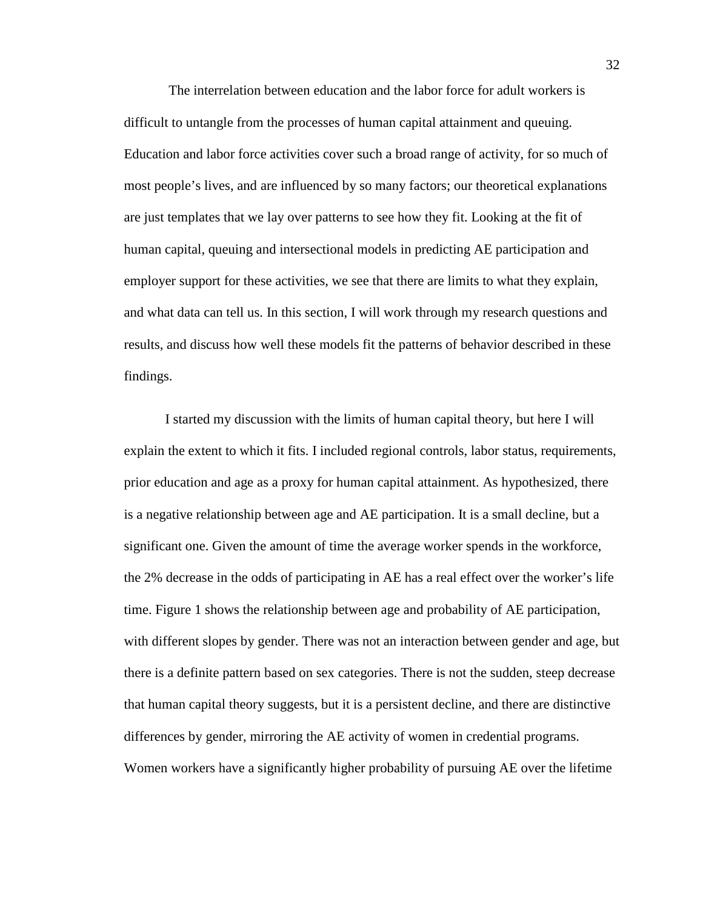The interrelation between education and the labor force for adult workers is difficult to untangle from the processes of human capital attainment and queuing. Education and labor force activities cover such a broad range of activity, for so much of most people's lives, and are influenced by so many factors; our theoretical explanations are just templates that we lay over patterns to see how they fit. Looking at the fit of human capital, queuing and intersectional models in predicting AE participation and employer support for these activities, we see that there are limits to what they explain, and what data can tell us. In this section, I will work through my research questions and results, and discuss how well these models fit the patterns of behavior described in these findings.

I started my discussion with the limits of human capital theory, but here I will explain the extent to which it fits. I included regional controls, labor status, requirements, prior education and age as a proxy for human capital attainment. As hypothesized, there is a negative relationship between age and AE participation. It is a small decline, but a significant one. Given the amount of time the average worker spends in the workforce, the 2% decrease in the odds of participating in AE has a real effect over the worker's life time. Figure 1 shows the relationship between age and probability of AE participation, with different slopes by gender. There was not an interaction between gender and age, but there is a definite pattern based on sex categories. There is not the sudden, steep decrease that human capital theory suggests, but it is a persistent decline, and there are distinctive differences by gender, mirroring the AE activity of women in credential programs. Women workers have a significantly higher probability of pursuing AE over the lifetime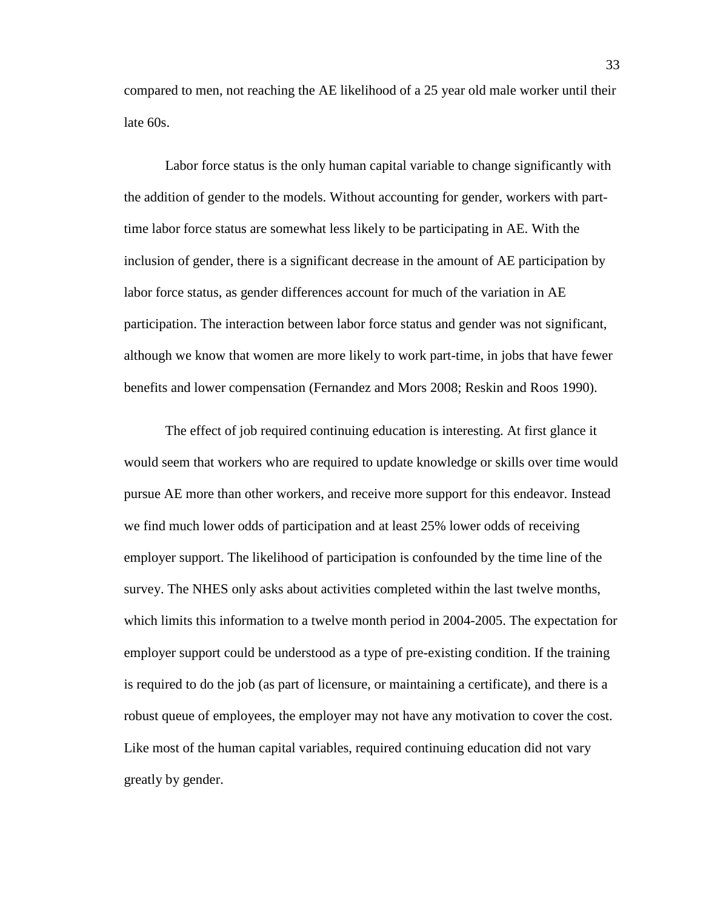compared to men, not reaching the AE likelihood of a 25 year old male worker until their late 60s.

Labor force status is the only human capital variable to change significantly with the addition of gender to the models. Without accounting for gender, workers with parttime labor force status are somewhat less likely to be participating in AE. With the inclusion of gender, there is a significant decrease in the amount of AE participation by labor force status, as gender differences account for much of the variation in AE participation. The interaction between labor force status and gender was not significant, although we know that women are more likely to work part-time, in jobs that have fewer benefits and lower compensation (Fernandez and Mors 2008; Reskin and Roos 1990).

The effect of job required continuing education is interesting. At first glance it would seem that workers who are required to update knowledge or skills over time would pursue AE more than other workers, and receive more support for this endeavor. Instead we find much lower odds of participation and at least 25% lower odds of receiving employer support. The likelihood of participation is confounded by the time line of the survey. The NHES only asks about activities completed within the last twelve months, which limits this information to a twelve month period in 2004-2005. The expectation for employer support could be understood as a type of pre-existing condition. If the training is required to do the job (as part of licensure, or maintaining a certificate), and there is a robust queue of employees, the employer may not have any motivation to cover the cost. Like most of the human capital variables, required continuing education did not vary greatly by gender.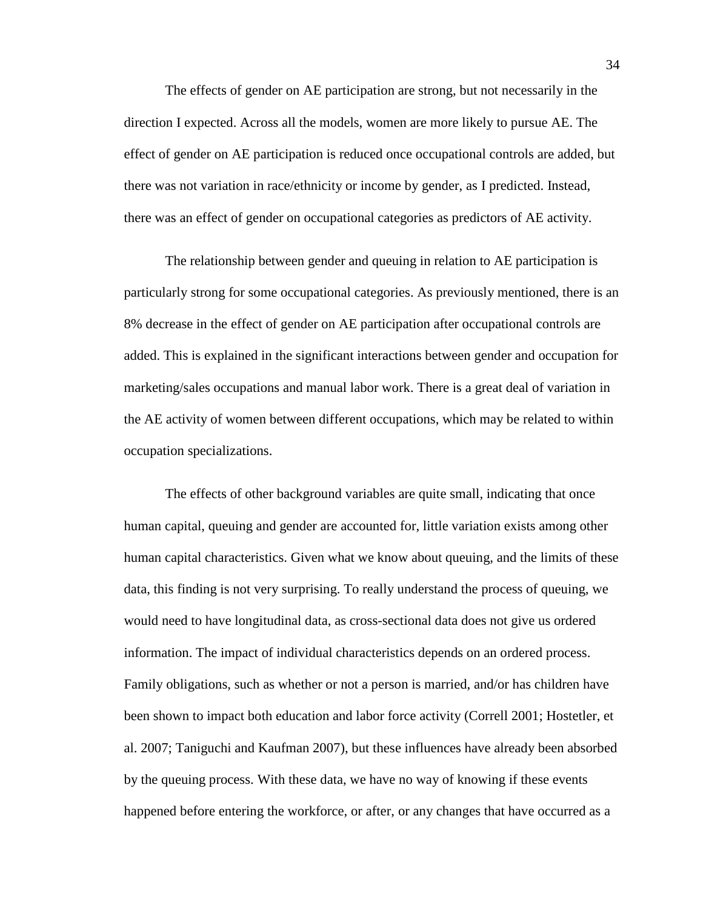The effects of gender on AE participation are strong, but not necessarily in the direction I expected. Across all the models, women are more likely to pursue AE. The effect of gender on AE participation is reduced once occupational controls are added, but there was not variation in race/ethnicity or income by gender, as I predicted. Instead, there was an effect of gender on occupational categories as predictors of AE activity.

The relationship between gender and queuing in relation to AE participation is particularly strong for some occupational categories. As previously mentioned, there is an 8% decrease in the effect of gender on AE participation after occupational controls are added. This is explained in the significant interactions between gender and occupation for marketing/sales occupations and manual labor work. There is a great deal of variation in the AE activity of women between different occupations, which may be related to within occupation specializations.

The effects of other background variables are quite small, indicating that once human capital, queuing and gender are accounted for, little variation exists among other human capital characteristics. Given what we know about queuing, and the limits of these data, this finding is not very surprising. To really understand the process of queuing, we would need to have longitudinal data, as cross-sectional data does not give us ordered information. The impact of individual characteristics depends on an ordered process. Family obligations, such as whether or not a person is married, and/or has children have been shown to impact both education and labor force activity (Correll 2001; Hostetler, et al. 2007; Taniguchi and Kaufman 2007), but these influences have already been absorbed by the queuing process. With these data, we have no way of knowing if these events happened before entering the workforce, or after, or any changes that have occurred as a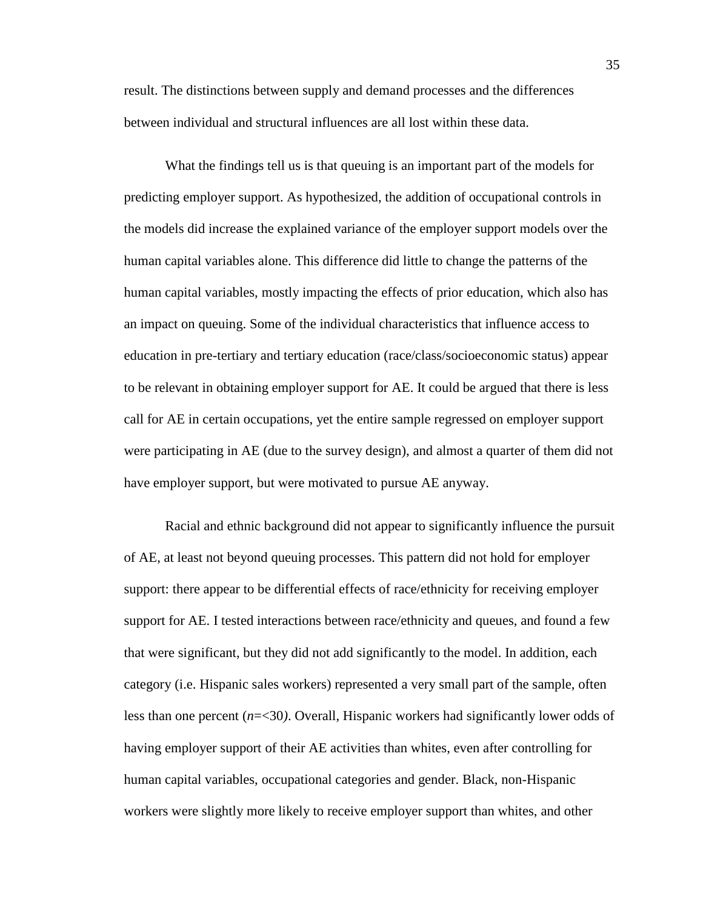result. The distinctions between supply and demand processes and the differences between individual and structural influences are all lost within these data.

What the findings tell us is that queuing is an important part of the models for predicting employer support. As hypothesized, the addition of occupational controls in the models did increase the explained variance of the employer support models over the human capital variables alone. This difference did little to change the patterns of the human capital variables, mostly impacting the effects of prior education, which also has an impact on queuing. Some of the individual characteristics that influence access to education in pre-tertiary and tertiary education (race/class/socioeconomic status) appear to be relevant in obtaining employer support for AE. It could be argued that there is less call for AE in certain occupations, yet the entire sample regressed on employer support were participating in AE (due to the survey design), and almost a quarter of them did not have employer support, but were motivated to pursue AE anyway.

 Racial and ethnic background did not appear to significantly influence the pursuit of AE, at least not beyond queuing processes. This pattern did not hold for employer support: there appear to be differential effects of race/ethnicity for receiving employer support for AE. I tested interactions between race/ethnicity and queues, and found a few that were significant, but they did not add significantly to the model. In addition, each category (i.e. Hispanic sales workers) represented a very small part of the sample, often less than one percent (*n*=<30*)*. Overall, Hispanic workers had significantly lower odds of having employer support of their AE activities than whites, even after controlling for human capital variables, occupational categories and gender. Black, non-Hispanic workers were slightly more likely to receive employer support than whites, and other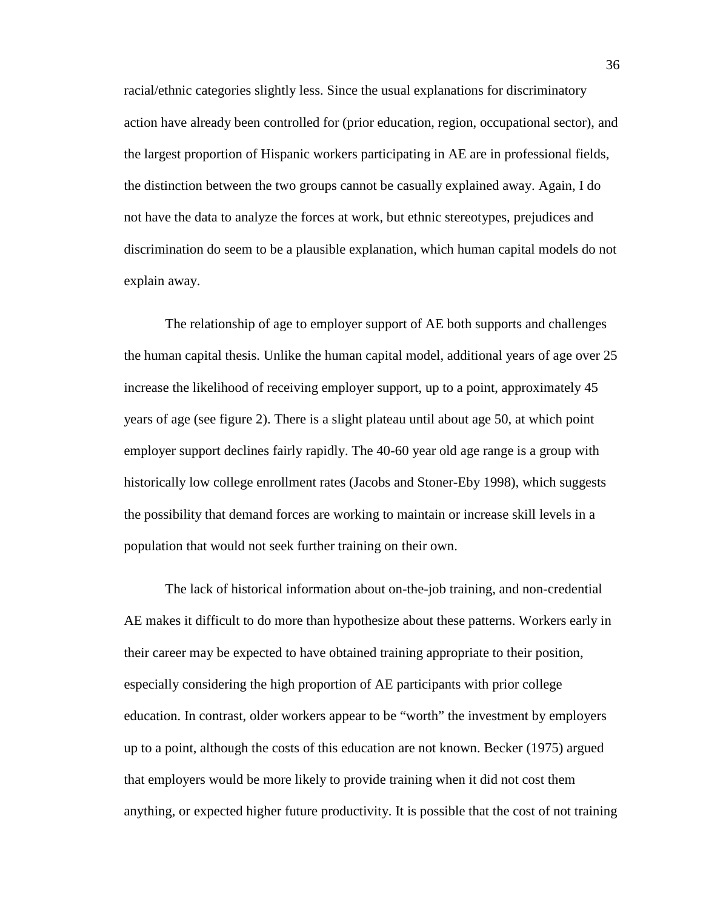racial/ethnic categories slightly less. Since the usual explanations for discriminatory action have already been controlled for (prior education, region, occupational sector), and the largest proportion of Hispanic workers participating in AE are in professional fields, the distinction between the two groups cannot be casually explained away. Again, I do not have the data to analyze the forces at work, but ethnic stereotypes, prejudices and discrimination do seem to be a plausible explanation, which human capital models do not explain away.

The relationship of age to employer support of AE both supports and challenges the human capital thesis. Unlike the human capital model, additional years of age over 25 increase the likelihood of receiving employer support, up to a point, approximately 45 years of age (see figure 2). There is a slight plateau until about age 50, at which point employer support declines fairly rapidly. The 40-60 year old age range is a group with historically low college enrollment rates (Jacobs and Stoner-Eby 1998), which suggests the possibility that demand forces are working to maintain or increase skill levels in a population that would not seek further training on their own.

The lack of historical information about on-the-job training, and non-credential AE makes it difficult to do more than hypothesize about these patterns. Workers early in their career may be expected to have obtained training appropriate to their position, especially considering the high proportion of AE participants with prior college education. In contrast, older workers appear to be "worth" the investment by employers up to a point, although the costs of this education are not known. Becker (1975) argued that employers would be more likely to provide training when it did not cost them anything, or expected higher future productivity. It is possible that the cost of not training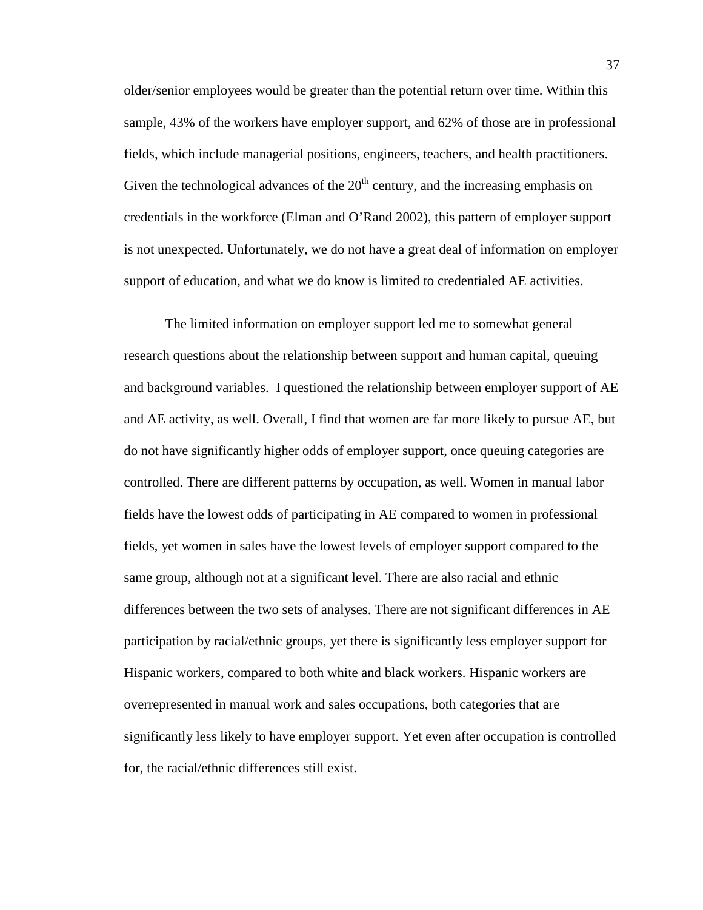older/senior employees would be greater than the potential return over time. Within this sample, 43% of the workers have employer support, and 62% of those are in professional fields, which include managerial positions, engineers, teachers, and health practitioners. Given the technological advances of the  $20<sup>th</sup>$  century, and the increasing emphasis on credentials in the workforce (Elman and O'Rand 2002), this pattern of employer support is not unexpected. Unfortunately, we do not have a great deal of information on employer support of education, and what we do know is limited to credentialed AE activities.

The limited information on employer support led me to somewhat general research questions about the relationship between support and human capital, queuing and background variables. I questioned the relationship between employer support of AE and AE activity, as well. Overall, I find that women are far more likely to pursue AE, but do not have significantly higher odds of employer support, once queuing categories are controlled. There are different patterns by occupation, as well. Women in manual labor fields have the lowest odds of participating in AE compared to women in professional fields, yet women in sales have the lowest levels of employer support compared to the same group, although not at a significant level. There are also racial and ethnic differences between the two sets of analyses. There are not significant differences in AE participation by racial/ethnic groups, yet there is significantly less employer support for Hispanic workers, compared to both white and black workers. Hispanic workers are overrepresented in manual work and sales occupations, both categories that are significantly less likely to have employer support. Yet even after occupation is controlled for, the racial/ethnic differences still exist.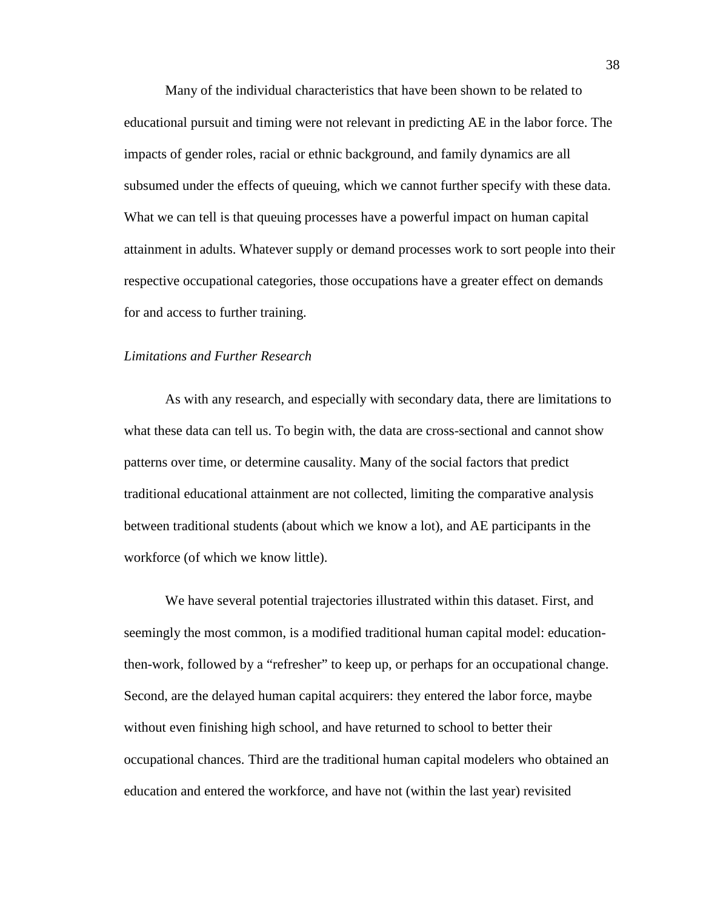Many of the individual characteristics that have been shown to be related to educational pursuit and timing were not relevant in predicting AE in the labor force. The impacts of gender roles, racial or ethnic background, and family dynamics are all subsumed under the effects of queuing, which we cannot further specify with these data. What we can tell is that queuing processes have a powerful impact on human capital attainment in adults. Whatever supply or demand processes work to sort people into their respective occupational categories, those occupations have a greater effect on demands for and access to further training.

#### *Limitations and Further Research*

 As with any research, and especially with secondary data, there are limitations to what these data can tell us. To begin with, the data are cross-sectional and cannot show patterns over time, or determine causality. Many of the social factors that predict traditional educational attainment are not collected, limiting the comparative analysis between traditional students (about which we know a lot), and AE participants in the workforce (of which we know little).

We have several potential trajectories illustrated within this dataset. First, and seemingly the most common, is a modified traditional human capital model: educationthen-work, followed by a "refresher" to keep up, or perhaps for an occupational change. Second, are the delayed human capital acquirers: they entered the labor force, maybe without even finishing high school, and have returned to school to better their occupational chances. Third are the traditional human capital modelers who obtained an education and entered the workforce, and have not (within the last year) revisited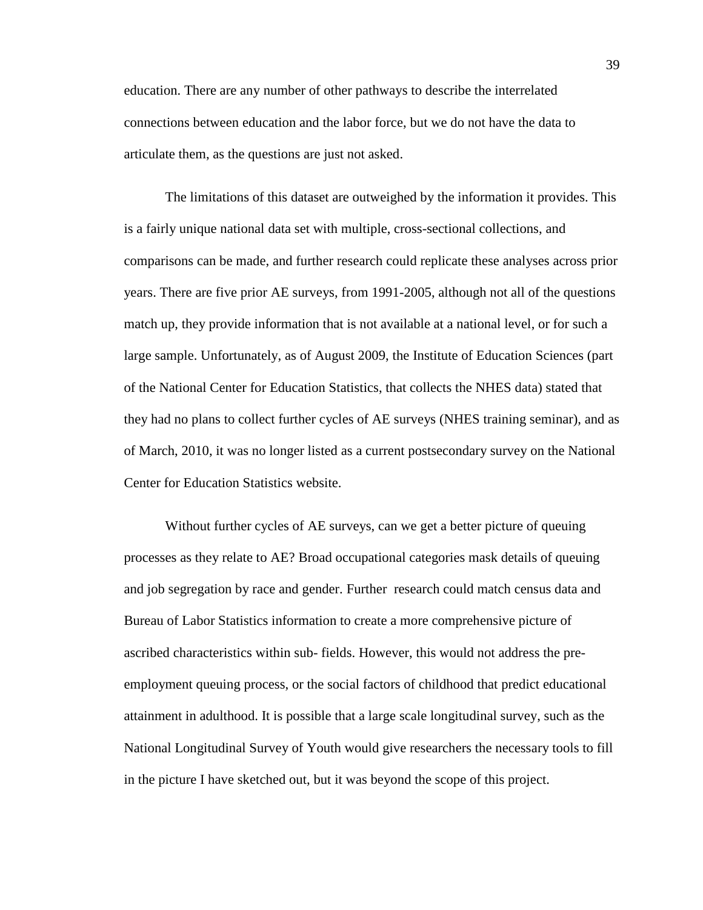education. There are any number of other pathways to describe the interrelated connections between education and the labor force, but we do not have the data to articulate them, as the questions are just not asked.

The limitations of this dataset are outweighed by the information it provides. This is a fairly unique national data set with multiple, cross-sectional collections, and comparisons can be made, and further research could replicate these analyses across prior years. There are five prior AE surveys, from 1991-2005, although not all of the questions match up, they provide information that is not available at a national level, or for such a large sample. Unfortunately, as of August 2009, the Institute of Education Sciences (part of the National Center for Education Statistics, that collects the NHES data) stated that they had no plans to collect further cycles of AE surveys (NHES training seminar), and as of March, 2010, it was no longer listed as a current postsecondary survey on the National Center for Education Statistics website.

 Without further cycles of AE surveys, can we get a better picture of queuing processes as they relate to AE? Broad occupational categories mask details of queuing and job segregation by race and gender. Further research could match census data and Bureau of Labor Statistics information to create a more comprehensive picture of ascribed characteristics within sub- fields. However, this would not address the preemployment queuing process, or the social factors of childhood that predict educational attainment in adulthood. It is possible that a large scale longitudinal survey, such as the National Longitudinal Survey of Youth would give researchers the necessary tools to fill in the picture I have sketched out, but it was beyond the scope of this project.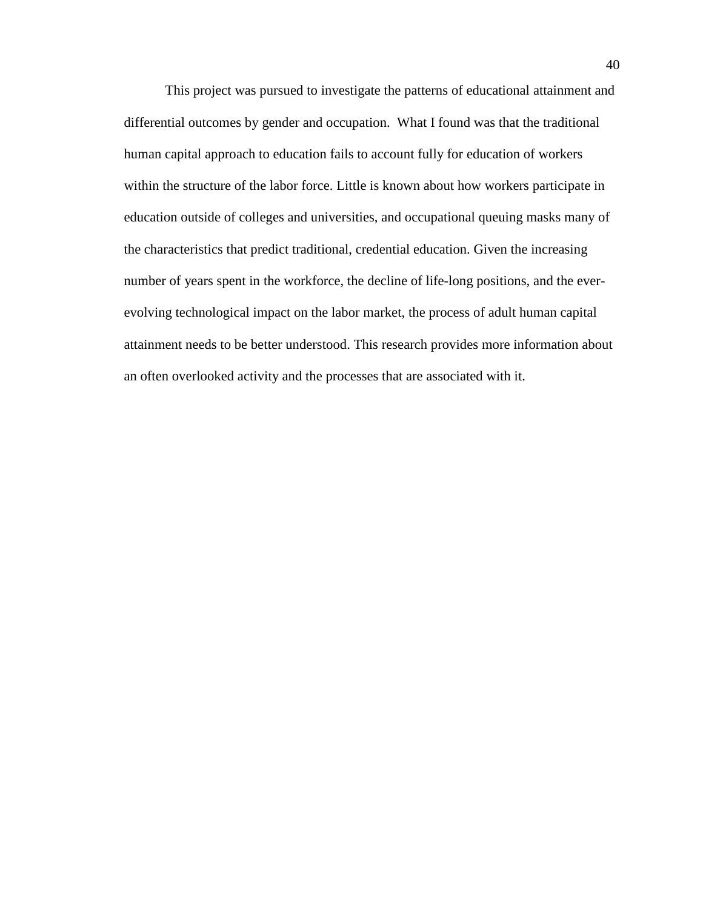This project was pursued to investigate the patterns of educational attainment and differential outcomes by gender and occupation. What I found was that the traditional human capital approach to education fails to account fully for education of workers within the structure of the labor force. Little is known about how workers participate in education outside of colleges and universities, and occupational queuing masks many of the characteristics that predict traditional, credential education. Given the increasing number of years spent in the workforce, the decline of life-long positions, and the everevolving technological impact on the labor market, the process of adult human capital attainment needs to be better understood. This research provides more information about an often overlooked activity and the processes that are associated with it.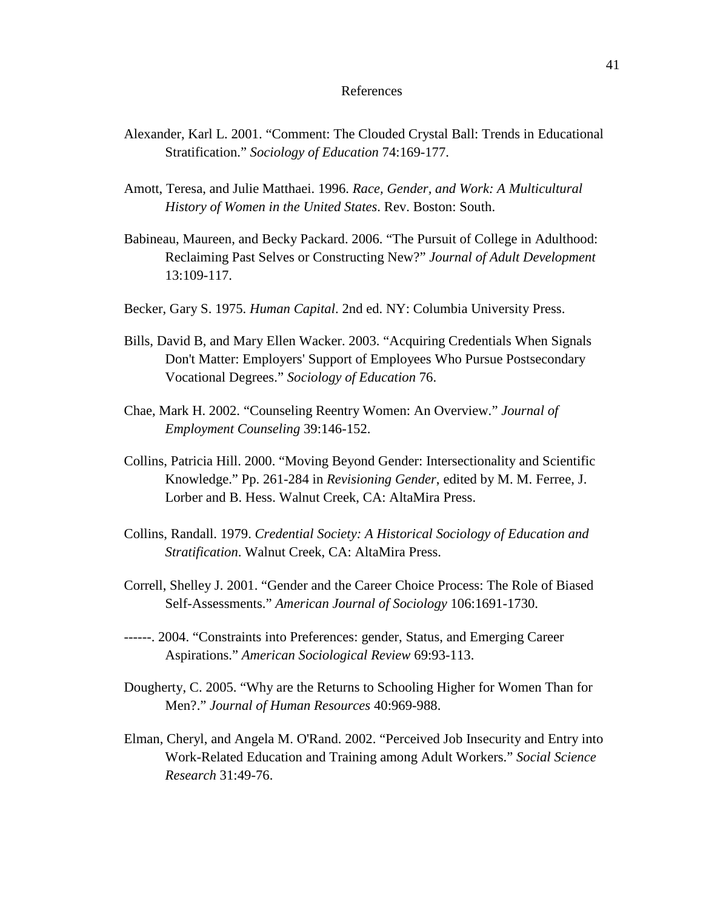#### References

- Alexander, Karl L. 2001. "Comment: The Clouded Crystal Ball: Trends in Educational Stratification." *Sociology of Education* 74:169-177.
- Amott, Teresa, and Julie Matthaei. 1996. *Race, Gender, and Work: A Multicultural History of Women in the United States*. Rev. Boston: South.
- Babineau, Maureen, and Becky Packard. 2006. "The Pursuit of College in Adulthood: Reclaiming Past Selves or Constructing New?" *Journal of Adult Development* 13:109-117.
- Becker, Gary S. 1975. *Human Capital*. 2nd ed. NY: Columbia University Press.
- Bills, David B, and Mary Ellen Wacker. 2003. "Acquiring Credentials When Signals Don't Matter: Employers' Support of Employees Who Pursue Postsecondary Vocational Degrees." *Sociology of Education* 76.
- Chae, Mark H. 2002. "Counseling Reentry Women: An Overview." *Journal of Employment Counseling* 39:146-152.
- Collins, Patricia Hill. 2000. "Moving Beyond Gender: Intersectionality and Scientific Knowledge." Pp. 261-284 in *Revisioning Gender*, edited by M. M. Ferree, J. Lorber and B. Hess. Walnut Creek, CA: AltaMira Press.
- Collins, Randall. 1979. *Credential Society: A Historical Sociology of Education and Stratification*. Walnut Creek, CA: AltaMira Press.
- Correll, Shelley J. 2001. "Gender and the Career Choice Process: The Role of Biased Self-Assessments." *American Journal of Sociology* 106:1691-1730.
- ------. 2004. "Constraints into Preferences: gender, Status, and Emerging Career Aspirations." *American Sociological Review* 69:93-113.
- Dougherty, C. 2005. "Why are the Returns to Schooling Higher for Women Than for Men?." *Journal of Human Resources* 40:969-988.
- Elman, Cheryl, and Angela M. O'Rand. 2002. "Perceived Job Insecurity and Entry into Work-Related Education and Training among Adult Workers." *Social Science Research* 31:49-76.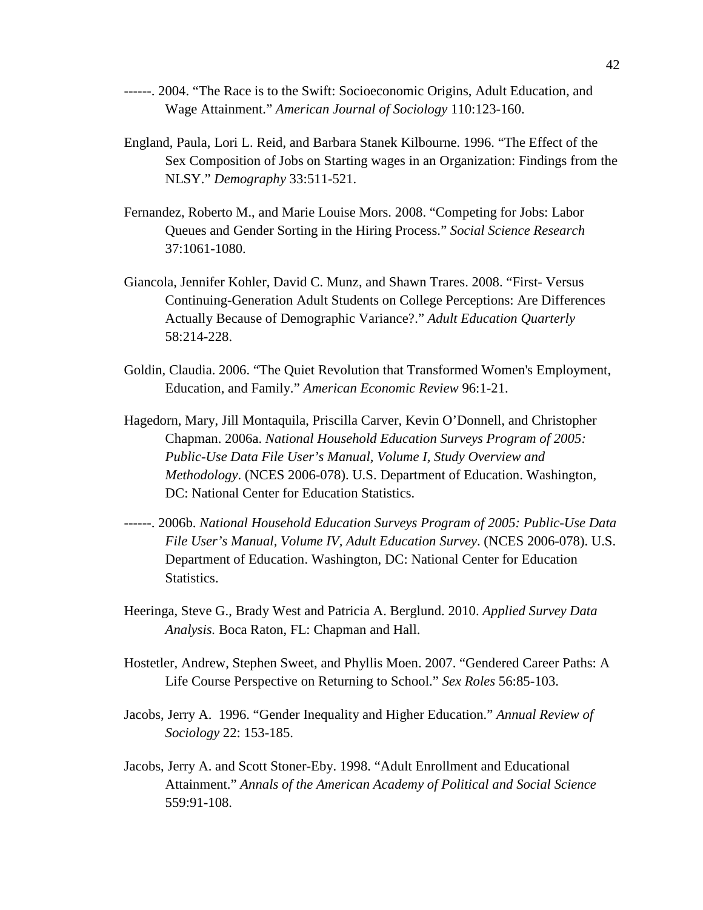- ------. 2004. "The Race is to the Swift: Socioeconomic Origins, Adult Education, and Wage Attainment." *American Journal of Sociology* 110:123-160.
- England, Paula, Lori L. Reid, and Barbara Stanek Kilbourne. 1996. "The Effect of the Sex Composition of Jobs on Starting wages in an Organization: Findings from the NLSY." *Demography* 33:511-521.
- Fernandez, Roberto M., and Marie Louise Mors. 2008. "Competing for Jobs: Labor Queues and Gender Sorting in the Hiring Process." *Social Science Research* 37:1061-1080.
- Giancola, Jennifer Kohler, David C. Munz, and Shawn Trares. 2008. "First- Versus Continuing-Generation Adult Students on College Perceptions: Are Differences Actually Because of Demographic Variance?." *Adult Education Quarterly* 58:214-228.
- Goldin, Claudia. 2006. "The Quiet Revolution that Transformed Women's Employment, Education, and Family." *American Economic Review* 96:1-21.
- Hagedorn, Mary, Jill Montaquila, Priscilla Carver, Kevin O'Donnell, and Christopher Chapman. 2006a. *National Household Education Surveys Program of 2005: Public-Use Data File User's Manual, Volume I, Study Overview and Methodology*. (NCES 2006-078). U.S. Department of Education. Washington, DC: National Center for Education Statistics.
- ------. 2006b. *National Household Education Surveys Program of 2005: Public-Use Data File User's Manual, Volume IV, Adult Education Survey*. (NCES 2006-078). U.S. Department of Education. Washington, DC: National Center for Education Statistics.
- Heeringa, Steve G., Brady West and Patricia A. Berglund. 2010. *Applied Survey Data Analysis.* Boca Raton, FL: Chapman and Hall.
- Hostetler, Andrew, Stephen Sweet, and Phyllis Moen. 2007. "Gendered Career Paths: A Life Course Perspective on Returning to School." *Sex Roles* 56:85-103.
- Jacobs, Jerry A. 1996. "Gender Inequality and Higher Education." *Annual Review of Sociology* 22: 153-185.
- Jacobs, Jerry A. and Scott Stoner-Eby. 1998. "Adult Enrollment and Educational Attainment." *Annals of the American Academy of Political and Social Science* 559:91-108.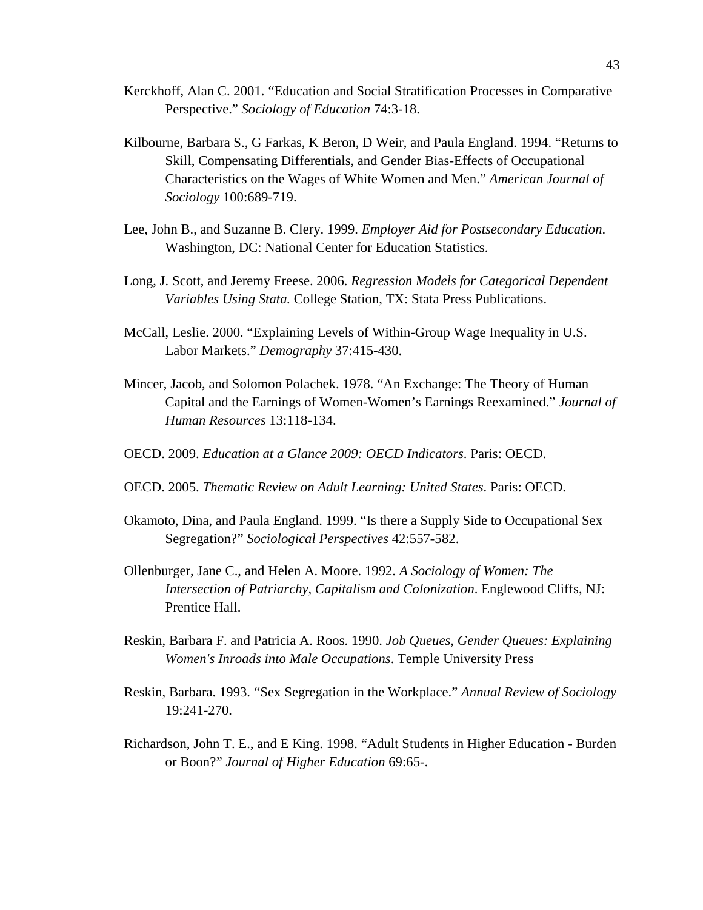- Kerckhoff, Alan C. 2001. "Education and Social Stratification Processes in Comparative Perspective." *Sociology of Education* 74:3-18.
- Kilbourne, Barbara S., G Farkas, K Beron, D Weir, and Paula England. 1994. "Returns to Skill, Compensating Differentials, and Gender Bias-Effects of Occupational Characteristics on the Wages of White Women and Men." *American Journal of Sociology* 100:689-719.
- Lee, John B., and Suzanne B. Clery. 1999. *Employer Aid for Postsecondary Education*. Washington, DC: National Center for Education Statistics.
- Long, J. Scott, and Jeremy Freese. 2006. *Regression Models for Categorical Dependent Variables Using Stata.* College Station, TX: Stata Press Publications.
- McCall, Leslie. 2000. "Explaining Levels of Within-Group Wage Inequality in U.S. Labor Markets." *Demography* 37:415-430.
- Mincer, Jacob, and Solomon Polachek. 1978. "An Exchange: The Theory of Human Capital and the Earnings of Women-Women's Earnings Reexamined." *Journal of Human Resources* 13:118-134.
- OECD. 2009. *Education at a Glance 2009: OECD Indicators*. Paris: OECD.
- OECD. 2005. *Thematic Review on Adult Learning: United States*. Paris: OECD.
- Okamoto, Dina, and Paula England. 1999. "Is there a Supply Side to Occupational Sex Segregation?" *Sociological Perspectives* 42:557-582.
- Ollenburger, Jane C., and Helen A. Moore. 1992. *A Sociology of Women: The Intersection of Patriarchy, Capitalism and Colonization*. Englewood Cliffs, NJ: Prentice Hall.
- Reskin, Barbara F. and Patricia A. Roos. 1990. *Job Queues, Gender Queues: Explaining Women's Inroads into Male Occupations*. Temple University Press
- Reskin, Barbara. 1993. "Sex Segregation in the Workplace." *Annual Review of Sociology* 19:241-270.
- Richardson, John T. E., and E King. 1998. "Adult Students in Higher Education Burden or Boon?" *Journal of Higher Education* 69:65-.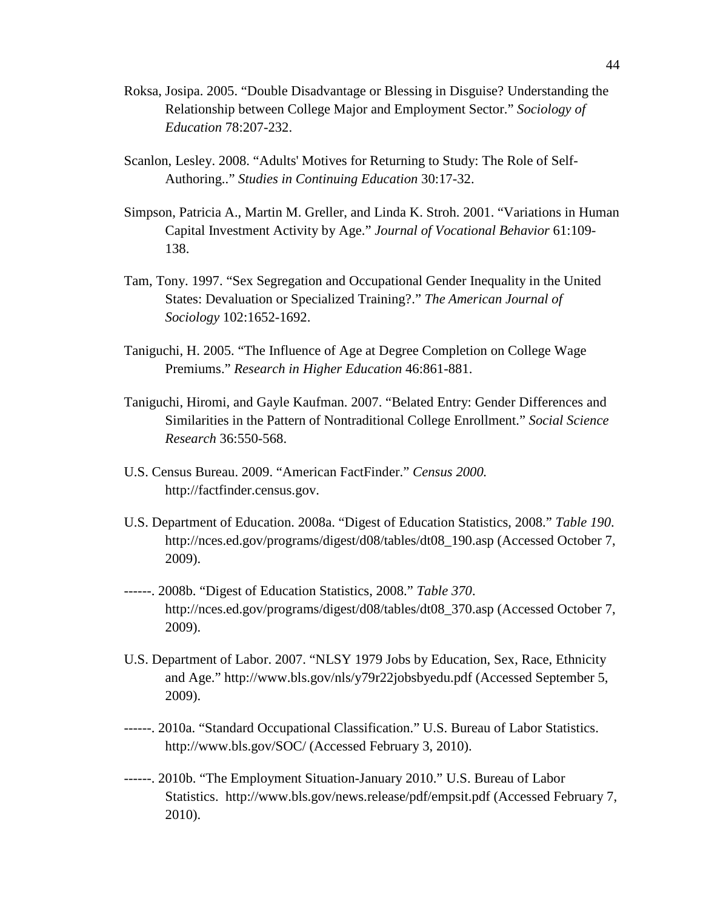- Roksa, Josipa. 2005. "Double Disadvantage or Blessing in Disguise? Understanding the Relationship between College Major and Employment Sector." *Sociology of Education* 78:207-232.
- Scanlon, Lesley. 2008. "Adults' Motives for Returning to Study: The Role of Self-Authoring.." *Studies in Continuing Education* 30:17-32.
- Simpson, Patricia A., Martin M. Greller, and Linda K. Stroh. 2001. "Variations in Human Capital Investment Activity by Age." *Journal of Vocational Behavior* 61:109- 138.
- Tam, Tony. 1997. "Sex Segregation and Occupational Gender Inequality in the United States: Devaluation or Specialized Training?." *The American Journal of Sociology* 102:1652-1692.
- Taniguchi, H. 2005. "The Influence of Age at Degree Completion on College Wage Premiums." *Research in Higher Education* 46:861-881.
- Taniguchi, Hiromi, and Gayle Kaufman. 2007. "Belated Entry: Gender Differences and Similarities in the Pattern of Nontraditional College Enrollment." *Social Science Research* 36:550-568.
- U.S. Census Bureau. 2009. "American FactFinder." *Census 2000.*  http://factfinder.census.gov.
- U.S. Department of Education. 2008a. "Digest of Education Statistics, 2008." *Table 190*. http://nces.ed.gov/programs/digest/d08/tables/dt08\_190.asp (Accessed October 7, 2009).
- ------. 2008b. "Digest of Education Statistics, 2008." *Table 370*. http://nces.ed.gov/programs/digest/d08/tables/dt08\_370.asp (Accessed October 7, 2009).
- U.S. Department of Labor. 2007. "NLSY 1979 Jobs by Education, Sex, Race, Ethnicity and Age." http://www.bls.gov/nls/y79r22jobsbyedu.pdf (Accessed September 5, 2009).
- ------. 2010a. "Standard Occupational Classification." U.S. Bureau of Labor Statistics. http://www.bls.gov/SOC/ (Accessed February 3, 2010).
- ------. 2010b. "The Employment Situation-January 2010." U.S. Bureau of Labor Statistics. http://www.bls.gov/news.release/pdf/empsit.pdf (Accessed February 7, 2010).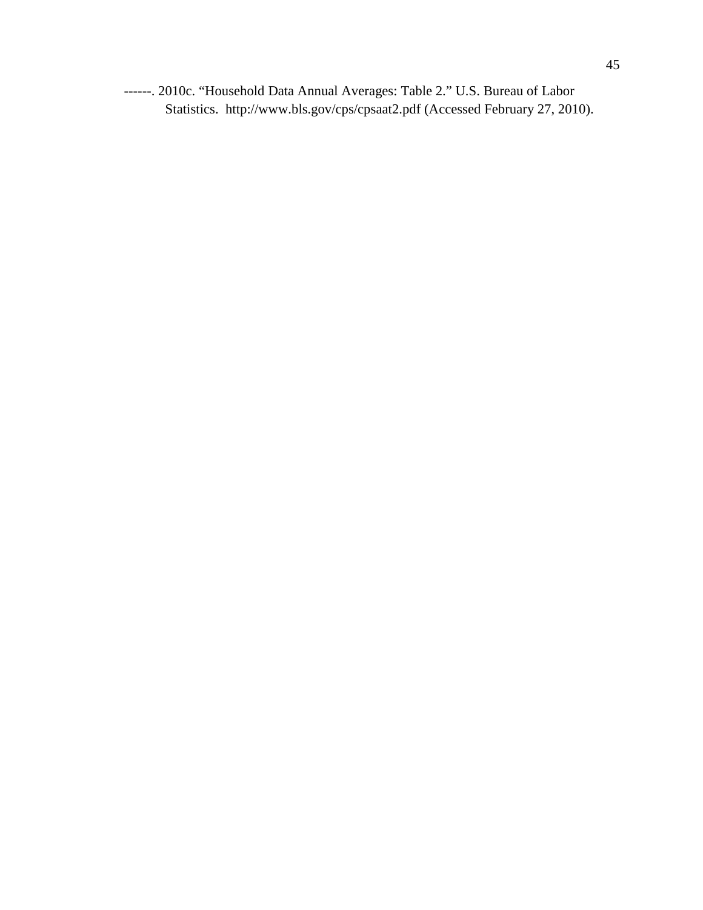------. 2010c. "Household Data Annual Averages: Table 2." U.S. Bureau of Labor Statistics. http://www.bls.gov/cps/cpsaat2.pdf (Accessed February 27, 2010).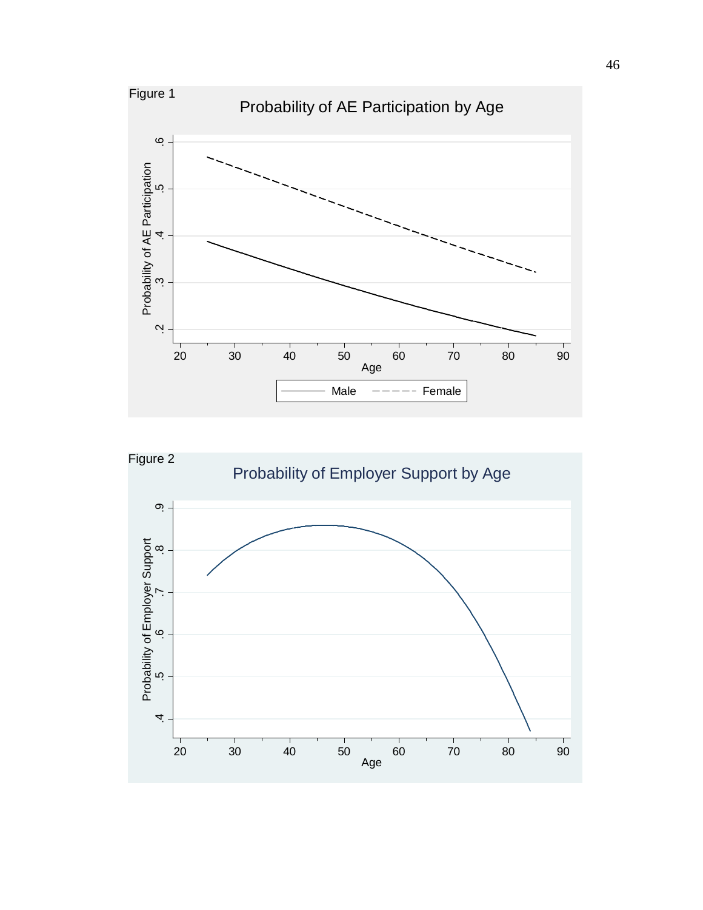

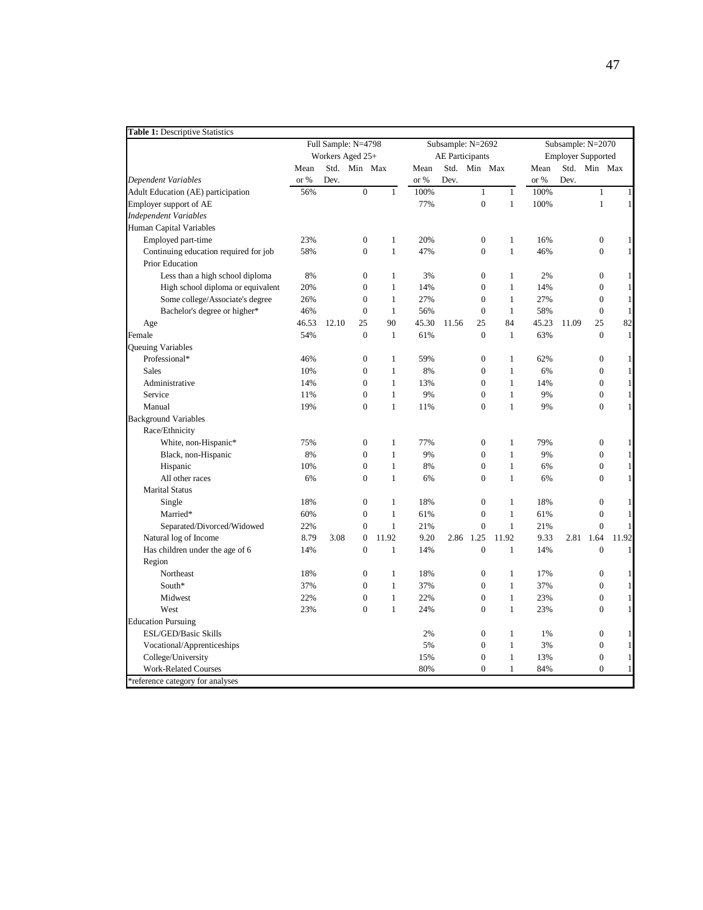| <b>Table 1: Descriptive Statistics</b> |       |                     |                  |              |       |                        |                  |              |                   |                           |                  |              |  |
|----------------------------------------|-------|---------------------|------------------|--------------|-------|------------------------|------------------|--------------|-------------------|---------------------------|------------------|--------------|--|
|                                        |       | Full Sample: N=4798 |                  |              |       | Subsample: N=2692      |                  |              | Subsample: N=2070 |                           |                  |              |  |
|                                        |       | Workers Aged 25+    |                  |              |       | <b>AE</b> Participants |                  |              |                   | <b>Employer Supported</b> |                  |              |  |
|                                        | Mean  |                     | Std. Min Max     |              | Mean  |                        | Std. Min Max     |              | Mean              |                           | Std. Min Max     |              |  |
| Dependent Variables                    | or %  | Dev.                |                  |              | or %  | Dev.                   |                  |              | or %              | Dev.                      |                  |              |  |
| Adult Education (AE) participation     | 56%   |                     | $\boldsymbol{0}$ | $\mathbf{1}$ | 100%  |                        | $\mathbf{1}$     | $\mathbf{1}$ | 100%              |                           | 1                | $\mathbf{1}$ |  |
| Employer support of AE                 |       |                     |                  |              | 77%   |                        | $\boldsymbol{0}$ | $\mathbf{1}$ | 100%              |                           | $\mathbf{1}$     | $\,1$        |  |
| <b>Independent Variables</b>           |       |                     |                  |              |       |                        |                  |              |                   |                           |                  |              |  |
| Human Capital Variables                |       |                     |                  |              |       |                        |                  |              |                   |                           |                  |              |  |
| Employed part-time                     | 23%   |                     | $\boldsymbol{0}$ | $\mathbf{1}$ | 20%   |                        | $\boldsymbol{0}$ | $\mathbf{1}$ | 16%               |                           | $\boldsymbol{0}$ | $\mathbf{1}$ |  |
| Continuing education required for job  | 58%   |                     | $\mathbf{0}$     | $\mathbf{1}$ | 47%   |                        | $\mathbf{0}$     | $\mathbf{1}$ | 46%               |                           | $\boldsymbol{0}$ | $\mathbf{1}$ |  |
| <b>Prior Education</b>                 |       |                     |                  |              |       |                        |                  |              |                   |                           |                  |              |  |
| Less than a high school diploma        | 8%    |                     | $\mathbf{0}$     | 1            | 3%    |                        | $\mathbf{0}$     | $\mathbf{1}$ | 2%                |                           | $\mathbf{0}$     | $\mathbf{1}$ |  |
| High school diploma or equivalent      | 20%   |                     | $\boldsymbol{0}$ | $\mathbf{1}$ | 14%   |                        | $\boldsymbol{0}$ | $\mathbf{1}$ | 14%               |                           | $\boldsymbol{0}$ | $\,1$        |  |
| Some college/Associate's degree        | 26%   |                     | $\mathbf{0}$     | $\mathbf{1}$ | 27%   |                        | $\boldsymbol{0}$ | $\mathbf{1}$ | 27%               |                           | $\boldsymbol{0}$ | $\,1$        |  |
| Bachelor's degree or higher*           | 46%   |                     | $\mathbf{0}$     | $\mathbf{1}$ | 56%   |                        | $\boldsymbol{0}$ | $\mathbf{1}$ | 58%               |                           | $\boldsymbol{0}$ | $\,1$        |  |
| Age                                    | 46.53 | 12.10               | 25               | 90           | 45.30 | 11.56                  | 25               | 84           | 45.23             | 11.09                     | 25               | 82           |  |
| Female                                 | 54%   |                     | $\mathbf{0}$     | $\mathbf{1}$ | 61%   |                        | $\mathbf{0}$     | $\mathbf{1}$ | 63%               |                           | $\overline{0}$   | $\,1$        |  |
| Queuing Variables                      |       |                     |                  |              |       |                        |                  |              |                   |                           |                  |              |  |
| Professional*                          | 46%   |                     | $\boldsymbol{0}$ | $\mathbf{1}$ | 59%   |                        | $\boldsymbol{0}$ | $\mathbf{1}$ | 62%               |                           | $\boldsymbol{0}$ | $\mathbf{1}$ |  |
| <b>Sales</b>                           | 10%   |                     | $\boldsymbol{0}$ | $\mathbf{1}$ | 8%    |                        | $\boldsymbol{0}$ | $\mathbf{1}$ | 6%                |                           | $\boldsymbol{0}$ | $\,1$        |  |
| Administrative                         | 14%   |                     | $\mathbf{0}$     | $\mathbf{1}$ | 13%   |                        | $\mathbf{0}$     | $\mathbf{1}$ | 14%               |                           | $\boldsymbol{0}$ | $\mathbf{1}$ |  |
| Service                                | 11%   |                     | $\mathbf{0}$     | $\mathbf{1}$ | 9%    |                        | $\mathbf{0}$     | $\mathbf{1}$ | 9%                |                           | $\mathbf{0}$     | $\,1$        |  |
| Manual                                 | 19%   |                     | $\theta$         | $\mathbf{1}$ | 11%   |                        | $\theta$         | $\mathbf{1}$ | 9%                |                           | $\mathbf{0}$     | $\,1$        |  |
| <b>Background Variables</b>            |       |                     |                  |              |       |                        |                  |              |                   |                           |                  |              |  |
| Race/Ethnicity                         |       |                     |                  |              |       |                        |                  |              |                   |                           |                  |              |  |
| White, non-Hispanic*                   | 75%   |                     | $\boldsymbol{0}$ | $\mathbf{1}$ | 77%   |                        | $\boldsymbol{0}$ | $\mathbf{1}$ | 79%               |                           | $\boldsymbol{0}$ | $\mathbf{1}$ |  |
| Black, non-Hispanic                    | 8%    |                     | $\overline{0}$   | $\mathbf{1}$ | 9%    |                        | $\mathbf{0}$     | $\mathbf{1}$ | 9%                |                           | $\overline{0}$   | $\mathbf 1$  |  |
| Hispanic                               | 10%   |                     | $\overline{0}$   | $\mathbf{1}$ | 8%    |                        | $\mathbf{0}$     | $\mathbf{1}$ | 6%                |                           | $\overline{0}$   | $\mathbf{1}$ |  |
| All other races                        | 6%    |                     | $\overline{0}$   | $\mathbf{1}$ | 6%    |                        | $\mathbf{0}$     | $\mathbf{1}$ | 6%                |                           | $\overline{0}$   | $\mathbf{1}$ |  |
| <b>Marital Status</b>                  |       |                     |                  |              |       |                        |                  |              |                   |                           |                  |              |  |
| Single                                 | 18%   |                     | $\boldsymbol{0}$ | 1            | 18%   |                        | $\boldsymbol{0}$ | $\mathbf{1}$ | 18%               |                           | $\boldsymbol{0}$ | $\mathbf{1}$ |  |
| Married*                               | 60%   |                     | $\overline{0}$   | $\mathbf{1}$ | 61%   |                        | $\overline{0}$   | $\mathbf{1}$ | 61%               |                           | $\boldsymbol{0}$ | $\,1$        |  |
| Separated/Divorced/Widowed             | 22%   |                     | $\overline{0}$   | $\mathbf{1}$ | 21%   |                        | $\overline{0}$   | $\mathbf{1}$ | 21%               |                           | $\theta$         | $\mathbf{1}$ |  |
| Natural log of Income                  | 8.79  | 3.08                | $\mathbf{0}$     | 11.92        | 9.20  | 2.86                   | 1.25             | 11.92        | 9.33              | 2.81                      | 1.64             | 11.92        |  |
| Has children under the age of 6        | 14%   |                     | $\overline{0}$   | $\mathbf{1}$ | 14%   |                        | $\mathbf{0}$     | $\mathbf{1}$ | 14%               |                           | $\overline{0}$   | $\mathbf{1}$ |  |
| Region                                 |       |                     |                  |              |       |                        |                  |              |                   |                           |                  |              |  |
| Northeast                              | 18%   |                     | $\boldsymbol{0}$ | $\mathbf{1}$ | 18%   |                        | $\boldsymbol{0}$ | $\mathbf{1}$ | 17%               |                           | $\boldsymbol{0}$ | $\mathbf{1}$ |  |
| South*                                 | 37%   |                     | $\overline{0}$   | $\mathbf{1}$ | 37%   |                        | $\overline{0}$   | $\mathbf{1}$ | 37%               |                           | $\overline{0}$   | $\,1$        |  |
| Midwest                                | 22%   |                     | $\boldsymbol{0}$ | $\mathbf{1}$ | 22%   |                        | $\boldsymbol{0}$ | $\mathbf{1}$ | 23%               |                           | $\boldsymbol{0}$ | $\,1$        |  |
| West                                   | 23%   |                     | $\overline{0}$   | $\mathbf{1}$ | 24%   |                        | $\mathbf{0}$     | $\mathbf{1}$ | 23%               |                           | $\mathbf{0}$     | $\mathbf{1}$ |  |
| <b>Education Pursuing</b>              |       |                     |                  |              |       |                        |                  |              |                   |                           |                  |              |  |
| ESL/GED/Basic Skills                   |       |                     |                  |              | 2%    |                        | $\mathbf{0}$     | $\mathbf{1}$ | 1%                |                           | $\boldsymbol{0}$ | $\mathbf{1}$ |  |
| Vocational/Apprenticeships             |       |                     |                  |              | 5%    |                        | $\boldsymbol{0}$ | $\mathbf{1}$ | 3%                |                           | $\mathbf{0}$     | $\,1$        |  |
| College/University                     |       |                     |                  |              | 15%   |                        | $\boldsymbol{0}$ | $\mathbf{1}$ | 13%               |                           | $\boldsymbol{0}$ | $\,1$        |  |
| <b>Work-Related Courses</b>            |       |                     |                  |              | 80%   |                        | $\mathbf{0}$     | 1            | 84%               |                           | $\mathbf{0}$     | $\mathbf{1}$ |  |
| *reference category for analyses       |       |                     |                  |              |       |                        |                  |              |                   |                           |                  |              |  |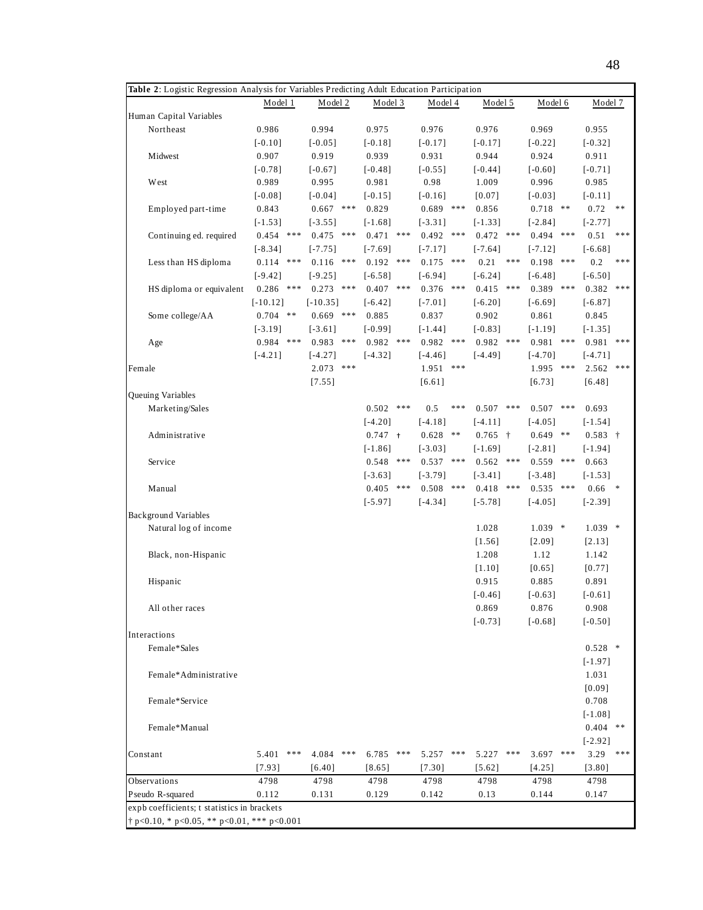| Table 2: Logistic Regression Analysis for Variables Predicting Adult Education Participation |              |                  |                |              |                |              |                         |  |  |  |  |  |  |
|----------------------------------------------------------------------------------------------|--------------|------------------|----------------|--------------|----------------|--------------|-------------------------|--|--|--|--|--|--|
|                                                                                              | Model 1      | Model 2          | Model 3        | Model 4      | Model 5        | Model 6      | Model 7                 |  |  |  |  |  |  |
| Human Capital Variables                                                                      |              |                  |                |              |                |              |                         |  |  |  |  |  |  |
| Northeast                                                                                    | 0.986        | 0.994            | 0.975          | 0.976        | 0.976          | 0.969        | 0.955                   |  |  |  |  |  |  |
|                                                                                              | $[-0.10]$    | $[-0.05]$        | $[-0.18]$      | $[-0.17]$    | $[-0.17]$      | $[-0.22]$    | $[-0.32]$               |  |  |  |  |  |  |
| Midwest                                                                                      | 0.907        | 0.919            | 0.939          | 0.931        | 0.944          | 0.924        | 0.911                   |  |  |  |  |  |  |
|                                                                                              | $[-0.78]$    | $[-0.67]$        | $[-0.48]$      | $[-0.55]$    | $[-0.44]$      | $[-0.60]$    | $[-0.71]$               |  |  |  |  |  |  |
| West                                                                                         | 0.989        | 0.995            | 0.981          | 0.98         | 1.009          | 0.996        | 0.985                   |  |  |  |  |  |  |
|                                                                                              | $[-0.08]$    | $[-0.04]$        | $[-0.15]$      | $[-0.16]$    | [0.07]         | $[-0.03]$    | $[-0.11]$               |  |  |  |  |  |  |
| Employed part-time                                                                           | 0.843        | $0.667$ ***      | 0.829          | $0.689$ ***  | 0.856          | $0.718$ **   | 0.72<br>**              |  |  |  |  |  |  |
|                                                                                              | $[-1.53]$    | $[-3.55]$        | $[-1.68]$      | $[-3.31]$    | $[-1.33]$      | $[-2.84]$    | $[-2.77]$               |  |  |  |  |  |  |
| Continuing ed. required                                                                      | 0.454<br>*** | $0.475$ ***      | $0.471$ ***    | 0.492<br>*** | 0.472<br>$***$ | 0.494<br>*** | 0.51<br>***             |  |  |  |  |  |  |
|                                                                                              | $[-8.34]$    | $[-7.75]$        | $[-7.69]$      | $[-7.17]$    | $[-7.64]$      | $[-7.12]$    | $[-6.68]$               |  |  |  |  |  |  |
| Less than HS diploma                                                                         | 0.114<br>*** | $0.116$ ***      | $0.192$ ***    | 0.175<br>*** | 0.21<br>***    | $0.198$ ***  | 0.2<br>***              |  |  |  |  |  |  |
|                                                                                              | $[-9.42]$    | $[-9.25]$        | $[-6.58]$      | $[-6.94]$    | $[-6.24]$      | $[-6.48]$    | $[-6.50]$               |  |  |  |  |  |  |
| HS diploma or equivalent                                                                     | $0.286$ ***  | $0.273$ ***      | $0.407$ ***    | $0.376$ ***  | 0.415<br>***   | $0.389$ ***  | 0.382<br>***            |  |  |  |  |  |  |
|                                                                                              | $[-10.12]$   | $[-10.35]$       | $[-6.42]$      | $[-7.01]$    | $[-6.20]$      | $[-6.69]$    | $[-6.87]$               |  |  |  |  |  |  |
| Some college/AA                                                                              | $0.704$ **   | $0.669$ ***      | 0.885          | 0.837        | 0.902          | 0.861        | 0.845                   |  |  |  |  |  |  |
|                                                                                              | $[-3.19]$    | $[-3.61]$        | $[-0.99]$      | $[-1.44]$    | $[-0.83]$      | $[-1.19]$    | $[-1.35]$               |  |  |  |  |  |  |
| Age                                                                                          | $0.984$ ***  | 0.983<br>***     | $0.982$ ***    | 0.982<br>*** | $0.982$ ***    | 0.981<br>*** | 0.981<br>***            |  |  |  |  |  |  |
|                                                                                              | $[-4.21]$    | $[-4.27]$        | $[-4.32]$      | $[-4.46]$    | $[-4.49]$      | $[-4.70]$    | $[-4.71]$               |  |  |  |  |  |  |
| Female                                                                                       |              | $* * *$<br>2.073 |                | 1.951<br>*** |                | 1.995<br>*** | $2.562$ ***             |  |  |  |  |  |  |
|                                                                                              |              | [7.55]           |                | [6.61]       |                | [6.73]       | [6.48]                  |  |  |  |  |  |  |
| Queuing Variables                                                                            |              |                  |                |              |                |              |                         |  |  |  |  |  |  |
| Marketing/Sales                                                                              |              |                  | 0.502<br>$***$ | 0.5<br>***   | 0.507<br>***   | 0.507<br>*** | 0.693                   |  |  |  |  |  |  |
|                                                                                              |              |                  | $[-4.20]$      | $[-4.18]$    | $[-4.11]$      | $[-4.05]$    | $[-1.54]$               |  |  |  |  |  |  |
| Administrative                                                                               |              |                  | $0.747 +$      | 0.628<br>**  | $0.765 +$      | $0.649$ **   | $0.583 +$               |  |  |  |  |  |  |
|                                                                                              |              |                  | $[-1.86]$      | $[-3.03]$    | $[-1.69]$      | $[-2.81]$    | $[-1.94]$               |  |  |  |  |  |  |
| Service                                                                                      |              |                  | 0.548<br>***   | 0.537<br>*** | 0.562<br>***   | 0.559<br>*** | 0.663                   |  |  |  |  |  |  |
|                                                                                              |              |                  | $[-3.63]$      | $[-3.79]$    | $[-3.41]$      | $[-3.48]$    | $[-1.53]$               |  |  |  |  |  |  |
| Manual                                                                                       |              |                  | $0.405$ ***    | 0.508<br>*** | $0.418$ ***    | $0.535$ ***  | 0.66<br>$\ddot{x}$      |  |  |  |  |  |  |
|                                                                                              |              |                  | $[-5.97]$      | $[-4.34]$    | $[-5.78]$      | $[-4.05]$    | $[-2.39]$               |  |  |  |  |  |  |
| <b>Background Variables</b>                                                                  |              |                  |                |              |                |              |                         |  |  |  |  |  |  |
| Natural log of income                                                                        |              |                  |                |              | 1.028          | $1.039$ *    | $1.039$ *               |  |  |  |  |  |  |
|                                                                                              |              |                  |                |              | $[1.56]$       | [2.09]       | [2.13]                  |  |  |  |  |  |  |
| Black, non-Hispanic                                                                          |              |                  |                |              | 1.208          | 1.12         | 1.142                   |  |  |  |  |  |  |
|                                                                                              |              |                  |                |              | $[1.10]$       | [0.65]       | [0.77]                  |  |  |  |  |  |  |
| Hispanic                                                                                     |              |                  |                |              | 0.915          | 0.885        | 0.891                   |  |  |  |  |  |  |
|                                                                                              |              |                  |                |              | $[-0.46]$      | $[-0.63]$    | $[-0.61]$               |  |  |  |  |  |  |
| All other races                                                                              |              |                  |                |              | 0.869          | 0.876        | 0.908                   |  |  |  |  |  |  |
|                                                                                              |              |                  |                |              | $[-0.73]$      | $[-0.68]$    | $[-0.50]$               |  |  |  |  |  |  |
| Interactions                                                                                 |              |                  |                |              |                |              |                         |  |  |  |  |  |  |
| Female*Sales                                                                                 |              |                  |                |              |                |              | $0.528$ *               |  |  |  |  |  |  |
|                                                                                              |              |                  |                |              |                |              | $[-1.97]$               |  |  |  |  |  |  |
| Female*Administrative                                                                        |              |                  |                |              |                |              | 1.031                   |  |  |  |  |  |  |
|                                                                                              |              |                  |                |              |                |              |                         |  |  |  |  |  |  |
| Female*Service                                                                               |              |                  |                |              |                |              | [0.09]<br>0.708         |  |  |  |  |  |  |
|                                                                                              |              |                  |                |              |                |              |                         |  |  |  |  |  |  |
|                                                                                              |              |                  |                |              |                |              | $[-1.08]$<br>$0.404$ ** |  |  |  |  |  |  |
| Female*Manual                                                                                |              |                  |                |              |                |              |                         |  |  |  |  |  |  |
|                                                                                              |              |                  |                |              |                |              | $[-2.92]$<br>***        |  |  |  |  |  |  |
| Constant                                                                                     | 5.401<br>*** | 4.084<br>***     | 6.785<br>***   | 5.257<br>*** | 5.227<br>***   | 3.697<br>*** | 3.29                    |  |  |  |  |  |  |
|                                                                                              | [7.93]       | [6.40]           | $[8.65]$       | [7.30]       | [5.62]         | [4.25]       | [3.80]                  |  |  |  |  |  |  |
| Observations                                                                                 | 4798         | 4798             | 4798           | 4798         | 4798           | 4798         | 4798                    |  |  |  |  |  |  |
| Pseudo R-squared                                                                             | 0.112        | 0.131            | 0.129          | 0.142        | $0.13\,$       | 0.144        | 0.147                   |  |  |  |  |  |  |
| expb coefficients; t statistics in brackets                                                  |              |                  |                |              |                |              |                         |  |  |  |  |  |  |
| $\dagger$ p<0.10, * p<0.05, ** p<0.01, *** p<0.001                                           |              |                  |                |              |                |              |                         |  |  |  |  |  |  |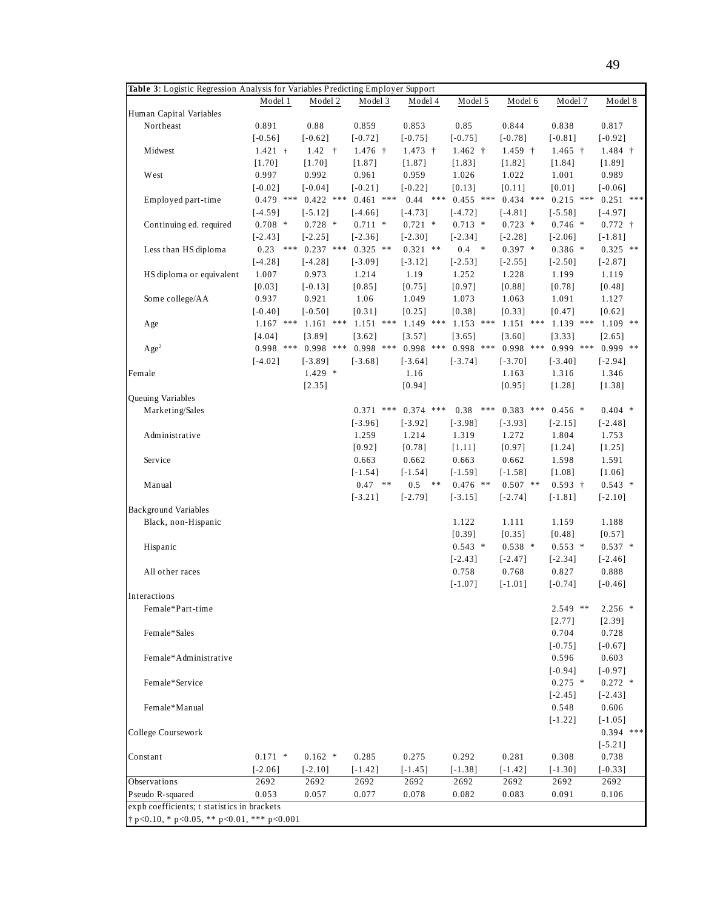| Table 3: Logistic Regression Analysis for Variables Predicting Employer Support |             |             |             |             |             |             |             |             |  |  |  |  |  |
|---------------------------------------------------------------------------------|-------------|-------------|-------------|-------------|-------------|-------------|-------------|-------------|--|--|--|--|--|
|                                                                                 | Model 1     | Model 2     | Model 3     | Model 4     | Model 5     | Model 6     | Model 7     | Model 8     |  |  |  |  |  |
| Human Capital Variables                                                         |             |             |             |             |             |             |             |             |  |  |  |  |  |
| Northeast                                                                       | 0.891       | 0.88        | 0.859       | 0.853       | 0.85        | 0.844       | 0.838       | 0.817       |  |  |  |  |  |
|                                                                                 | $[-0.56]$   | $[-0.62]$   | $[-0.72]$   | $[-0.75]$   | $[-0.75]$   | $[-0.78]$   | $[-0.81]$   | $[-0.92]$   |  |  |  |  |  |
| Midwest                                                                         | $1.421 +$   | $1.42 +$    | $1.476 +$   | $1.473 +$   | $1.462 +$   | $1.459 +$   | $1.465 +$   | $1.484 +$   |  |  |  |  |  |
|                                                                                 | $[1.70]$    | [1.70]      | [1.87]      | [1.87]      | [1.83]      | [1.82]      | [1.84]      | [1.89]      |  |  |  |  |  |
| West                                                                            | 0.997       | 0.992       | 0.961       | 0.959       | 1.026       | 1.022       | 1.001       | 0.989       |  |  |  |  |  |
|                                                                                 | $[-0.02]$   | $[-0.04]$   | $[-0.21]$   | $[-0.22]$   | [0.13]      | [0.11]      | [0.01]      | $[-0.06]$   |  |  |  |  |  |
| Employed part-time                                                              | $0.479$ *** | $0.422$ *** | $0.461$ *** | $0.44$ ***  | $0.455$ *** | $0.434$ *** | $0.215$ *** | $0.251$ *** |  |  |  |  |  |
|                                                                                 | $[-4.59]$   | $[-5.12]$   | $[-4.66]$   | $[-4.73]$   | $[-4.72]$   | $[-4.81]$   | $[-5.58]$   | $[-4.97]$   |  |  |  |  |  |
| Continuing ed. required                                                         | $0.708$ *   | $0.728$ *   | $0.711$ *   | $0.721$ *   | $0.713$ *   | $0.723$ *   | $0.746$ *   | $0.772 +$   |  |  |  |  |  |
|                                                                                 | $[-2.43]$   | $[-2.25]$   | $[-2.36]$   | $[-2.30]$   | $[-2.34]$   | $[-2.28]$   | $[-2.06]$   | $[-1.81]$   |  |  |  |  |  |
| Less than HS diploma                                                            | $0.23$ ***  | $0.237$ *** | $0.325$ **  | $0.321$ **  | $0.4 *$     | $0.397$ *   | $0.386*$    | $0.325$ **  |  |  |  |  |  |
|                                                                                 | $[-4.28]$   | $[-4.28]$   | $[-3.09]$   | $[-3.12]$   | $[-2.53]$   | $[-2.55]$   | $[-2.50]$   | $[-2.87]$   |  |  |  |  |  |
| HS diploma or equivalent                                                        | 1.007       | 0.973       | 1.214       | 1.19        | 1.252       | 1.228       | 1.199       | 1.119       |  |  |  |  |  |
|                                                                                 | [0.03]      | $[-0.13]$   | [0.85]      | [0.75]      | [0.97]      | [0.88]      | [0.78]      | $[0.48]$    |  |  |  |  |  |
| Some college/AA                                                                 | 0.937       | 0.921       | 1.06        | 1.049       | 1.073       | 1.063       | 1.091       | 1.127       |  |  |  |  |  |
|                                                                                 | $[-0.40]$   | $[-0.50]$   | [0.31]      | [0.25]      | [0.38]      | [0.33]      | [0.47]      | $[0.62]$    |  |  |  |  |  |
| Age                                                                             | $1.167$ *** | $1.161$ *** | $1.151$ *** | $1.149$ *** | $1.153$ *** | $1.151$ *** | $1.139$ *** | $1.109$ **  |  |  |  |  |  |
|                                                                                 | [4.04]      | [3.89]      | [3.62]      | [3.57]      | [3.65]      | [3.60]      | [3.33]      | [2.65]      |  |  |  |  |  |
| Age <sup>2</sup>                                                                | $0.998$ *** | $0.998$ *** | $0.998$ *** | $0.998$ *** | $0.998$ *** | $0.998$ *** | $0.999$ *** | $0.999$ **  |  |  |  |  |  |
|                                                                                 | $[-4.02]$   | $[-3.89]$   | $[-3.68]$   | $[-3.64]$   | $[-3.74]$   | $[-3.70]$   | $[-3.40]$   | $[-2.94]$   |  |  |  |  |  |
| Female                                                                          |             | $1.429$ *   |             | 1.16        |             | 1.163       | 1.316       | 1.346       |  |  |  |  |  |
|                                                                                 |             | [2.35]      |             | [0.94]      |             | [0.95]      | [1.28]      | [1.38]      |  |  |  |  |  |
| Queuing Variables                                                               |             |             |             |             |             |             |             |             |  |  |  |  |  |
| Marketing/Sales                                                                 |             |             | $0.371$ *** | $0.374$ *** | 0.38<br>*** | $0.383$ *** | $0.456$ *   | $0.404$ *   |  |  |  |  |  |
|                                                                                 |             |             | $[-3.96]$   | $[-3.92]$   | $[-3.98]$   | $[-3.93]$   | $[-2.15]$   | $[-2.48]$   |  |  |  |  |  |
| Administrative                                                                  |             |             | 1.259       | 1.214       | 1.319       | 1.272       | 1.804       | 1.753       |  |  |  |  |  |
|                                                                                 |             |             | [0.92]      | [0.78]      | [1.11]      | [0.97]      | [1.24]      | [1.25]      |  |  |  |  |  |
| Service                                                                         |             |             | 0.663       | 0.662       | 0.663       | 0.662       | 1.598       | 1.591       |  |  |  |  |  |
|                                                                                 |             |             | $[-1.54]$   | $[-1.54]$   | $[-1.59]$   | $[-1.58]$   | [1.08]      | [1.06]      |  |  |  |  |  |
| Manual                                                                          |             |             | $0.47$ **   | $0.5$ **    | $0.476$ **  | $0.507$ **  | $0.593 +$   | $0.543$ *   |  |  |  |  |  |
|                                                                                 |             |             | $[-3.21]$   | $[-2.79]$   | $[-3.15]$   | $[-2.74]$   | $[-1.81]$   | $[-2.10]$   |  |  |  |  |  |
| <b>Background Variables</b>                                                     |             |             |             |             |             |             |             |             |  |  |  |  |  |
| Black, non-Hispanic                                                             |             |             |             |             | 1.122       | 1.111       | 1.159       | 1.188       |  |  |  |  |  |
|                                                                                 |             |             |             |             | $[0.39]$    | [0.35]      | [0.48]      | [0.57]      |  |  |  |  |  |
| Hispanic                                                                        |             |             |             |             | $0.543$ *   | $0.538$ *   | $0.553$ *   | $0.537$ *   |  |  |  |  |  |
|                                                                                 |             |             |             |             | $[-2.43]$   | $[-2.47]$   | $[-2.34]$   | $[-2.46]$   |  |  |  |  |  |
| All other races                                                                 |             |             |             |             | 0.758       | 0.768       | 0.827       | 0.888       |  |  |  |  |  |
|                                                                                 |             |             |             |             | $[-1.07]$   | $[-1.01]$   | $[-0.74]$   | $[-0.46]$   |  |  |  |  |  |
| Interactions                                                                    |             |             |             |             |             |             |             |             |  |  |  |  |  |
| Female*Part-time                                                                |             |             |             |             |             |             | $2.549$ **  | $2.256$ *   |  |  |  |  |  |
|                                                                                 |             |             |             |             |             |             | [2.77]      | [2.39]      |  |  |  |  |  |
| Female*Sales                                                                    |             |             |             |             |             |             | 0.704       | 0.728       |  |  |  |  |  |
|                                                                                 |             |             |             |             |             |             | $[-0.75]$   | $[-0.67]$   |  |  |  |  |  |
| Female*Administrative                                                           |             |             |             |             |             |             | 0.596       | 0.603       |  |  |  |  |  |
|                                                                                 |             |             |             |             |             |             | $[-0.94]$   | $[-0.97]$   |  |  |  |  |  |
| Female*Service                                                                  |             |             |             |             |             |             | $0.275$ *   | $0.272$ *   |  |  |  |  |  |
|                                                                                 |             |             |             |             |             |             | $[-2.45]$   | $[-2.43]$   |  |  |  |  |  |
| Female*Manual                                                                   |             |             |             |             |             |             | 0.548       | 0.606       |  |  |  |  |  |
|                                                                                 |             |             |             |             |             |             | $[-1.22]$   | $[-1.05]$   |  |  |  |  |  |
| College Coursework                                                              |             |             |             |             |             |             |             | $0.394$ *** |  |  |  |  |  |
|                                                                                 |             |             |             |             |             |             |             | $[-5.21]$   |  |  |  |  |  |
| Constant                                                                        | $0.171$ *   | $0.162$ *   | 0.285       | 0.275       | 0.292       | 0.281       | 0.308       | 0.738       |  |  |  |  |  |
|                                                                                 | $[-2.06]$   | $[-2.10]$   | $[-1.42]$   | $[-1.45]$   | $[-1.38]$   | $[-1.42]$   | $[-1.30]$   | $[-0.33]$   |  |  |  |  |  |
| Observations                                                                    | 2692        | 2692        | 2692        | 2692        | 2692        | 2692        | 2692        | 2692        |  |  |  |  |  |
| Pseudo R-squared                                                                | 0.053       | 0.057       | 0.077       | 0.078       | 0.082       | 0.083       | 0.091       | 0.106       |  |  |  |  |  |
| expb coefficients; t statistics in brackets                                     |             |             |             |             |             |             |             |             |  |  |  |  |  |
| $\dagger$ p<0.10, * p<0.05, ** p<0.01, *** p<0.001                              |             |             |             |             |             |             |             |             |  |  |  |  |  |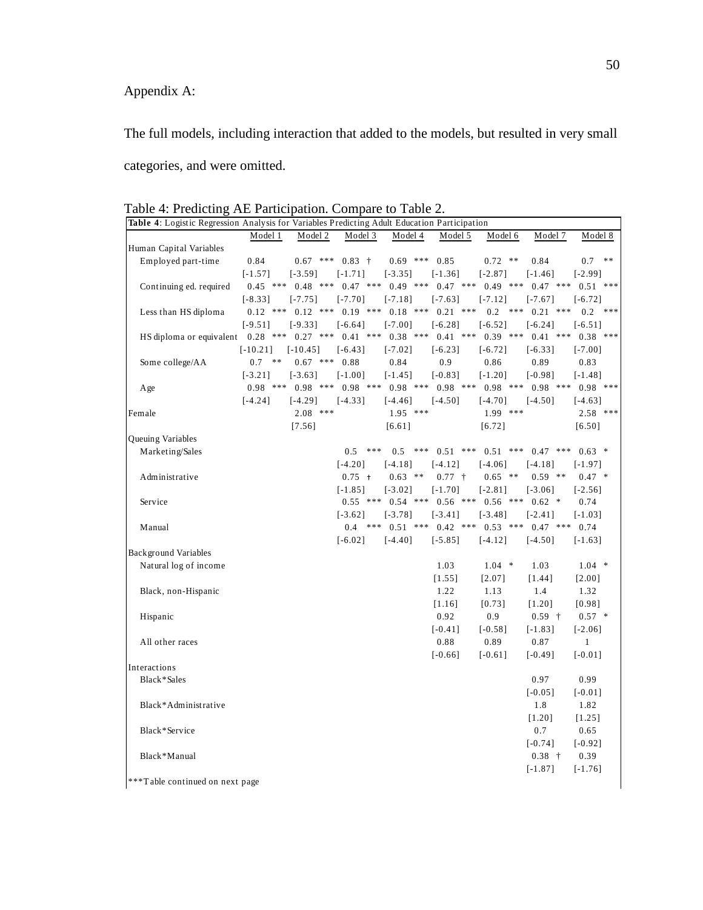## Appendix A:

The full models, including interaction that added to the models, but resulted in very small categories, and were omitted.

| Table 4: Logistic Regression Analysis for Variables Predicting Adult Education Participation |            |                   |              |                                             |                                                      |             |                                                                              |              |
|----------------------------------------------------------------------------------------------|------------|-------------------|--------------|---------------------------------------------|------------------------------------------------------|-------------|------------------------------------------------------------------------------|--------------|
|                                                                                              | Model 1    | Model 2           | Model 3      | Model 4                                     | Model 5                                              | Model 6     | Model 7                                                                      | Model 8      |
| Human Capital Variables                                                                      |            |                   |              |                                             |                                                      |             |                                                                              |              |
| Employed part-time                                                                           | 0.84       | $0.67$ ***        | $0.83 +$     | $0.69$ ***                                  | 0.85                                                 | $0.72$ **   | 0.84                                                                         | 0.7<br>**    |
|                                                                                              | $[-1.57]$  | $[-3.59]$         | $[-1.71]$    | $[-3.35]$                                   | $[-1.36]$                                            | $[-2.87]$   | $[-1.46]$                                                                    | $[-2.99]$    |
| Continuing ed. required                                                                      | $0.45$ *** | $0.48$ ***        | $0.47$ ***   | $0.49$ ***                                  | $0.47$ ***                                           | $0.49$ ***  | $0.47$ ***                                                                   | $0.51$ ***   |
|                                                                                              | $[-8.33]$  | $[-7.75]$         | $[-7.70]$    | $[-7.18]$                                   | $[-7.63]$                                            | $[-7.12]$   | $[-7.67]$                                                                    | $[-6.72]$    |
| Less than HS diploma                                                                         |            |                   |              | $0.12$ *** $0.12$ *** $0.19$ *** $0.18$ *** | $0.21$ ***                                           | $0.2$ ***   | $0.21$ ***                                                                   | 0.2<br>***   |
|                                                                                              | $[-9.51]$  | $[-9.33]$         | $[-6.64]$    | $[-7.00]$                                   | $[-6.28]$                                            | $[-6.52]$   | $[-6.24]$                                                                    | $[-6.51]$    |
| HS diploma or equivalent 0.28 *** 0.27 ***                                                   |            |                   | $0.41$ ***   | $0.38$ ***                                  | $0.41$ ***                                           | $0.39$ ***  | $0.41$ ***                                                                   | $0.38$ ***   |
|                                                                                              | $[-10.21]$ | $[-10.45]$        | $[-6.43]$    | $[-7.02]$                                   | $[-6.23]$                                            | $[-6.72]$   | $[-6.33]$                                                                    | $[-7.00]$    |
| Some college/AA                                                                              | 0.7<br>**  | $0.67$ *** $0.88$ |              | 0.84                                        | 0.9                                                  | 0.86        | 0.89                                                                         | 0.83         |
|                                                                                              | $[-3.21]$  | $[-3.63]$         | $[-1.00]$    | $[-1.45]$                                   | $[-0.83]$                                            | $[-1.20]$   | $[-0.98]$                                                                    | $[-1.48]$    |
| Age                                                                                          | $0.98$ *** |                   |              |                                             |                                                      |             | $0.98$ *** $0.98$ *** $0.98$ *** $0.98$ *** $0.98$ *** $0.98$ *** $0.98$ *** | $0.98$ ***   |
|                                                                                              | $[-4.24]$  | $[-4.29]$         | $[-4.33]$    | $[-4.46]$                                   | $[-4.50]$                                            | $[-4.70]$   | $[-4.50]$                                                                    | $[-4.63]$    |
| Female                                                                                       |            | $2.08$ ***        |              | $1.95$ ***                                  |                                                      | $1.99$ ***  |                                                                              | $2.58$ ***   |
|                                                                                              |            | [7.56]            |              | [6.61]                                      |                                                      | [6.72]      |                                                                              | [6.50]       |
| Queuing Variables                                                                            |            |                   |              |                                             |                                                      |             |                                                                              |              |
| Marketing/Sales                                                                              |            |                   | 0.5<br>$***$ | $***$<br>0.5                                | $0.51$ ***                                           | 0.51<br>*** | $0.47$ ***                                                                   | $0.63$ *     |
|                                                                                              |            |                   | $[-4.20]$    | $[-4.18]$                                   | $[-4.12]$                                            | $[-4.06]$   | $[-4.18]$                                                                    | $[-1.97]$    |
| Administrative                                                                               |            |                   | $0.75 +$     | $0.63$ **                                   | $0.77 +$                                             | $0.65$ **   | $0.59$ **                                                                    | $0.47*$      |
|                                                                                              |            |                   | $[-1.85]$    | $[-3.02]$                                   | $[-1.70]$                                            | $[-2.81]$   | $[-3.06]$                                                                    | $[-2.56]$    |
| Service                                                                                      |            |                   |              |                                             | $0.55$ *** $0.54$ *** $0.56$ *** $0.56$ *** $0.62$ * |             |                                                                              | 0.74         |
|                                                                                              |            |                   | $[-3.62]$    | $[-3.78]$                                   | $[-3.41]$                                            | $[-3.48]$   | $[-2.41]$                                                                    | $[-1.03]$    |
| Manual                                                                                       |            |                   | $0.4$ ***    | $0.51$ ***                                  | $0.42$ ***                                           |             | $0.53$ *** $0.47$ ***                                                        | 0.74         |
|                                                                                              |            |                   | $[-6.02]$    | $[-4.40]$                                   | $[-5.85]$                                            | $[-4.12]$   | $[-4.50]$                                                                    | $[-1.63]$    |
| <b>Background Variables</b>                                                                  |            |                   |              |                                             |                                                      |             |                                                                              |              |
| Natural log of income                                                                        |            |                   |              |                                             | 1.03                                                 | $1.04$ *    | 1.03                                                                         | $1.04$ *     |
|                                                                                              |            |                   |              |                                             | [1.55]                                               | [2.07]      | [1.44]                                                                       | $[2.00]$     |
| Black, non-Hispanic                                                                          |            |                   |              |                                             | 1.22                                                 | 1.13        | 1.4                                                                          | 1.32         |
|                                                                                              |            |                   |              |                                             | $[1.16]$                                             | [0.73]      | $[1.20]$                                                                     | [0.98]       |
| Hispanic                                                                                     |            |                   |              |                                             | 0.92                                                 | 0.9         | $0.59 +$                                                                     | $0.57$ *     |
|                                                                                              |            |                   |              |                                             | $[-0.41]$                                            | $[-0.58]$   | $[-1.83]$                                                                    | $[-2.06]$    |
| All other races                                                                              |            |                   |              |                                             | 0.88                                                 | 0.89        | 0.87                                                                         | $\mathbf{1}$ |
|                                                                                              |            |                   |              |                                             | $[-0.66]$                                            | $[-0.61]$   | $[-0.49]$                                                                    | $[-0.01]$    |
| Interactions                                                                                 |            |                   |              |                                             |                                                      |             |                                                                              |              |
| Black*Sales                                                                                  |            |                   |              |                                             |                                                      |             | 0.97                                                                         | 0.99         |
|                                                                                              |            |                   |              |                                             |                                                      |             | $[-0.05]$                                                                    | $[-0.01]$    |
| Black*Administrative                                                                         |            |                   |              |                                             |                                                      |             | 1.8                                                                          | 1.82         |
|                                                                                              |            |                   |              |                                             |                                                      |             | [1.20]                                                                       | [1.25]       |
| Black*Service                                                                                |            |                   |              |                                             |                                                      |             | 0.7                                                                          | 0.65         |
|                                                                                              |            |                   |              |                                             |                                                      |             | $[-0.74]$                                                                    | $[-0.92]$    |
| Black*Manual                                                                                 |            |                   |              |                                             |                                                      |             | $0.38 +$                                                                     | 0.39         |
|                                                                                              |            |                   |              |                                             |                                                      |             | $[-1.87]$                                                                    | $[-1.76]$    |
|                                                                                              |            |                   |              |                                             |                                                      |             |                                                                              |              |

Table 4: Predicting AE Participation. Compare to Table 2.

\*\*\*T able continued on next page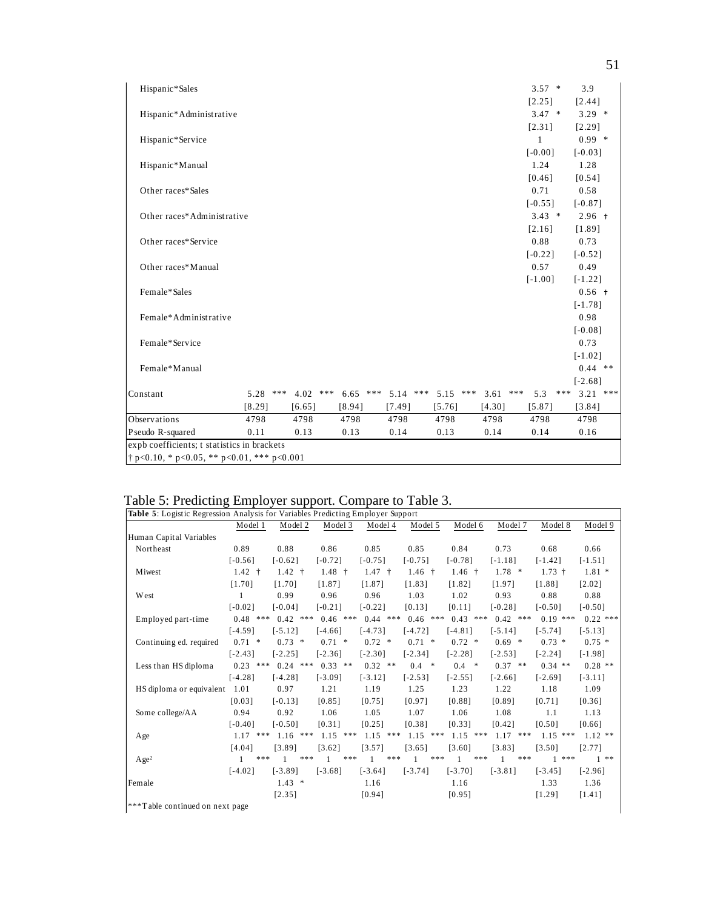| Hispanic*Sales                                     |            |            |            |            |            |        |     | $3.57 *$     |     | 3.9        |  |
|----------------------------------------------------|------------|------------|------------|------------|------------|--------|-----|--------------|-----|------------|--|
|                                                    |            |            |            |            |            |        |     | [2.25]       |     | [2.44]     |  |
| Hispanic*Administrative                            |            |            |            |            |            |        |     | $3.47 *$     |     | $3.29$ *   |  |
|                                                    |            |            |            |            |            |        |     | [2.31]       |     | [2.29]     |  |
| Hispanic*Service                                   |            |            |            |            |            |        |     | $\mathbf{1}$ |     | $0.99$ *   |  |
|                                                    |            |            |            |            |            |        |     | $[-0.00]$    |     | $[-0.03]$  |  |
| Hispanic*Manual                                    |            |            |            |            |            |        |     | 1.24         |     | 1.28       |  |
|                                                    |            |            |            |            |            |        |     | [0.46]       |     | [0.54]     |  |
| Other races*Sales                                  |            |            |            |            |            |        |     | 0.71         |     | 0.58       |  |
|                                                    |            |            |            |            |            |        |     | $[-0.55]$    |     | $[-0.87]$  |  |
| Other races*Administrative                         |            |            |            |            |            |        |     | $3.43$ *     |     | $2.96 +$   |  |
|                                                    |            |            |            |            |            |        |     | [2.16]       |     | [1.89]     |  |
| Other races*Service                                |            |            |            |            |            |        |     | 0.88         |     | 0.73       |  |
|                                                    |            |            |            |            |            |        |     | $[-0.22]$    |     | $[-0.52]$  |  |
| Other races*Manual                                 |            |            |            |            |            |        |     | 0.57         |     | 0.49       |  |
|                                                    |            |            |            |            |            |        |     | $[-1.00]$    |     | $[-1.22]$  |  |
| Female*Sales                                       |            |            |            |            |            |        |     |              |     | $0.56 +$   |  |
|                                                    |            |            |            |            |            |        |     |              |     | $[-1.78]$  |  |
| Female*Administrative                              |            |            |            |            |            |        |     |              |     | 0.98       |  |
|                                                    |            |            |            |            |            |        |     |              |     | $[-0.08]$  |  |
| Female*Service                                     |            |            |            |            |            |        |     |              |     | 0.73       |  |
|                                                    |            |            |            |            |            |        |     |              |     | $[-1.02]$  |  |
| Female*Manual                                      |            |            |            |            |            |        |     |              |     | $0.44$ **  |  |
|                                                    |            |            |            |            |            |        |     |              |     | $[-2.68]$  |  |
| Constant                                           | $5.28$ *** | $4.02$ *** | $6.65$ *** | $5.14$ *** | $5.15$ *** | 3.61   | *** | 5.3          | *** | $3.21$ *** |  |
|                                                    | [8.29]     | [6.65]     | [8.94]     | [7.49]     | [5.76]     | [4.30] |     | [5.87]       |     | [3.84]     |  |
| Observations                                       | 4798       | 4798       | 4798       | 4798       | 4798       | 4798   |     | 4798         |     | 4798       |  |
| Pseudo R-squared                                   | 0.11       | 0.13       | 0.13       | 0.14       | 0.13       | 0.14   |     | 0.14         |     | 0.16       |  |
| expb coefficients; t statistics in brackets        |            |            |            |            |            |        |     |              |     |            |  |
| $\dagger$ p<0.10, * p<0.05, ** p<0.01, *** p<0.001 |            |            |            |            |            |        |     |              |     |            |  |

# Table 5: Predicting Employer support. Compare to Table 3.

| Table 5: Logistic Regression Analysis for Variables Predicting Employer Support |            |     |            |       |            |     |            |     |              |     |            |     |            |     |            |            |
|---------------------------------------------------------------------------------|------------|-----|------------|-------|------------|-----|------------|-----|--------------|-----|------------|-----|------------|-----|------------|------------|
|                                                                                 | Model 1    |     | Model 2    |       | Model 3    |     | Model 4    |     | Model 5      |     | Model 6    |     | Model 7    |     | Model 8    | Model 9    |
| Human Capital Variables                                                         |            |     |            |       |            |     |            |     |              |     |            |     |            |     |            |            |
| Northeast                                                                       | 0.89       |     | 0.88       |       | 0.86       |     | 0.85       |     | 0.85         |     | 0.84       |     | 0.73       |     | 0.68       | 0.66       |
|                                                                                 | $[-0.56]$  |     | $[-0.62]$  |       | $[-0.72]$  |     | $[-0.75]$  |     | $[-0.75]$    |     | $[-0.78]$  |     | $[-1.18]$  |     | $[-1.42]$  | $[-1.51]$  |
| Miwest                                                                          | $1.42 +$   |     | $1.42 +$   |       | $1.48 +$   |     | $1.47 +$   |     | $1.46 +$     |     | $1.46 +$   |     | $1.78$ *   |     | $1.73 +$   | $1.81*$    |
|                                                                                 | [1.70]     |     | [1.70]     |       | [1.87]     |     | [1.87]     |     | [1.83]       |     | [1.82]     |     | [1.97]     |     | [1.88]     | [2.02]     |
| <b>West</b>                                                                     |            |     | 0.99       |       | 0.96       |     | 0.96       |     | 1.03         |     | 1.02       |     | 0.93       |     | 0.88       | 0.88       |
|                                                                                 | $[-0.02]$  |     | $[-0.04]$  |       | $[-0.21]$  |     | $[-0.22]$  |     | [0.13]       |     | [0.11]     |     | $[-0.28]$  |     | $[-0.50]$  | $[-0.50]$  |
| Employed part-time                                                              | $0.48$ *** |     | $0.42$ *** |       | $0.46$ *** |     | $0.44$ *** |     | $0.46$ ***   |     | $0.43$ *** |     | $0.42$ *** |     | $0.19$ *** | $0.22$ *** |
|                                                                                 | $[-4.59]$  |     | $[-5.12]$  |       | $[-4.66]$  |     | $[-4.73]$  |     | $[-4.72]$    |     | $[-4.81]$  |     | $[-5.14]$  |     | $[-5.74]$  | $[-5.13]$  |
| Continuing ed. required                                                         | $0.71$ *   |     | $0.73$ *   |       | $0.71$ *   |     | $0.72$ *   |     | $0.71$ *     |     | $0.72$ *   |     | $0.69$ *   |     | $0.73*$    | $0.75*$    |
|                                                                                 | $[-2.43]$  |     | $[-2.25]$  |       | $[-2.36]$  |     | $[-2.30]$  |     | $[-2.34]$    |     | $[-2.28]$  |     | $[-2.53]$  |     | $[-2.24]$  | $[-1.98]$  |
| Less than HS diploma                                                            | 0.23       | *** | $0.24$ *** |       | $0.33$ **  |     | $0.32$ **  |     | $0.4 *$      |     | $0.4 *$    |     | $0.37$ **  |     | $0.34$ **  | $0.28$ **  |
|                                                                                 | $[-4.28]$  |     | $[-4.28]$  |       | $[-3.09]$  |     | $[-3.12]$  |     | $[-2.53]$    |     | $[-2.55]$  |     | $[-2.66]$  |     | $[-2.69]$  | $[-3.11]$  |
| HS diploma or equivalent                                                        | 1.01       |     | 0.97       |       | 1.21       |     | 1.19       |     | 1.25         |     | 1.23       |     | 1.22       |     | 1.18       | 1.09       |
|                                                                                 | [0.03]     |     | $[-0.13]$  |       | [0.85]     |     | [0.75]     |     | [0.97]       |     | [0.88]     |     | [0.89]     |     | [0.71]     | [0.36]     |
| Some college/AA                                                                 | 0.94       |     | 0.92       |       | 1.06       |     | 1.05       |     | 1.07         |     | 1.06       |     | 1.08       |     | 1.1        | 1.13       |
|                                                                                 | $[-0.40]$  |     | $[-0.50]$  |       | [0.31]     |     | [0.25]     |     | [0.38]       |     | [0.33]     |     | [0.42]     |     | [0.50]     | [0.66]     |
| Age                                                                             | 1.17       | *** | $1.16$ *** |       | 1.15       | *** | $1.15$ *** |     | 1.15         | *** | $1.15$ *** |     | $1.17$ *** |     | $1.15$ *** | $1.12$ **  |
|                                                                                 | [4.04]     |     | [3.89]     |       | [3.62]     |     | [3.57]     |     | [3.65]       |     | [3.60]     |     | [3.83]     |     | [3.50]     | [2.77]     |
| Age <sup>2</sup>                                                                |            | *** |            | $***$ | 1          | *** | 1          | *** | $\mathbf{1}$ | *** | 1          | *** | 1          | *** | $1 * * *$  | $1 * *$    |
|                                                                                 | $[-4.02]$  |     | $[-3.89]$  |       | $[-3.68]$  |     | $[-3.64]$  |     | $[-3.74]$    |     | $[-3.70]$  |     | $[-3.81]$  |     | $[-3.45]$  | $[-2.96]$  |
| Female                                                                          |            |     | $1.43*$    |       |            |     | 1.16       |     |              |     | 1.16       |     |            |     | 1.33       | 1.36       |
|                                                                                 |            |     | [2.35]     |       |            |     | [0.94]     |     |              |     | [0.95]     |     |            |     | [1.29]     | [1.41]     |
| ***Table continued on next page                                                 |            |     |            |       |            |     |            |     |              |     |            |     |            |     |            |            |

51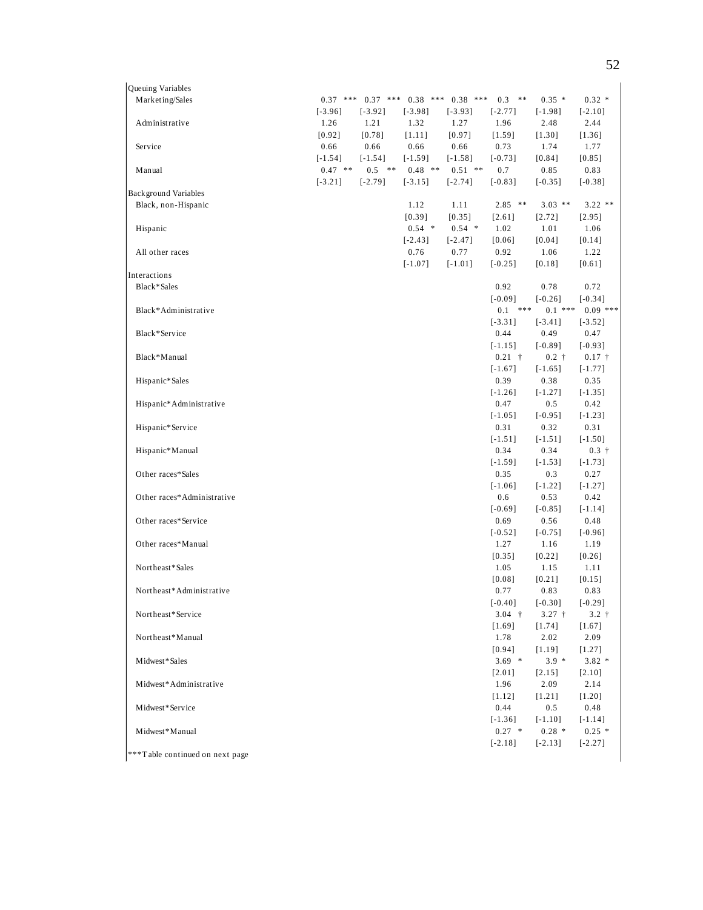| Queuing Variables           |            |            |           |                       |                |           |            |
|-----------------------------|------------|------------|-----------|-----------------------|----------------|-----------|------------|
| Marketing/Sales             | $0.37$ *** | $0.37$ *** |           | $0.38$ *** $0.38$ *** | $0.3$ **       | $0.35*$   | $0.32*$    |
|                             | $[-3.96]$  | $[-3.92]$  | $[-3.98]$ | $[-3.93]$             | $[-2.77]$      | $[-1.98]$ | $[-2.10]$  |
| Administrative              | 1.26       | 1.21       | 1.32      | 1.27                  | 1.96           | 2.48      | 2.44       |
|                             | $[0.92]$   | $[0.78]$   | [1.11]    | [0.97]                | [1.59]         | [1.30]    | [1.36]     |
| Service                     | 0.66       | 0.66       | 0.66      | 0.66                  | 0.73           | 1.74      | 1.77       |
|                             | $[-1.54]$  | $[-1.54]$  | $[-1.59]$ | $[-1.58]$             | $[-0.73]$      | [0.84]    | $[0.85]$   |
| Manual                      | $0.47$ **  | $0.5$ **   | $0.48$ ** | $0.51$ **             | 0.7            | 0.85      | 0.83       |
|                             | $[-3.21]$  | $[-2.79]$  | $[-3.15]$ | $[-2.74]$             | $[-0.83]$      | $[-0.35]$ | $[-0.38]$  |
| <b>Background Variables</b> |            |            |           |                       |                |           |            |
| Black, non-Hispanic         |            |            | 1.12      | 1.11                  | $2.85$ **      | $3.03$ ** | $3.22$ **  |
|                             |            |            | [0.39]    | [0.35]                | [2.61]         | $[2.72]$  | [2.95]     |
| Hispanic                    |            |            | $0.54$ *  | $0.54$ *              | 1.02           | 1.01      | 1.06       |
|                             |            |            | $[-2.43]$ | $[-2.47]$             | [0.06]         | [0.04]    | $[0.14]$   |
| All other races             |            |            | 0.76      | 0.77                  | 0.92           | 1.06      | 1.22       |
|                             |            |            | $[-1.07]$ | $[-1.01]$             | $[-0.25]$      | [0.18]    | $[0.61]$   |
| Interactions                |            |            |           |                       |                |           |            |
| Black*Sales                 |            |            |           |                       | 0.92           | 0.78      | 0.72       |
|                             |            |            |           |                       | $[-0.09]$      | $[-0.26]$ | $[-0.34]$  |
| Black*Administrative        |            |            |           |                       | $0.1$ ***      | $0.1$ *** | $0.09$ *** |
|                             |            |            |           |                       |                |           |            |
|                             |            |            |           |                       | $[-3.31]$      | $[-3.41]$ | $[-3.52]$  |
| Black*Service               |            |            |           |                       | 0.44           | 0.49      | 0.47       |
|                             |            |            |           |                       | $[-1.15]$      | $[-0.89]$ | $[-0.93]$  |
| Black*Manual                |            |            |           |                       | $0.21 +$       | $0.2 +$   | $0.17 +$   |
|                             |            |            |           |                       | $[-1.67]$      | $[-1.65]$ | $[-1.77]$  |
| Hispanic*Sales              |            |            |           |                       | 0.39           | 0.38      | 0.35       |
|                             |            |            |           |                       | $[-1.26]$      | $[-1.27]$ | $[-1.35]$  |
| Hispanic*Administrative     |            |            |           |                       | 0.47           | 0.5       | 0.42       |
|                             |            |            |           |                       | $[-1.05]$      | $[-0.95]$ | $[-1.23]$  |
| Hispanic*Service            |            |            |           |                       | 0.31           | 0.32      | 0.31       |
|                             |            |            |           |                       | $[-1.51]$      | $[-1.51]$ | $[-1.50]$  |
| Hispanic*Manual             |            |            |           |                       | 0.34           | 0.34      | $0.3 +$    |
|                             |            |            |           |                       | $[-1.59]$      | $[-1.53]$ | $[-1.73]$  |
| Other races*Sales           |            |            |           |                       | 0.35           | 0.3       | 0.27       |
|                             |            |            |           |                       | $[-1.06]$      | $[-1.22]$ | $[-1.27]$  |
| Other races*Administrative  |            |            |           |                       | 0.6            | 0.53      | 0.42       |
|                             |            |            |           |                       | $[-0.69]$      | $[-0.85]$ | $[-1.14]$  |
| Other races*Service         |            |            |           |                       | 0.69           | 0.56      | 0.48       |
|                             |            |            |           |                       | $[-0.52]$      | $[-0.75]$ | $[-0.96]$  |
| Other races*Manual          |            |            |           |                       | 1.27           | 1.16      | 1.19       |
|                             |            |            |           |                       | [0.35]         | $[0.22]$  | [0.26]     |
| Northeast*Sales             |            |            |           |                       | 1.05           | 1.15      | 1.11       |
|                             |            |            |           |                       | [0.08]         | [0.21]    | [0.15]     |
| Northeast*Administrative    |            |            |           |                       | 0.77           | 0.83      | 0.83       |
|                             |            |            |           |                       | $[-0.40]$      | $[-0.30]$ | $[-0.29]$  |
| Northeast*Service           |            |            |           |                       | 3.04 $\dagger$ | $3.27 +$  | $3.2 +$    |
|                             |            |            |           |                       | $[1.69]$       | $[1.74]$  | [1.67]     |
| Northeast*Manual            |            |            |           |                       | 1.78           | 2.02      | 2.09       |
|                             |            |            |           |                       | $[0.94]$       | $[1.19]$  | [1.27]     |
| Midwest*Sales               |            |            |           |                       | $3.69$ *       | $3.9 *$   | $3.82*$    |
|                             |            |            |           |                       | [2.01]         | [2.15]    | [2.10]     |
| Midwest*Administrative      |            |            |           |                       | 1.96           | 2.09      | 2.14       |
|                             |            |            |           |                       | [1.12]         | [1.21]    | [1.20]     |
| Midwest*Service             |            |            |           |                       | 0.44           | 0.5       | 0.48       |
|                             |            |            |           |                       | $[-1.36]$      | $[-1.10]$ | $[-1.14]$  |
| Midwest*Manual              |            |            |           |                       | $0.27$ *       | $0.28*$   | $0.25*$    |
|                             |            |            |           |                       | $[-2.18]$      | $[-2.13]$ | $[-2.27]$  |
|                             |            |            |           |                       |                |           |            |

\*\*\*T able continued on next page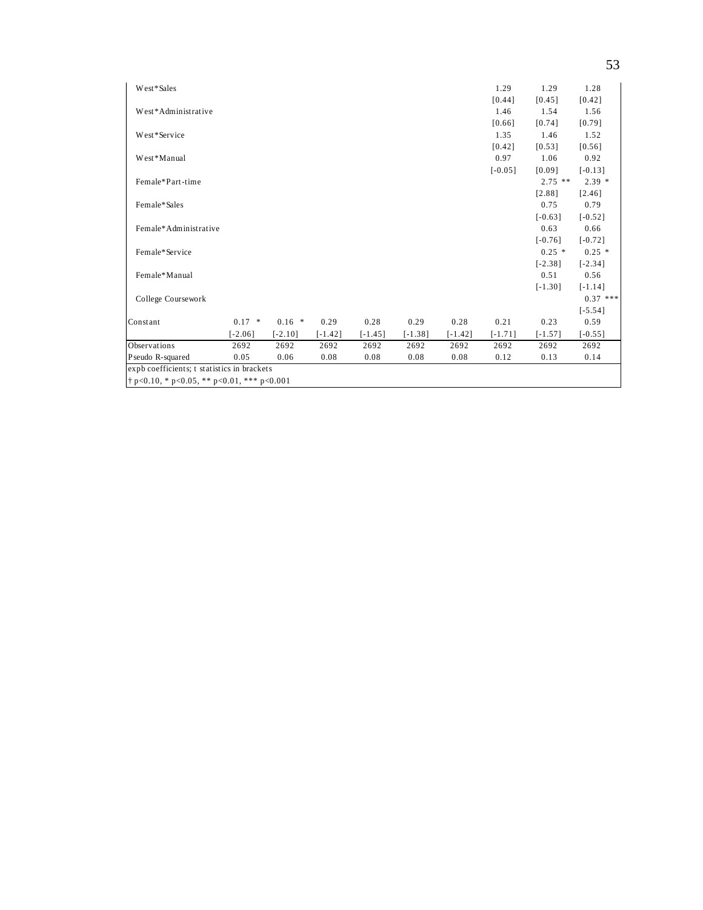| West*Sales                                          |           |           |           |           |           |           | 1.29      | 1.29      | 1.28       |
|-----------------------------------------------------|-----------|-----------|-----------|-----------|-----------|-----------|-----------|-----------|------------|
|                                                     |           |           |           |           |           |           | [0.44]    | [0.45]    | [0.42]     |
| West*Administrative                                 |           |           |           |           |           |           | 1.46      | 1.54      | 1.56       |
|                                                     |           |           |           |           |           |           | [0.66]    | [0.74]    | [0.79]     |
| West*Service                                        |           |           |           |           |           |           | 1.35      | 1.46      | 1.52       |
|                                                     |           |           |           |           |           |           | [0.42]    | [0.53]    | [0.56]     |
| West*Manual                                         |           |           |           |           |           |           | 0.97      | 1.06      | 0.92       |
|                                                     |           |           |           |           |           |           | $[-0.05]$ | [0.09]    | $[-0.13]$  |
| Female*Part-time                                    |           |           |           |           |           |           |           | $2.75$ ** | $2.39*$    |
|                                                     |           |           |           |           |           |           |           | [2.88]    | [2.46]     |
| Female*Sales                                        |           |           |           |           |           |           |           | 0.75      | 0.79       |
|                                                     |           |           |           |           |           |           |           | $[-0.63]$ | $[-0.52]$  |
| Female*Administrative                               |           |           |           |           |           |           |           | 0.63      | 0.66       |
|                                                     |           |           |           |           |           |           |           | $[-0.76]$ | $[-0.72]$  |
| Female*Service                                      |           |           |           |           |           |           |           | $0.25$ *  | $0.25*$    |
|                                                     |           |           |           |           |           |           |           | $[-2.38]$ | $[-2.34]$  |
| Female*Manual                                       |           |           |           |           |           |           |           | 0.51      | 0.56       |
|                                                     |           |           |           |           |           |           |           | $[-1.30]$ | $[-1.14]$  |
| College Coursework                                  |           |           |           |           |           |           |           |           | $0.37$ *** |
|                                                     |           |           |           |           |           |           |           |           | $[-5.54]$  |
| Constant                                            | $0.17$ *  | $0.16*$   | 0.29      | 0.28      | 0.29      | 0.28      | 0.21      | 0.23      | 0.59       |
|                                                     | $[-2.06]$ | $[-2.10]$ | $[-1.42]$ | $[-1.45]$ | $[-1.38]$ | $[-1.42]$ | $[-1.71]$ | $[-1.57]$ | $[-0.55]$  |
| Observations                                        | 2692      | 2692      | 2692      | 2692      | 2692      | 2692      | 2692      | 2692      | 2692       |
| Pseudo R-squared                                    | 0.05      | 0.06      | 0.08      | 0.08      | 0.08      | 0.08      | 0.12      | 0.13      | 0.14       |
| expb coefficients; t statistics in brackets         |           |           |           |           |           |           |           |           |            |
| $\uparrow$ p<0.10, * p<0.05, ** p<0.01, *** p<0.001 |           |           |           |           |           |           |           |           |            |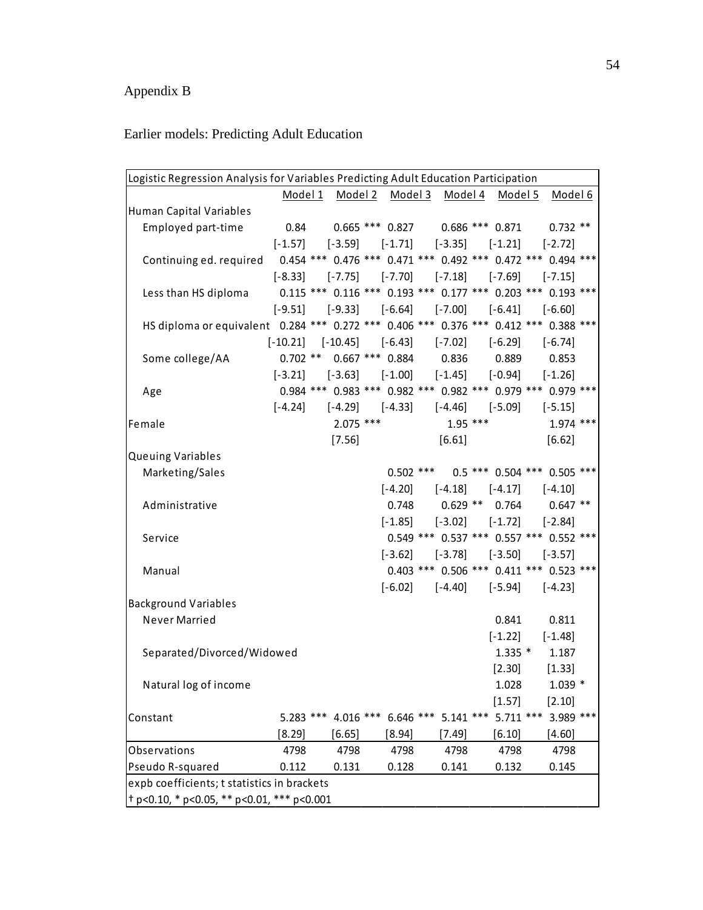# Appendix B

# Earlier models: Predicting Adult Education

| Logistic Regression Analysis for Variables Predicting Adult Education Participation<br>Model 1 Model 2 Model 3 Model 4 Model 5 |               |               |                                                                         |                                         |                       |                                               |  |  |  |  |  |  |  |
|--------------------------------------------------------------------------------------------------------------------------------|---------------|---------------|-------------------------------------------------------------------------|-----------------------------------------|-----------------------|-----------------------------------------------|--|--|--|--|--|--|--|
|                                                                                                                                |               |               |                                                                         |                                         |                       | <u>Model 6</u>                                |  |  |  |  |  |  |  |
| Human Capital Variables                                                                                                        |               |               |                                                                         |                                         |                       |                                               |  |  |  |  |  |  |  |
| Employed part-time                                                                                                             |               |               | $0.84$ $0.665$ *** $0.827$ $0.686$ *** $0.871$                          |                                         |                       | $0.732**$                                     |  |  |  |  |  |  |  |
|                                                                                                                                |               |               | $[-1.57]$ $[-3.59]$ $[-1.71]$ $[-3.35]$ $[-1.21]$                       |                                         |                       | $[-2.72]$                                     |  |  |  |  |  |  |  |
| Continuing ed. required 0.454 *** 0.476 *** 0.471 *** 0.492 *** 0.472 *** 0.494 ***                                            |               |               |                                                                         |                                         |                       |                                               |  |  |  |  |  |  |  |
|                                                                                                                                |               |               | $[-8.33]$ $[-7.75]$ $[-7.70]$ $[-7.18]$ $[-7.69]$                       |                                         |                       | $[-7.15]$                                     |  |  |  |  |  |  |  |
| Less than HS diploma                                                                                                           |               |               | $0.115$ *** $0.116$ *** $0.193$ *** $0.177$ *** $0.203$ *** $0.193$ *** |                                         |                       |                                               |  |  |  |  |  |  |  |
|                                                                                                                                | $[-9.51]$     |               | $[-9.33]$ $[-6.64]$ $[-7.00]$ $[-6.41]$                                 |                                         |                       | $[-6.60]$                                     |  |  |  |  |  |  |  |
| HS diploma or equivalent 0.284 *** 0.272 *** 0.406 *** 0.376 *** 0.412 *** 0.388 ***                                           |               |               |                                                                         |                                         |                       |                                               |  |  |  |  |  |  |  |
|                                                                                                                                | $[-10.21]$    |               | $[-10.45]$ $[-6.43]$ $[-7.02]$ $[-6.29]$                                |                                         |                       | $[-6.74]$                                     |  |  |  |  |  |  |  |
| Some college/AA                                                                                                                | $0.702$ **    |               | $0.667$ *** $0.884$ 0.836 0.889                                         |                                         |                       | 0.853                                         |  |  |  |  |  |  |  |
|                                                                                                                                |               |               | $[-3.21]$ $[-3.63]$ $[-1.00]$ $[-1.45]$ $[-0.94]$                       |                                         |                       | $[-1.26]$                                     |  |  |  |  |  |  |  |
| Age                                                                                                                            |               |               | 0.984 *** 0.983 *** 0.982 *** 0.982 *** 0.979 *** 0.979 ***             |                                         |                       |                                               |  |  |  |  |  |  |  |
|                                                                                                                                |               |               | $[-4.24]$ $[-4.29]$ $[-4.33]$ $[-4.46]$ $[-5.09]$                       |                                         |                       | $[-5.15]$                                     |  |  |  |  |  |  |  |
| Female                                                                                                                         |               | $2.075$ ***   |                                                                         | $1.95***$                               |                       | $1.974$ ***                                   |  |  |  |  |  |  |  |
|                                                                                                                                |               | [7.56]        |                                                                         | [6.61]                                  |                       | [6.62]                                        |  |  |  |  |  |  |  |
| <b>Queuing Variables</b>                                                                                                       |               |               |                                                                         |                                         |                       |                                               |  |  |  |  |  |  |  |
| Marketing/Sales                                                                                                                |               |               |                                                                         |                                         |                       | $0.502$ *** $0.5$ *** $0.504$ *** $0.505$ *** |  |  |  |  |  |  |  |
|                                                                                                                                |               |               |                                                                         | $[-4.20]$ $[-4.18]$ $[-4.17]$           |                       | $[-4.10]$                                     |  |  |  |  |  |  |  |
| Administrative                                                                                                                 |               |               | 0.748                                                                   |                                         |                       | $0.629$ ** $0.764$ $0.647$ **                 |  |  |  |  |  |  |  |
|                                                                                                                                |               |               | $[-1.85]$                                                               |                                         | $[-3.02]$ $[-1.72]$   | $[-2.84]$                                     |  |  |  |  |  |  |  |
| Service                                                                                                                        |               |               |                                                                         |                                         |                       | 0.549 *** 0.537 *** 0.557 *** 0.552 ***       |  |  |  |  |  |  |  |
|                                                                                                                                |               |               |                                                                         | $[-3.62]$ $[-3.78]$ $[-3.50]$ $[-3.57]$ |                       |                                               |  |  |  |  |  |  |  |
| Manual                                                                                                                         |               |               |                                                                         |                                         |                       | 0.403 *** 0.506 *** 0.411 *** 0.523 ***       |  |  |  |  |  |  |  |
|                                                                                                                                |               |               |                                                                         | $[-6.02]$ $[-4.40]$ $[-5.94]$           |                       | $[-4.23]$                                     |  |  |  |  |  |  |  |
| <b>Background Variables</b>                                                                                                    |               |               |                                                                         |                                         |                       |                                               |  |  |  |  |  |  |  |
| Never Married                                                                                                                  |               |               |                                                                         |                                         | 0.841                 | 0.811                                         |  |  |  |  |  |  |  |
|                                                                                                                                |               |               |                                                                         |                                         | $[-1.22]$             | $[-1.48]$                                     |  |  |  |  |  |  |  |
|                                                                                                                                |               |               |                                                                         |                                         | $1.335$ *             | 1.187                                         |  |  |  |  |  |  |  |
| Separated/Divorced/Widowed                                                                                                     |               |               |                                                                         |                                         |                       |                                               |  |  |  |  |  |  |  |
|                                                                                                                                |               |               |                                                                         |                                         | $[2.30]$<br>1.028     | $[1.33]$<br>$1.039 *$                         |  |  |  |  |  |  |  |
| Natural log of income                                                                                                          |               |               |                                                                         |                                         |                       |                                               |  |  |  |  |  |  |  |
|                                                                                                                                | $5.283$ ***   |               | 4.016 *** 6.646 *** 5.141 ***                                           |                                         | [1.57]<br>$5.711$ *** | [2.10]<br>3.989 ***                           |  |  |  |  |  |  |  |
| Constant                                                                                                                       |               |               |                                                                         |                                         |                       |                                               |  |  |  |  |  |  |  |
|                                                                                                                                | [8.29]        | $[6.65]$      | [8.94]                                                                  | [7.49]                                  | [6.10]                | [4.60]<br>4798                                |  |  |  |  |  |  |  |
| Observations                                                                                                                   | 4798<br>0.112 | 4798<br>0.131 | 4798<br>0.128                                                           | 4798                                    | 4798                  | 0.145                                         |  |  |  |  |  |  |  |
| Pseudo R-squared                                                                                                               |               |               |                                                                         | 0.141                                   | 0.132                 |                                               |  |  |  |  |  |  |  |
| expb coefficients; t statistics in brackets                                                                                    |               |               |                                                                         |                                         |                       |                                               |  |  |  |  |  |  |  |
| $\frac{1}{2}$ p<0.10, * p<0.05, ** p<0.01, *** p<0.001                                                                         |               |               |                                                                         |                                         |                       |                                               |  |  |  |  |  |  |  |